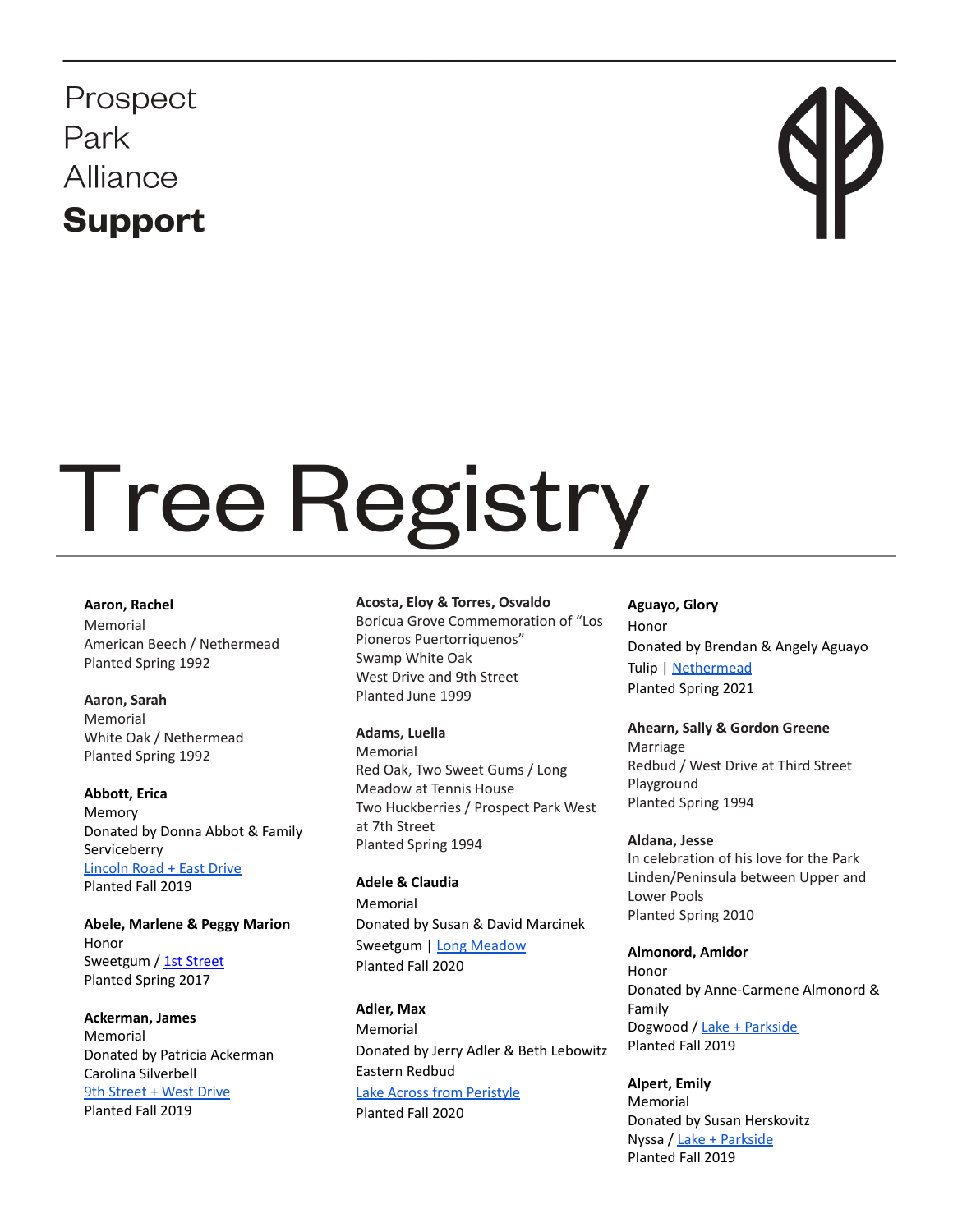Prospect Park Alliance **Support** 

# **Tree Registry**

#### **Aaron, Rachel**

Memorial American Beech / Nethermead Planted Spring 1992

**Aaron, Sarah** Memorial White Oak / Nethermead Planted Spring 1992

**Abbott, Erica** Memory Donated by Donna Abbot & Family Serviceberry [Lincoln](https://goo.gl/maps/ughb5Y1aMqA7hHbVA) Road + East Drive Planted Fall 2019

**Abele, Marlene & Peggy Marion** Honor Sweetgum / 1st [Street](https://goo.gl/maps/QpbXTx2giTjAh2C48) Planted Spring 2017

**Ackerman, James** Memorial Donated by Patricia Ackerman Carolina Silverbell 9th [Street](https://goo.gl/maps/j6LsyajPhdbfeaJV6) + West Drive Planted Fall 2019

#### **Acosta, Eloy & Torres, Osvaldo**

Boricua Grove Commemoration of "Los Pioneros Puertorriquenos" Swamp White Oak West Drive and 9th Street Planted June 1999

#### **Adams, Luella**

Memorial Red Oak, Two Sweet Gums / Long Meadow at Tennis House Two Huckberries / Prospect Park West at 7th Street Planted Spring 1994

#### **Adele & Claudia**

Memorial Donated by Susan & David Marcinek Sweetgum | Long [Meadow](https://goo.gl/maps/SvsNp1zTQb5f2K7cA) Planted Fall 2020

**Adler, Max** Memorial Donated by Jerry Adler & Beth Lebowitz Eastern Redbud Lake Across from [Peristyle](https://goo.gl/maps/VDXX3bRjH8n8uoU68) Planted Fall 2020

**Aguayo, Glory** Honor Donated by Brendan & Angely Aguayo Tulip | [Nethermead](https://goo.gl/maps/nkvTLbUPc8ktwt8n8) Planted Spring 2021

# **Ahearn, Sally & Gordon Greene** Marriage

Redbud / West Drive at Third Street Playground Planted Spring 1994

### **Aldana, Jesse**

In celebration of his love for the Park Linden/Peninsula between Upper and Lower Pools Planted Spring 2010

**Almonord, Amidor** Honor Donated by Anne-Carmene Almonord & Family Dogwood / Lake + [Parkside](https://goo.gl/maps/yiguYA6UFzq1GHsB6) Planted Fall 2019

**Alpert, Emily** Memorial Donated by Susan Herskovitz Nyssa / Lake + [Parkside](https://goo.gl/maps/yiguYA6UFzq1GHsB6) Planted Fall 2019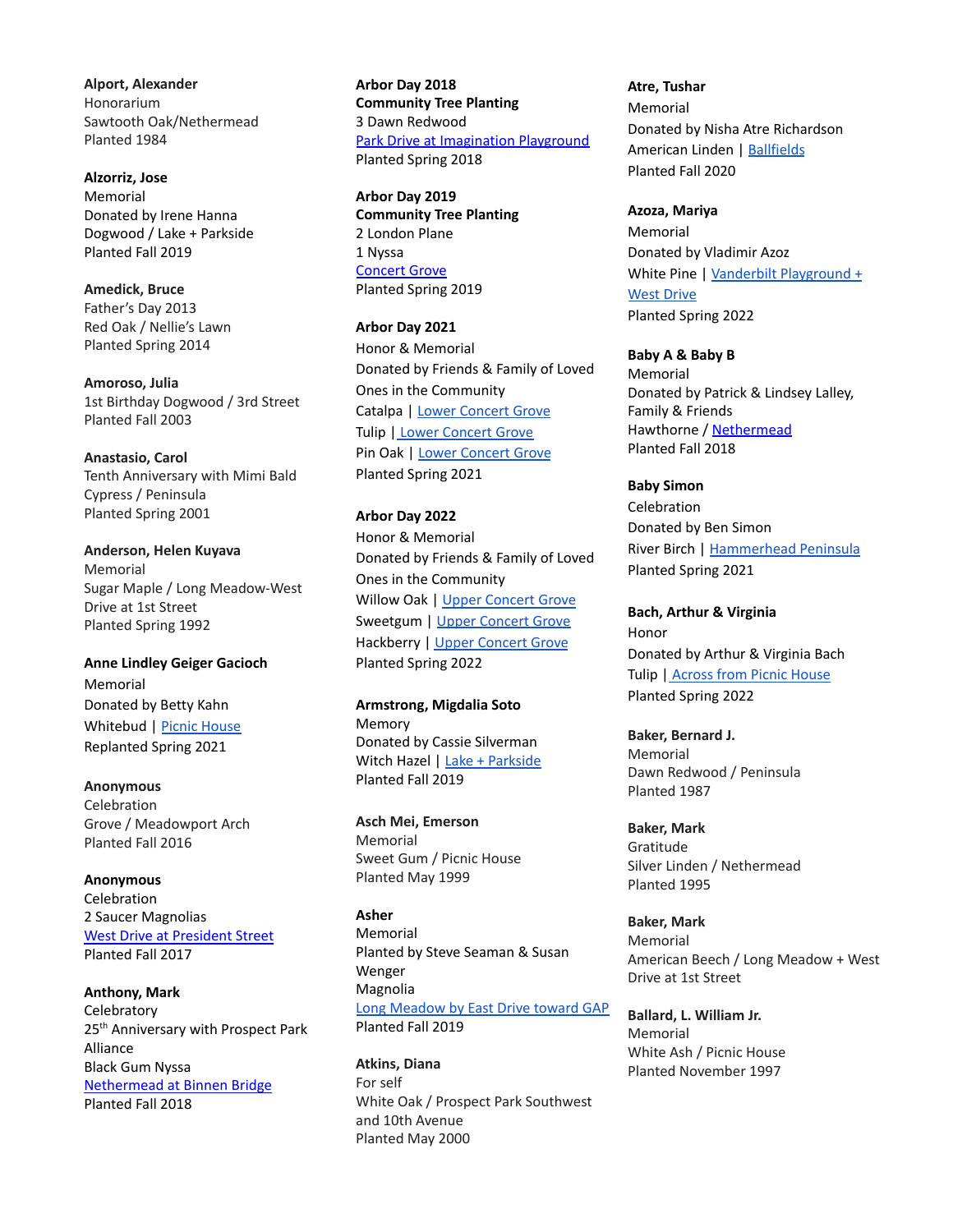**Alport, Alexander** Honorarium Sawtooth Oak/Nethermead Planted 1984

**Alzorriz, Jose** Memorial Donated by Irene Hanna Dogwood / Lake + Parkside Planted Fall 2019

**Amedick, Bruce** Father's Day 2013 Red Oak / Nellie's Lawn Planted Spring 2014

**Amoroso, Julia** 1st Birthday Dogwood / 3rd Street Planted Fall 2003

**Anastasio, Carol** Tenth Anniversary with Mimi Bald Cypress / Peninsula Planted Spring 2001

**Anderson, Helen Kuyava** Memorial Sugar Maple / Long Meadow-West Drive at 1st Street Planted Spring 1992

**Anne Lindley Geiger Gacioch** Memorial Donated by Betty Kahn Whitebud | Picnic [House](https://goo.gl/maps/d4sRkRhPmphG2cxn6) Replanted Spring 2021

**Anonymous** Celebration Grove / Meadowport Arch Planted Fall 2016

**Anonymous** Celebration 2 Saucer Magnolias West Drive at [President](https://goo.gl/maps/pBwL5K5kGBR2) Street Planted Fall 2017

**Anthony, Mark Celebratory** 25<sup>th</sup> Anniversary with Prospect Park Alliance Black Gum Nyssa [Nethermead](https://goo.gl/maps/P8EgXYJbaMK2) at Binnen Bridge Planted Fall 2018

**Arbor Day 2018 Community Tree Planting** 3 Dawn Redwood Park Drive at [Imagination](https://goo.gl/maps/zPseoMpRvBv) Playground Planted Spring 2018

**Arbor Day 2019 Community Tree Planting** 2 London Plane 1 Nyssa [Concert](https://goo.gl/maps/H9eWXMU9y472) Grove Planted Spring 2019

**Arbor Day 2021** Honor & Memorial Donated by Friends & Family of Loved Ones in the Community Catalpa | Lower [Concert](https://goo.gl/maps/8yBFZFYMrZyxFWs67) Grove Tulip | Lower [Concert](https://goo.gl/maps/YePKDrM3WYVpxDh3A) Grove Pin Oak | Lower [Concert](https://goo.gl/maps/vZbyBtL921UKcbTe7) Grove Planted Spring 2021

**Arbor Day 2022** Honor & Memorial Donated by Friends & Family of Loved Ones in the Community Willow Oak | Upper [Concert](https://goo.gl/maps/8oX51Z82CVm7P6CH8) Grove Sweetgum | Upper [Concert](https://goo.gl/maps/kbLeuLzqujof1Qfv6) Grove Hackberry | Upper [Concert](https://goo.gl/maps/s3dFz1RsUprh1tpZ8) Grove Planted Spring 2022

**Armstrong, Migdalia Soto** Memory Donated by Cassie Silverman Witch Hazel | Lake + [Parkside](https://goo.gl/maps/yiguYA6UFzq1GHsB6) Planted Fall 2019

**Asch Mei, Emerson** Memorial Sweet Gum / Picnic House Planted May 1999

**Asher** Memorial Planted by Steve Seaman & Susan Wenger Magnolia Long [Meadow](https://goo.gl/maps/rcG7vLUGNWvEnmuu7) by East Drive toward GAP Planted Fall 2019

**Atkins, Diana** For self White Oak / Prospect Park Southwest and 10th Avenue Planted May 2000

**Atre, Tushar** Memorial Donated by Nisha Atre Richardson American Linden | [Ballfields](https://goo.gl/maps/iG2dPvcBmttLSn2s6) Planted Fall 2020

**Azoza, Mariya** Memorial Donated by Vladimir Azoz White Pine | Vanderbilt [Playground](https://goo.gl/maps/8RKwSSwN7YF3dk77A) + **West [Drive](https://goo.gl/maps/8RKwSSwN7YF3dk77A)** Planted Spring 2022

**Baby A & Baby B**

Memorial Donated by Patrick & Lindsey Lalley, Family & Friends Hawthorne / [Nethermead](https://goo.gl/maps/LvmJiATwa7L2) Planted Fall 2018

**Baby Simon** Celebration Donated by Ben Simon River Birch | [Hammerhead](https://goo.gl/maps/778NRz8fUANHNRDV6) Peninsula Planted Spring 2021

**Bach, Arthur & Virginia** Honor Donated by Arthur & Virginia Bach Tulip | [Across](https://goo.gl/maps/YSynQwfbdJVPcLuT7) from Picnic House Planted Spring 2022

**Baker, Bernard J.** Memorial Dawn Redwood / Peninsula Planted 1987

**Baker, Mark** Gratitude Silver Linden / Nethermead Planted 1995

**Baker, Mark** Memorial American Beech / Long Meadow + West Drive at 1st Street

**Ballard, L. William Jr.** Memorial White Ash / Picnic House Planted November 1997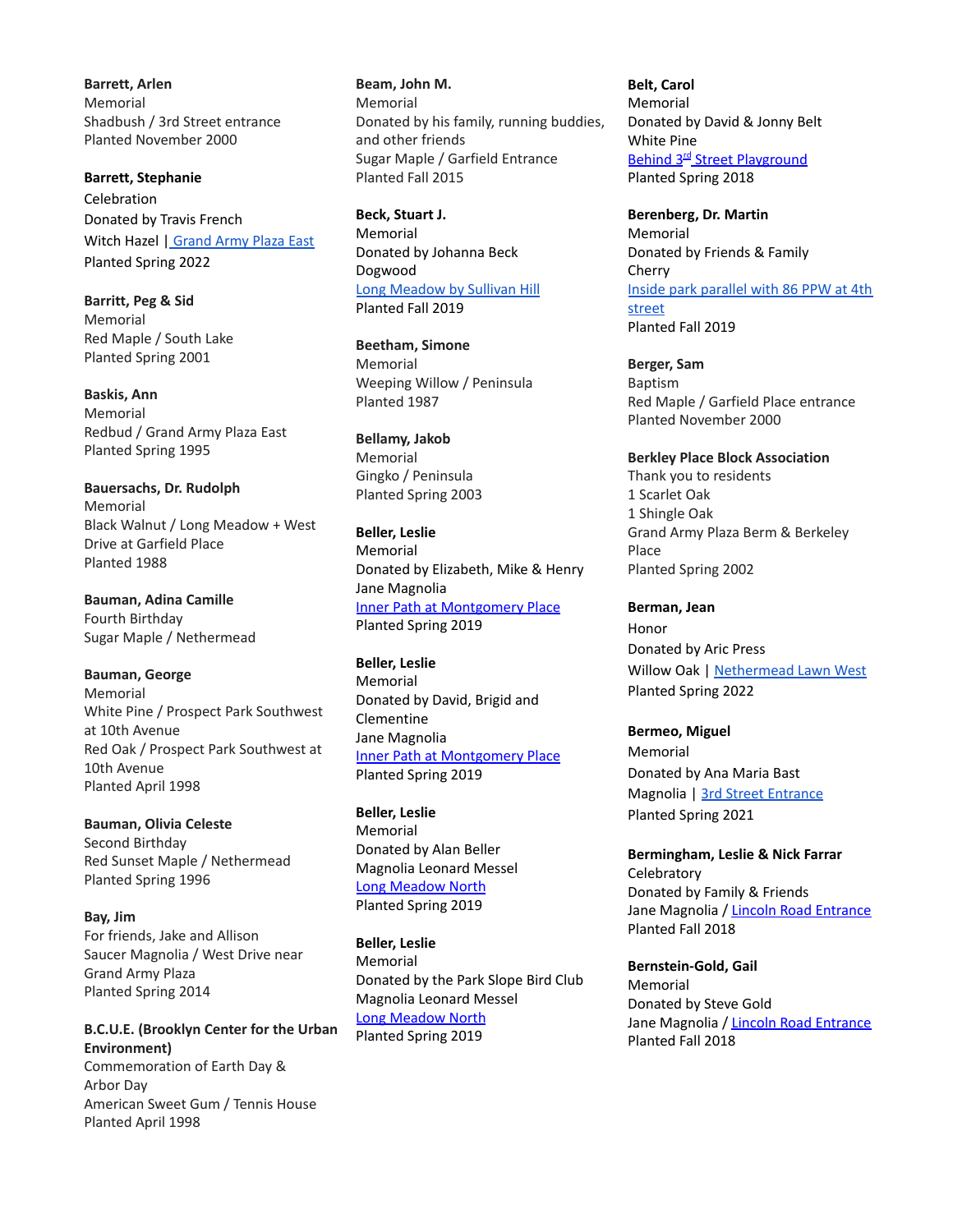**Barrett, Arlen** Memorial Shadbush / 3rd Street entrance Planted November 2000

**Barrett, Stephanie** Celebration Donated by Travis French Witch Hazel | [Grand](https://goo.gl/maps/1GwJPHEjTXNa335G9) Army Plaza East Planted Spring 2022

**Barritt, Peg & Sid** Memorial Red Maple / South Lake Planted Spring 2001

**Baskis, Ann** Memorial Redbud / Grand Army Plaza East Planted Spring 1995

**Bauersachs, Dr. Rudolph** Memorial Black Walnut / Long Meadow + West Drive at Garfield Place Planted 1988

**Bauman, Adina Camille** Fourth Birthday Sugar Maple / Nethermead

**Bauman, George** Memorial White Pine / Prospect Park Southwest at 10th Avenue Red Oak / Prospect Park Southwest at 10th Avenue Planted April 1998

**Bauman, Olivia Celeste** Second Birthday Red Sunset Maple / Nethermead Planted Spring 1996

**Bay, Jim** For friends, Jake and Allison Saucer Magnolia / West Drive near Grand Army Plaza Planted Spring 2014

**B.C.U.E. (Brooklyn Center for the Urban Environment)** Commemoration of Earth Day &

Arbor Day American Sweet Gum / Tennis House Planted April 1998

**Beam, John M.** Memorial Donated by his family, running buddies, and other friends Sugar Maple / Garfield Entrance Planted Fall 2015

**Beck, Stuart J.** Memorial Donated by Johanna Beck Dogwood Long [Meadow](https://goo.gl/maps/SLNZcJNeuhMCK44P7) by Sullivan Hill Planted Fall 2019

**Beetham, Simone** Memorial Weeping Willow / Peninsula Planted 1987

**Bellamy, Jakob** Memorial Gingko / Peninsula Planted Spring 2003

**Beller, Leslie** Memorial Donated by Elizabeth, Mike & Henry Jane Magnolia Inner Path at [Montgomery](https://goo.gl/maps/5XMZLzQffWC2) Place Planted Spring 2019

**Beller, Leslie** Memorial Donated by David, Brigid and Clementine Jane Magnolia Inner Path at [Montgomery](https://goo.gl/maps/5XMZLzQffWC2) Place Planted Spring 2019

**Beller, Leslie** Memorial Donated by Alan Beller Magnolia Leonard Messel Long [Meadow](https://goo.gl/maps/rjARmsQfArYdEESq8) North Planted Spring 2019

**Beller, Leslie** Memorial Donated by the Park Slope Bird Club Magnolia Leonard Messel Long [Meadow](https://goo.gl/maps/rjARmsQfArYdEESq8) North Planted Spring 2019

**Belt, Carol** Memorial Donated by David & Jonny Belt White Pine Behind 3<sup>rd</sup> Street [Playground](https://goo.gl/maps/KFRppeeKGN82) Planted Spring 2018

**Berenberg, Dr. Martin** Memorial Donated by Friends & Family Cherry Inside park [parallel](https://goo.gl/maps/Qpsqq9TfaGdAWmLaA) with 86 PPW at 4th [street](https://goo.gl/maps/Qpsqq9TfaGdAWmLaA) Planted Fall 2019

**Berger, Sam** Baptism Red Maple / Garfield Place entrance Planted November 2000

**Berkley Place Block Association** Thank you to residents 1 Scarlet Oak 1 Shingle Oak Grand Army Plaza Berm & Berkeley Place Planted Spring 2002

**Berman, Jean** Honor Donated by Aric Press Willow Oak | [Nethermead](https://goo.gl/maps/EPqn2QX58tApUDJy8) Lawn West Planted Spring 2022

**Bermeo, Miguel** Memorial Donated by Ana Maria Bast Magnolia | 3rd Street [Entrance](https://goo.gl/maps/AXcUBM2k1NRXs1Aw6) Planted Spring 2021

**Bermingham, Leslie & Nick Farrar Celebratory** Donated by Family & Friends Jane Magnolia / Lincoln Road [Entrance](https://goo.gl/maps/azzqDqXcH2T2) Planted Fall 2018

**Bernstein-Gold, Gail** Memorial Donated by Steve Gold Jane Magnolia / Lincoln Road [Entrance](https://goo.gl/maps/azzqDqXcH2T2) Planted Fall 2018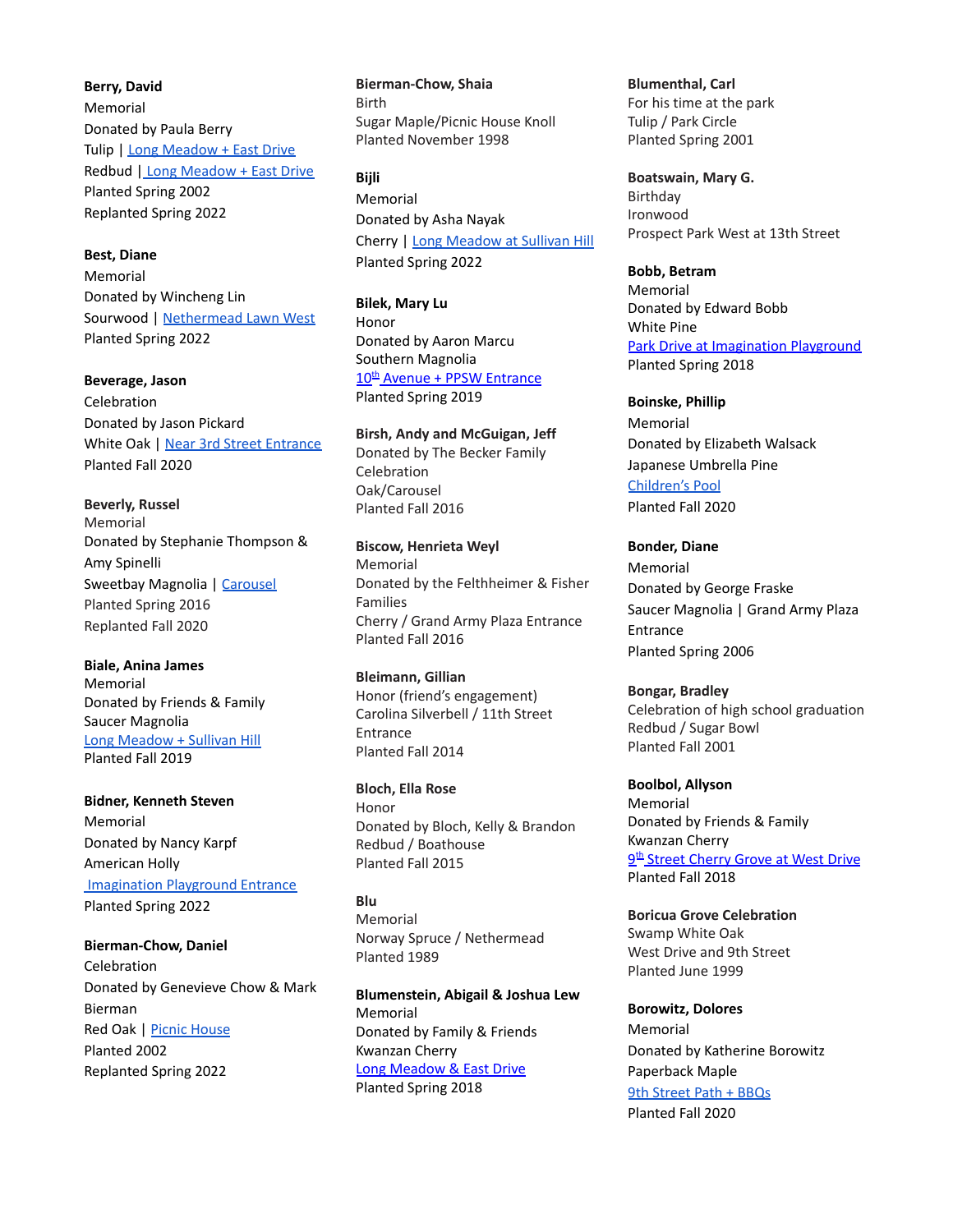**Berry, David** Memorial Donated by Paula Berry Tulip | Long [Meadow](https://goo.gl/maps/fxm5McREXiiLgbsk9) + East Drive Redbud | Long [Meadow](https://goo.gl/maps/QkTTgFyaij7ysVhc7) + East Drive Planted Spring 2002 Replanted Spring 2022

**Best, Diane**

Memorial Donated by Wincheng Lin Sourwood | [Nethermead](https://goo.gl/maps/4EL74CxMp6RczYHV7) Lawn West Planted Spring 2022

**Beverage, Jason** Celebration Donated by Jason Pickard White Oak | Near 3rd Street [Entrance](https://goo.gl/maps/C7H5WmjJXQUShZdk9) Planted Fall 2020

**Beverly, Russel** Memorial Donated by Stephanie Thompson & Amy Spinelli Sweetbay Magnolia | [Carousel](https://goo.gl/maps/H7et4aS4VLa8BkMB8) Planted Spring 2016 Replanted Fall 2020

**Biale, Anina James** Memorial Donated by Friends & Family Saucer Magnolia Long [Meadow](https://goo.gl/maps/poSq1kywHtHEwQSQ) + Sullivan Hill Planted Fall 2019

**Bidner, Kenneth Steven** Memorial Donated by Nancy Karpf American Holly [Imagination](https://goo.gl/maps/54YkytXdhDemMthHA) Playground Entrance Planted Spring 2022

**Bierman-Chow, Daniel** Celebration Donated by Genevieve Chow & Mark Bierman Red Oak | Picnic [House](https://goo.gl/maps/PJLi1TXap2bUyMa89) Planted 2002 Replanted Spring 2022

**Bierman-Chow, Shaia** Birth Sugar Maple/Picnic House Knoll Planted November 1998

**Bijli** Memorial Donated by Asha Nayak Cherry | Long [Meadow](https://goo.gl/maps/4NkUyTLiMQ8e6eP66) at Sullivan Hill Planted Spring 2022

**Bilek, Mary Lu** Honor Donated by Aaron Marcu Southern Magnolia 10<sup>th</sup> Avenue + PPSW [Entrance](https://goo.gl/maps/deskLGad6CG2) Planted Spring 2019

**Birsh, Andy and McGuigan, Jeff** Donated by The Becker Family Celebration Oak/Carousel Planted Fall 2016

**Biscow, Henrieta Weyl** Memorial Donated by the Felthheimer & Fisher Families Cherry / Grand Army Plaza Entrance Planted Fall 2016

**Bleimann, Gillian** Honor (friend's engagement) Carolina Silverbell / 11th Street Entrance Planted Fall 2014

**Bloch, Ella Rose** Honor Donated by Bloch, Kelly & Brandon Redbud / Boathouse Planted Fall 2015

**Blu** Memorial Norway Spruce / Nethermead Planted 1989

**Blumenstein, Abigail & Joshua Lew** Memorial Donated by Family & Friends Kwanzan Cherry Long [Meadow](https://goo.gl/maps/q2YwUCzrVPR2) & East Drive Planted Spring 2018

**Blumenthal, Carl** For his time at the park Tulip / Park Circle Planted Spring 2001

**Boatswain, Mary G.** Birthday Ironwood Prospect Park West at 13th Street

**Bobb, Betram** Memorial Donated by Edward Bobb White Pine Park Drive at [Imagination](https://goo.gl/maps/ouaGByyxcpk) Playground Planted Spring 2018

**Boinske, Phillip** Memorial Donated by Elizabeth Walsack Japanese Umbrella Pine [Children's](https://goo.gl/maps/G144p3V4mJxSyjYf8) Pool Planted Fall 2020

**Bonder, Diane** Memorial Donated by George Fraske Saucer Magnolia | Grand Army Plaza Entrance Planted Spring 2006

**Bongar, Bradley** Celebration of high school graduation Redbud / Sugar Bowl Planted Fall 2001

**Boolbol, Allyson** Memorial Donated by Friends & Family Kwanzan Cherry <u>9<sup>th</sup> Street [Cherry](https://goo.gl/maps/bw1JQB7DtPz) Grove at West Drive</u> Planted Fall 2018

**Boricua Grove Celebration** Swamp White Oak West Drive and 9th Street Planted June 1999

**Borowitz, Dolores** Memorial Donated by Katherine Borowitz Paperback Maple 9th [Street](https://goo.gl/maps/aZXgx5wuqi9Dd9NX8) Path + BBQs Planted Fall 2020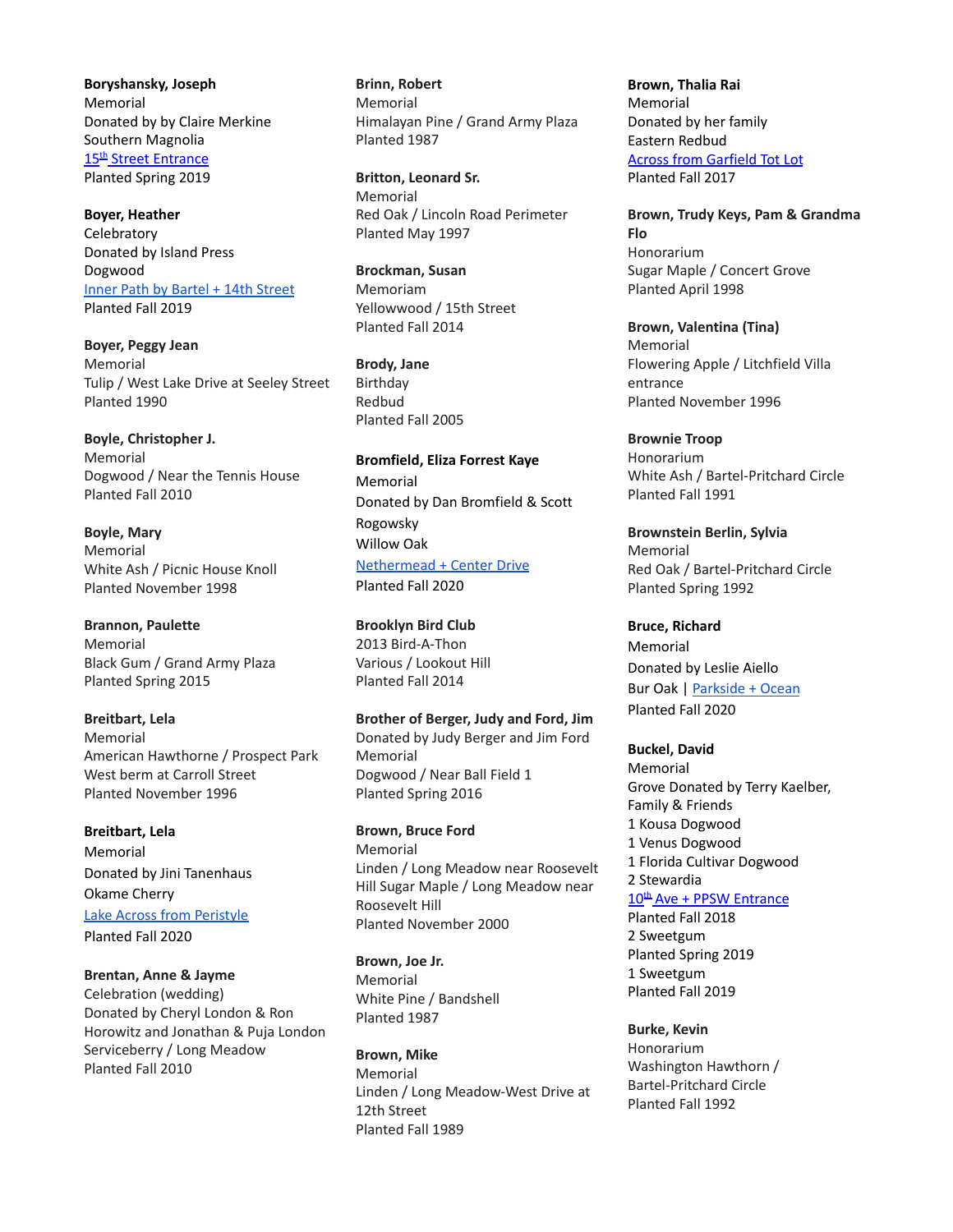**Boryshansky, Joseph** Memorial Donated by by Claire Merkine Southern Magnolia 15<sup>th</sup> Street [Entrance](https://goo.gl/maps/SXg8SNhToaM2) Planted Spring 2019

**Boyer, Heather Celebratory** Donated by Island Press Dogwood Inner Path by [Bartel](https://goo.gl/maps/2tZLqRtZQr9qvQbPA) + 14th Street Planted Fall 2019

**Boyer, Peggy Jean** Memorial Tulip / West Lake Drive at Seeley Street Planted 1990

**Boyle, Christopher J.** Memorial Dogwood / Near the Tennis House Planted Fall 2010

**Boyle, Mary** Memorial White Ash / Picnic House Knoll Planted November 1998

**Brannon, Paulette** Memorial Black Gum / Grand Army Plaza Planted Spring 2015

**Breitbart, Lela** Memorial American Hawthorne / Prospect Park West berm at Carroll Street Planted November 1996

**Breitbart, Lela** Memorial Donated by Jini Tanenhaus Okame Cherry Lake Across from [Peristyle](https://goo.gl/maps/D7Z9QdRWqfwq7HQZ7) Planted Fall 2020

**Brentan, Anne & Jayme** Celebration (wedding) Donated by Cheryl London & Ron Horowitz and Jonathan & Puja London Serviceberry / Long Meadow Planted Fall 2010

**Brinn, Robert** Memorial Himalayan Pine / Grand Army Plaza Planted 1987

**Britton, Leonard Sr.** Memorial Red Oak / Lincoln Road Perimeter Planted May 1997

**Brockman, Susan** Memoriam Yellowwood / 15th Street Planted Fall 2014

**Brody, Jane** Birthday Redbud Planted Fall 2005

**Bromfield, Eliza Forrest Kaye** Memorial Donated by Dan Bromfield & Scott Rogowsky Willow Oak [Nethermead](https://goo.gl/maps/keor5VKeht6sLaTq9) + Center Drive Planted Fall 2020

**Brooklyn Bird Club** 2013 Bird-A-Thon Various / Lookout Hill Planted Fall 2014

**Brother of Berger, Judy and Ford, Jim** Donated by Judy Berger and Jim Ford Memorial Dogwood / Near Ball Field 1 Planted Spring 2016

**Brown, Bruce Ford** Memorial Linden / Long Meadow near Roosevelt Hill Sugar Maple / Long Meadow near Roosevelt Hill Planted November 2000

**Brown, Joe Jr.** Memorial White Pine / Bandshell Planted 1987

**Brown, Mike** Memorial Linden / Long Meadow-West Drive at 12th Street Planted Fall 1989

**Brown, Thalia Rai** Memorial Donated by her family Eastern Redbud Across from [Garfield](https://goo.gl/maps/ALy8QiwHVpK2) Tot Lot Planted Fall 2017

**Brown, Trudy Keys, Pam & Grandma Flo** Honorarium Sugar Maple / Concert Grove Planted April 1998

**Brown, Valentina (Tina)** Memorial Flowering Apple / Litchfield Villa entrance Planted November 1996

**Brownie Troop** Honorarium White Ash / Bartel-Pritchard Circle Planted Fall 1991

**Brownstein Berlin, Sylvia** Memorial Red Oak / Bartel-Pritchard Circle Planted Spring 1992

**Bruce, Richard** Memorial Donated by Leslie Aiello Bur Oak | [Parkside](https://goo.gl/maps/cHqFbAbfn54oybh67) + Ocean Planted Fall 2020

**Buckel, David** Memorial

Grove Donated by Terry Kaelber, Family & Friends 1 Kousa Dogwood 1 Venus Dogwood 1 Florida Cultivar Dogwood 2 Stewardia 10<sup>th</sup> Ave + PPSW [Entrance](https://goo.gl/maps/deskLGad6CG2) Planted Fall 2018 2 Sweetgum

Planted Spring 2019 1 Sweetgum Planted Fall 2019

**Burke, Kevin** Honorarium Washington Hawthorn / Bartel-Pritchard Circle Planted Fall 1992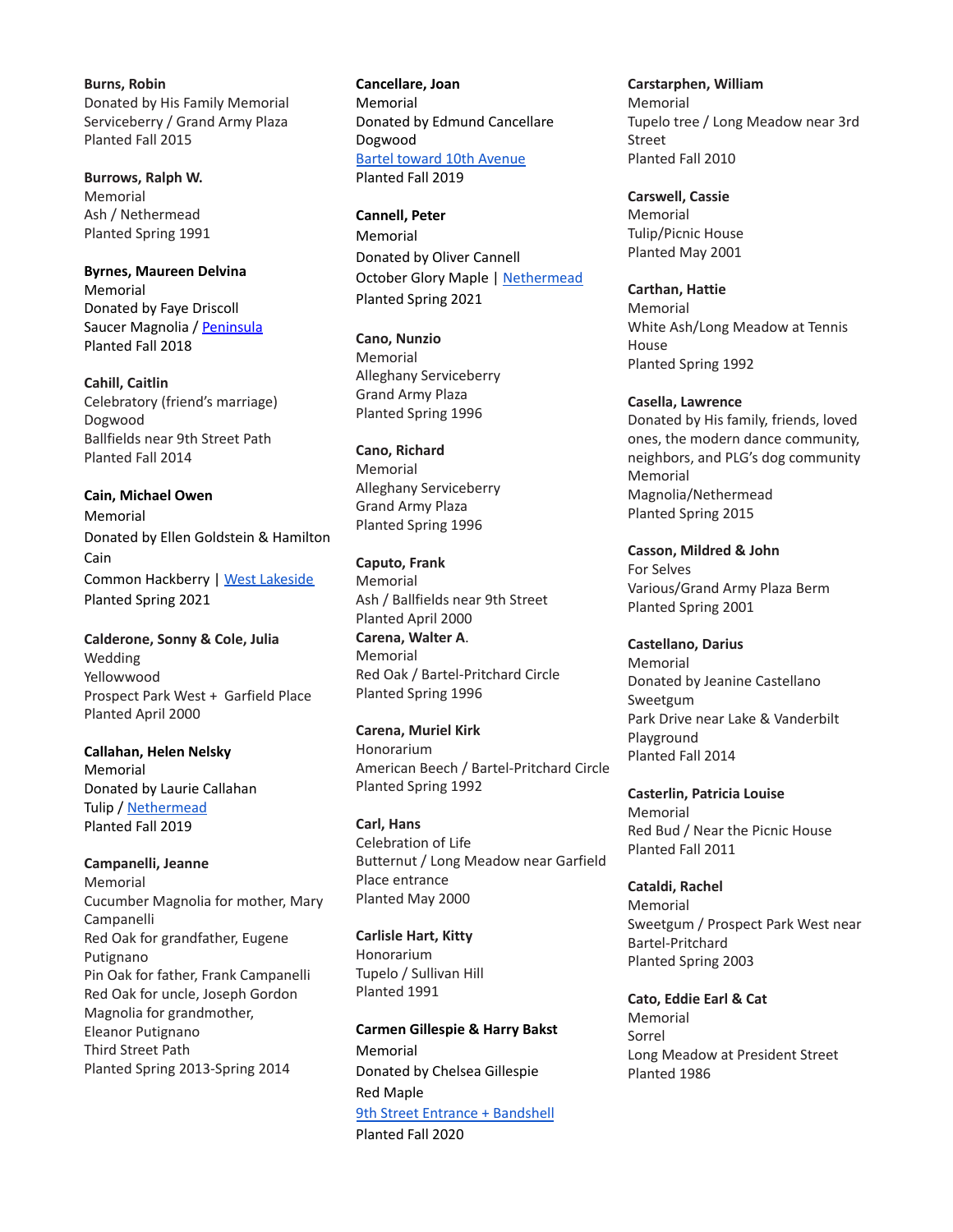**Burns, Robin** Donated by His Family Memorial Serviceberry / Grand Army Plaza Planted Fall 2015

**Burrows, Ralph W.** Memorial Ash / Nethermead Planted Spring 1991

**Byrnes, Maureen Delvina** Memorial Donated by Faye Driscoll Saucer Magnolia / [Peninsula](https://goo.gl/maps/nfv264hyg3Z8j2YNA) Planted Fall 2018

**Cahill, Caitlin** Celebratory (friend's marriage) Dogwood Ballfields near 9th Street Path Planted Fall 2014

**Cain, Michael Owen** Memorial Donated by Ellen Goldstein & Hamilton Cain Common Hackberry | West [Lakeside](https://goo.gl/maps/Cjd8bfT5EuL39neK8) Planted Spring 2021

**Calderone, Sonny & Cole, Julia** Wedding Yellowwood Prospect Park West + Garfield Place Planted April 2000

**Callahan, Helen Nelsky** Memorial Donated by Laurie Callahan Tulip / [Nethermead](https://goo.gl/maps/3NmBqdDtGo7cSAst8) Planted Fall 2019

**Campanelli, Jeanne** Memorial Cucumber Magnolia for mother, Mary Campanelli Red Oak for grandfather, Eugene Putignano Pin Oak for father, Frank Campanelli Red Oak for uncle, Joseph Gordon Magnolia for grandmother, Eleanor Putignano Third Street Path Planted Spring 2013-Spring 2014

**Cancellare, Joan** Memorial Donated by Edmund Cancellare Dogwood Bartel toward 10th [Avenue](https://goo.gl/maps/oepTvzuqtvvnAak1A) Planted Fall 2019

**Cannell, Peter** Memorial Donated by Oliver Cannell October Glory Maple | [Nethermead](https://goo.gl/maps/pPvRqqwpZEcdTkN87) Planted Spring 2021

**Cano, Nunzio** Memorial Alleghany Serviceberry Grand Army Plaza Planted Spring 1996

**Cano, Richard** Memorial Alleghany Serviceberry Grand Army Plaza Planted Spring 1996

**Caputo, Frank** Memorial Ash / Ballfields near 9th Street Planted April 2000 **Carena, Walter A**. Memorial Red Oak / Bartel-Pritchard Circle Planted Spring 1996

**Carena, Muriel Kirk** Honorarium American Beech / Bartel-Pritchard Circle Planted Spring 1992

**Carl, Hans** Celebration of Life Butternut / Long Meadow near Garfield Place entrance Planted May 2000

**Carlisle Hart, Kitty** Honorarium Tupelo / Sullivan Hill Planted 1991

**Carmen Gillespie & Harry Bakst** Memorial Donated by Chelsea Gillespie Red Maple 9th Street Entrance + [Bandshell](https://goo.gl/maps/2WVcf8wZih7DiEdR8) Planted Fall 2020

**Carstarphen, William** Memorial Tupelo tree / Long Meadow near 3rd Street Planted Fall 2010

**Carswell, Cassie** Memorial Tulip/Picnic House Planted May 2001

**Carthan, Hattie** Memorial White Ash/Long Meadow at Tennis House Planted Spring 1992

**Casella, Lawrence** Donated by His family, friends, loved ones, the modern dance community, neighbors, and PLG's dog community Memorial Magnolia/Nethermead Planted Spring 2015

**Casson, Mildred & John** For Selves Various/Grand Army Plaza Berm Planted Spring 2001

**Castellano, Darius** Memorial Donated by Jeanine Castellano Sweetgum Park Drive near Lake & Vanderbilt Playground Planted Fall 2014

**Casterlin, Patricia Louise** Memorial Red Bud / Near the Picnic House Planted Fall 2011

**Cataldi, Rachel** Memorial Sweetgum / Prospect Park West near Bartel-Pritchard Planted Spring 2003

**Cato, Eddie Earl & Cat** Memorial Sorrel Long Meadow at President Street Planted 1986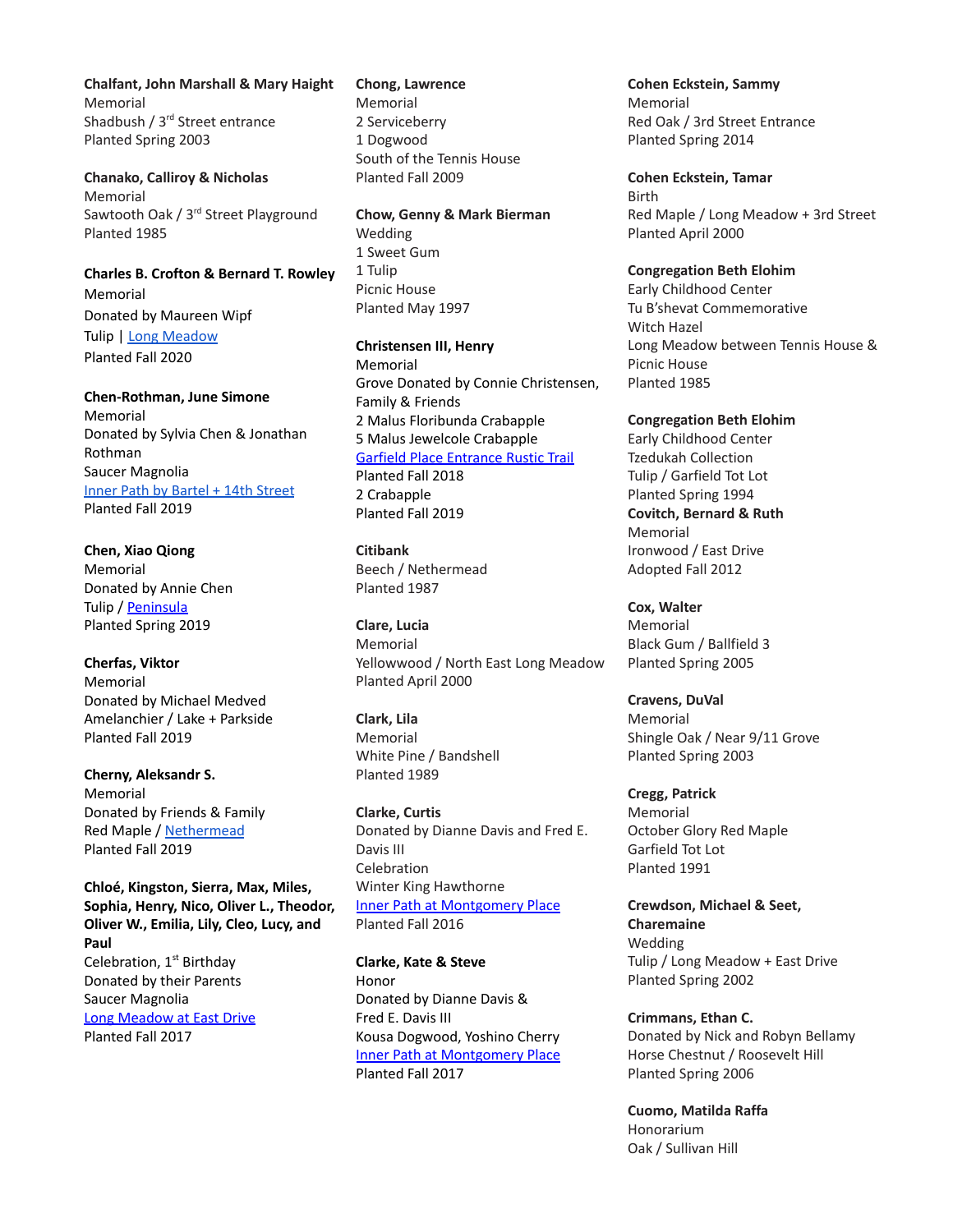**Chalfant, John Marshall & Mary Haight** Memorial Shadbush / 3<sup>rd</sup> Street entrance Planted Spring 2003

**Chanako, Calliroy & Nicholas** Memorial Sawtooth Oak / 3<sup>rd</sup> Street Playground Planted 1985

#### **Charles B. Crofton & Bernard T. Rowley** Memorial

Donated by Maureen Wipf Tulip | Long [Meadow](https://goo.gl/maps/SvsNp1zTQb5f2K7cA) Planted Fall 2020

**Chen-Rothman, June Simone**

Memorial Donated by Sylvia Chen & Jonathan Rothman Saucer Magnolia Inner Path by [Bartel](https://goo.gl/maps/2tZLqRtZQr9qvQbPA%5C) + 14th Street Planted Fall 2019

**Chen, Xiao Qiong** Memorial Donated by Annie Chen Tulip / [Peninsula](https://goo.gl/maps/K7BDDFSv4Qk) Planted Spring 2019

**Cherfas, Viktor** Memorial Donated by Michael Medved Amelanchier / Lake + Parkside Planted Fall 2019

**Cherny, Aleksandr S.** Memorial Donated by Friends & Family Red Maple / [Nethermead](https://goo.gl/maps/9Duoc6a6zXtEVxN79) Planted Fall 2019

**Chloé, Kingston, Sierra, Max, Miles, Sophia, Henry, Nico, Oliver L., Theodor, Oliver W., Emilia, Lily, Cleo, Lucy, and Paul** Celebration, 1<sup>st</sup> Birthday Donated by their Parents Saucer Magnolia Long [Meadow](https://goo.gl/maps/JwVVpLdGvH62) at East Drive Planted Fall 2017

**Chong, Lawrence** Memorial 2 Serviceberry 1 Dogwood South of the Tennis House Planted Fall 2009

**Chow, Genny & Mark Bierman** Wedding 1 Sweet Gum 1 Tulip Picnic House Planted May 1997

**Christensen III, Henry** Memorial Grove Donated by Connie Christensen, Family & Friends 2 Malus Floribunda Crabapple 5 Malus Jewelcole Crabapple Garfield Place [Entrance](https://goo.gl/maps/bo62Uh71qfN2) Rustic Trail Planted Fall 2018 2 Crabapple Planted Fall 2019

**Citibank** Beech / Nethermead Planted 1987

**Clare, Lucia** Memorial Yellowwood / North East Long Meadow Planted April 2000

**Clark, Lila** Memorial White Pine / Bandshell Planted 1989

**Clarke, Curtis** Donated by Dianne Davis and Fred E. Davis III **Celebration** Winter King Hawthorne Inner Path at [Montgomery](https://goo.gl/maps/5XMZLzQffWC2) Place Planted Fall 2016

**Clarke, Kate & Steve** Honor Donated by Dianne Davis & Fred E. Davis III Kousa Dogwood, Yoshino Cherry Inner Path at [Montgomery](https://goo.gl/maps/5XMZLzQffWC2) Place Planted Fall 2017

**Cohen Eckstein, Sammy** Memorial Red Oak / 3rd Street Entrance Planted Spring 2014

**Cohen Eckstein, Tamar** Birth Red Maple / Long Meadow + 3rd Street Planted April 2000

**Congregation Beth Elohim**

Early Childhood Center Tu B'shevat Commemorative Witch Hazel Long Meadow between Tennis House & Picnic House Planted 1985

**Congregation Beth Elohim** Early Childhood Center Tzedukah Collection Tulip / Garfield Tot Lot Planted Spring 1994 **Covitch, Bernard & Ruth** Memorial Ironwood / East Drive Adopted Fall 2012

**Cox, Walter** Memorial Black Gum / Ballfield 3 Planted Spring 2005

**Cravens, DuVal** Memorial Shingle Oak / Near 9/11 Grove Planted Spring 2003

**Cregg, Patrick** Memorial October Glory Red Maple Garfield Tot Lot Planted 1991

**Crewdson, Michael & Seet, Charemaine** Wedding Tulip / Long Meadow + East Drive Planted Spring 2002

**Crimmans, Ethan C.** Donated by Nick and Robyn Bellamy Horse Chestnut / Roosevelt Hill Planted Spring 2006

**Cuomo, Matilda Raffa** Honorarium Oak / Sullivan Hill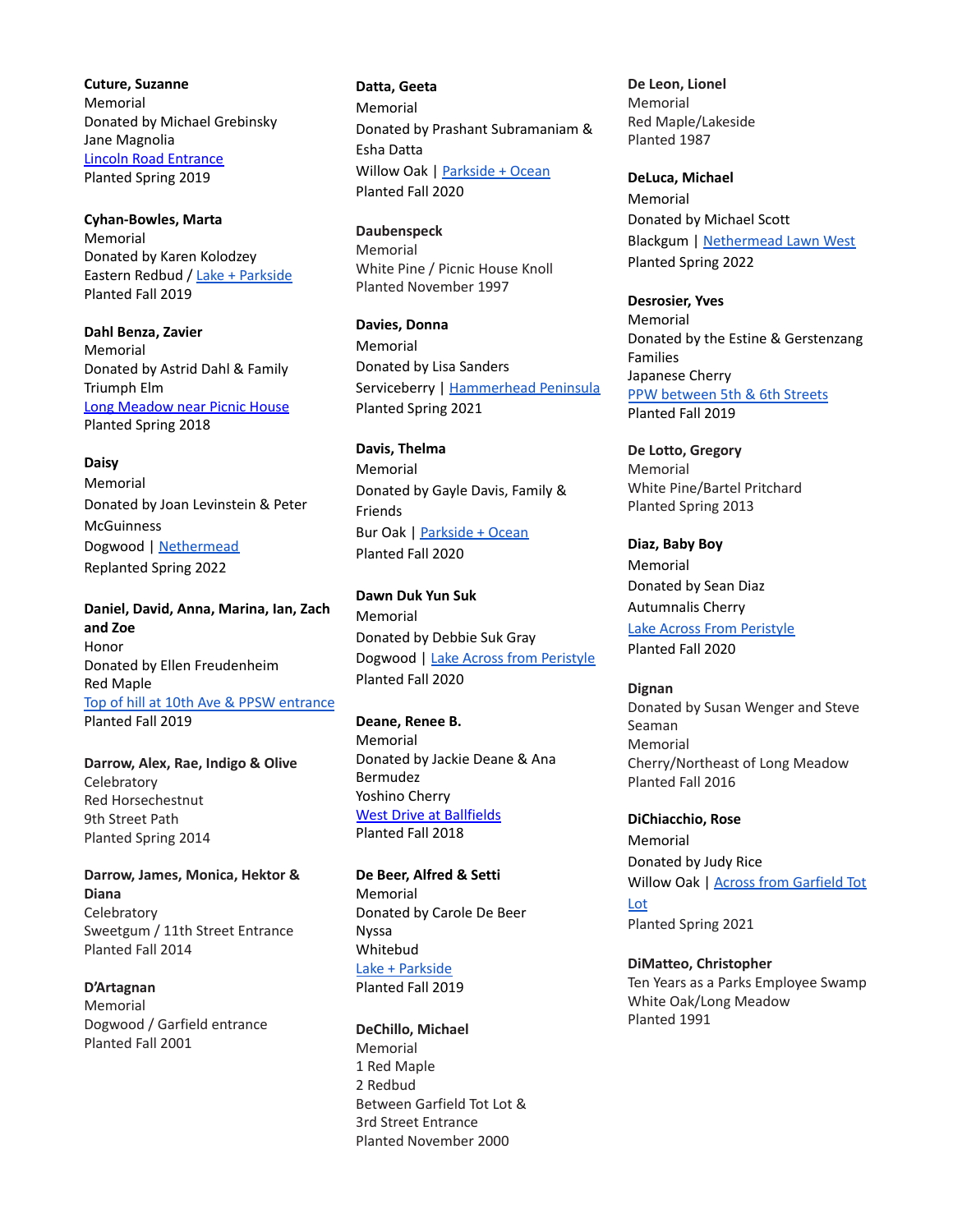**Cuture, Suzanne** Memorial Donated by Michael Grebinsky Jane Magnolia Lincoln Road [Entrance](https://goo.gl/maps/SVzZYoihL4RZJmrC8) Planted Spring 2019

**Cyhan-Bowles, Marta** Memorial Donated by Karen Kolodzey Eastern Redbud / Lake + [Parkside](https://goo.gl/maps/yiguYA6UFzq1GHsB6) Planted Fall 2019

**Dahl Benza, Zavier** Memorial Donated by Astrid Dahl & Family Triumph Elm Long [Meadow](https://goo.gl/maps/H83phcX5FE22) near Picnic House Planted Spring 2018

**Daisy**

Memorial Donated by Joan Levinstein & Peter **McGuinness** Dogwood | [Nethermead](https://goo.gl/maps/nMHuZ5CCGMKdrTeU6) Replanted Spring 2022

**Daniel, David, Anna, Marina, Ian, Zach and Zoe** Honor Donated by Ellen Freudenheim Red Maple Top of hill at 10th Ave & PPSW [entrance](https://goo.gl/maps/7gq68FzxBbXNHRj6A) Planted Fall 2019

**Darrow, Alex, Rae, Indigo & Olive Celebratory** Red Horsechestnut 9th Street Path Planted Spring 2014

**Darrow, James, Monica, Hektor & Diana Celebratory** Sweetgum / 11th Street Entrance Planted Fall 2014

**D'Artagnan** Memorial Dogwood / Garfield entrance Planted Fall 2001

**Datta, Geeta** Memorial Donated by Prashant Subramaniam & Esha Datta Willow Oak | [Parkside](https://goo.gl/maps/qqsidMJuwi4KiAVq8) + Ocean Planted Fall 2020

**Daubenspeck** Memorial White Pine / Picnic House Knoll Planted November 1997

**Davies, Donna** Memorial Donated by Lisa Sanders Serviceberry | [Hammerhead](https://goo.gl/maps/LS3PnKP23Gb51uba9) Peninsula Planted Spring 2021

**Davis, Thelma** Memorial Donated by Gayle Davis, Family & Friends Bur Oak | [Parkside](https://goo.gl/maps/ewDGurPvZSDtZyor9) + Ocean Planted Fall 2020

**Dawn Duk Yun Suk** Memorial Donated by Debbie Suk Gray Dogwood | Lake Across from [Peristyle](https://goo.gl/maps/4P6sBV9jESpNzByS7) Planted Fall 2020

**Deane, Renee B.** Memorial Donated by Jackie Deane & Ana Bermudez Yoshino Cherry West Drive at [Ballfields](https://goo.gl/maps/gDM99tya9uw) Planted Fall 2018

**De Beer, Alfred & Setti** Memorial Donated by Carole De Beer Nyssa Whitebud Lake + [Parkside](https://goo.gl/maps/yiguYA6UFzq1GHsB6) Planted Fall 2019

**DeChillo, Michael** Memorial 1 Red Maple 2 Redbud Between Garfield Tot Lot & 3rd Street Entrance Planted November 2000

**De Leon, Lionel** Memorial Red Maple/Lakeside Planted 1987

**DeLuca, Michael** Memorial Donated by Michael Scott Blackgum | [Nethermead](https://goo.gl/maps/vXukyv3wQp8e4dVX6) Lawn West Planted Spring 2022

**Desrosier, Yves** Memorial Donated by the Estine & Gerstenzang Families Japanese Cherry PPW [between](https://goo.gl/maps/wfnFYWo3ELuZnKSN8) 5th & 6th Streets Planted Fall 2019

**De Lotto, Gregory** Memorial White Pine/Bartel Pritchard Planted Spring 2013

**Diaz, Baby Boy** Memorial Donated by Sean Diaz Autumnalis Cherry Lake Across From [Peristyle](https://goo.gl/maps/HpdLZhVJ9YZhRtgP9) Planted Fall 2020

**Dignan** Donated by Susan Wenger and Steve Seaman Memorial Cherry/Northeast of Long Meadow Planted Fall 2016

**DiChiacchio, Rose** Memorial Donated by Judy Rice Willow Oak | Across from [Garfield](https://goo.gl/maps/PqGbLBTi9F9jmM3W8) Tot [Lot](https://goo.gl/maps/PqGbLBTi9F9jmM3W8) Planted Spring 2021

**DiMatteo, Christopher** Ten Years as a Parks Employee Swamp White Oak/Long Meadow Planted 1991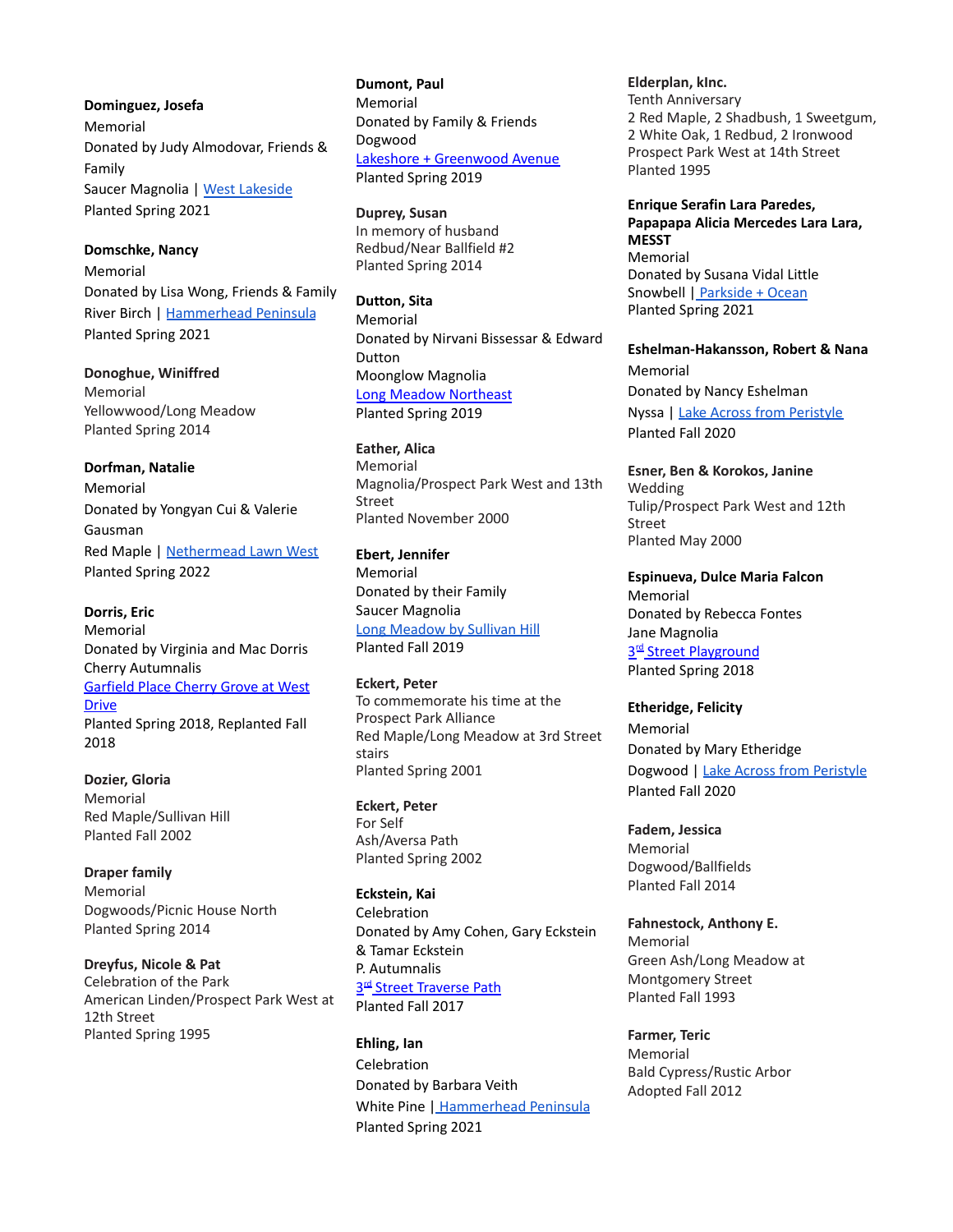**Dominguez, Josefa** Memorial Donated by Judy Almodovar, Friends & Family Saucer Magnolia | West [Lakeside](https://goo.gl/maps/9iQFt7TgWDqeXAVUA) Planted Spring 2021

**Domschke, Nancy** Memorial Donated by Lisa Wong, Friends & Family River Birch | [Hammerhead](https://goo.gl/maps/YiChiexbSUM8ynAJ7) Peninsula Planted Spring 2021

**Donoghue, Winiffred** Memorial Yellowwood/Long Meadow Planted Spring 2014

**Dorfman, Natalie** Memorial Donated by Yongyan Cui & Valerie Gausman Red Maple | [Nethermead](https://goo.gl/maps/51QcUufKtPofsSfr7) Lawn West Planted Spring 2022

**Dorris, Eric** Memorial Donated by Virginia and Mac Dorris Cherry Autumnalis [Garfield](https://goo.gl/maps/7LUAQjoyQFT2) Place Cherry Grove at West **[Drive](https://goo.gl/maps/7LUAQjoyQFT2)** Planted Spring 2018, Replanted Fall 2018

**Dozier, Gloria** Memorial Red Maple/Sullivan Hill Planted Fall 2002

**Draper family** Memorial Dogwoods/Picnic House North Planted Spring 2014

**Dreyfus, Nicole & Pat** Celebration of the Park American Linden/Prospect Park West at 12th Street Planted Spring 1995

**Dumont, Paul** Memorial Donated by Family & Friends Dogwood Lakeshore + [Greenwood](https://goo.gl/maps/FCLEdaotjhS2) Avenue Planted Spring 2019

**Duprey, Susan** In memory of husband Redbud/Near Ballfield #2 Planted Spring 2014

**Dutton, Sita** Memorial Donated by Nirvani Bissessar & Edward Dutton Moonglow Magnolia Long Meadow [Northeast](https://goo.gl/maps/XcBFCCUv2up1F4iDA) Planted Spring 2019

**Eather, Alica** Memorial Magnolia/Prospect Park West and 13th Street Planted November 2000

**Ebert, Jennifer** Memorial Donated by their Family Saucer Magnolia Long [Meadow](https://goo.gl/maps/poSq1kywHtHEwQSQ9) by Sullivan Hill Planted Fall 2019

**Eckert, Peter** To commemorate his time at the Prospect Park Alliance Red Maple/Long Meadow at 3rd Street stairs Planted Spring 2001

**Eckert, Peter** For Self Ash/Aversa Path Planted Spring 2002

**Eckstein, Kai** Celebration Donated by Amy Cohen, Gary Eckstein & Tamar Eckstein P. Autumnalis 3<sup>rd</sup> Street [Traverse](https://goo.gl/maps/ypscA3sHxar) Path Planted Fall 2017

**Ehling, Ian** Celebration Donated by Barbara Veith White Pine | [Hammerhead](https://goo.gl/maps/YiChiexbSUM8ynAJ7) Peninsula Planted Spring 2021

**Elderplan, kInc.** Tenth Anniversary 2 Red Maple, 2 Shadbush, 1 Sweetgum, 2 White Oak, 1 Redbud, 2 Ironwood Prospect Park West at 14th Street Planted 1995

**Enrique Serafin Lara Paredes, Papapapa Alicia Mercedes Lara Lara, MESST** Memorial Donated by Susana Vidal Little Snowbell | [Parkside](https://goo.gl/maps/2nZNp6tBzfaZC4h27) + Ocean Planted Spring 2021

**Eshelman-Hakansson, Robert & Nana** Memorial Donated by Nancy Eshelman Nyssa | Lake Across from [Peristyle](https://goo.gl/maps/54PQyF2RbbQ7rPMKA) Planted Fall 2020

**Esner, Ben & Korokos, Janine** Wedding Tulip/Prospect Park West and 12th Street Planted May 2000

**Espinueva, Dulce Maria Falcon** Memorial Donated by Rebecca Fontes Jane Magnolia 3<sup>rd</sup> Street [Playground](https://goo.gl/maps/ninH2ZM5B7P2) Planted Spring 2018

**Etheridge, Felicity** Memorial Donated by Mary Etheridge Dogwood | Lake Across from [Peristyle](https://goo.gl/maps/UgTGMJJcHHEyUC8k7) Planted Fall 2020

**Fadem, Jessica** Memorial Dogwood/Ballfields Planted Fall 2014

**Fahnestock, Anthony E.** Memorial Green Ash/Long Meadow at Montgomery Street Planted Fall 1993

**Farmer, Teric** Memorial Bald Cypress/Rustic Arbor Adopted Fall 2012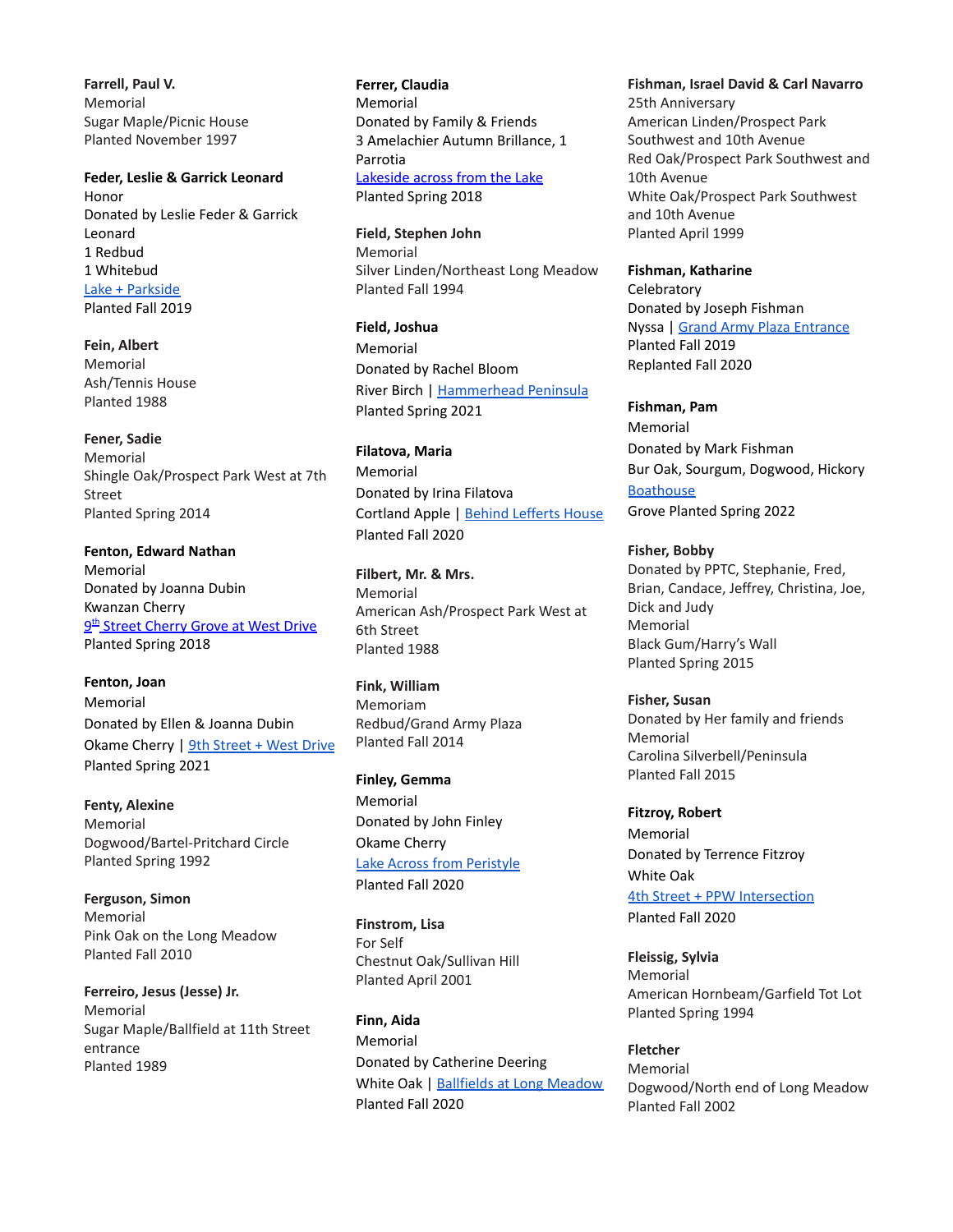**Farrell, Paul V.** Memorial Sugar Maple/Picnic House Planted November 1997

**Feder, Leslie & Garrick Leonard** Honor Donated by Leslie Feder & Garrick Leonard 1 Redbud 1 Whitebud Lake + [Parkside](https://goo.gl/maps/yiguYA6UFzq1GHsB6) Planted Fall 2019

**Fein, Albert** Memorial Ash/Tennis House Planted 1988

### **Fener, Sadie**

Memorial Shingle Oak/Prospect Park West at 7th Street Planted Spring 2014

**Fenton, Edward Nathan** Memorial Donated by Joanna Dubin Kwanzan Cherry <u>9<sup>th</sup> Street [Cherry](https://goo.gl/maps/bw1JQB7DtPz) Grove at West Drive</u> Planted Spring 2018

**Fenton, Joan** Memorial Donated by Ellen & Joanna Dubin Okame Cherry | 9th [Street](https://goo.gl/maps/VZzgb2dRnFWs1cU36) + West Drive Planted Spring 2021

**Fenty, Alexine** Memorial Dogwood/Bartel-Pritchard Circle Planted Spring 1992

**Ferguson, Simon** Memorial Pink Oak on the Long Meadow Planted Fall 2010

**Ferreiro, Jesus (Jesse) Jr.** Memorial Sugar Maple/Ballfield at 11th Street entrance Planted 1989

**Ferrer, Claudia** Memorial Donated by Family & Friends 3 Amelachier Autumn Brillance, 1 Parrotia [Lakeside](https://goo.gl/maps/GPhCiducAMG2) across from the Lake Planted Spring 2018

**Field, Stephen John** Memorial Silver Linden/Northeast Long Meadow Planted Fall 1994

**Field, Joshua** Memorial Donated by Rachel Bloom River Birch | [Hammerhead](https://goo.gl/maps/YiChiexbSUM8ynAJ7) Peninsula Planted Spring 2021

**Filatova, Maria**

Memorial Donated by Irina Filatova Cortland Apple | Behind [Lefferts](https://goo.gl/maps/xs1x4DX3PnF2JwGd9) House Planted Fall 2020

**Filbert, Mr. & Mrs.** Memorial American Ash/Prospect Park West at 6th Street Planted 1988

**Fink, William** Memoriam Redbud/Grand Army Plaza Planted Fall 2014

**Finley, Gemma** Memorial Donated by John Finley Okame Cherry Lake Across from [Peristyle](https://goo.gl/maps/kcMD4ZRTQuisEnLK8) Planted Fall 2020

**Finstrom, Lisa** For Self Chestnut Oak/Sullivan Hill Planted April 2001

**Finn, Aida** Memorial Donated by Catherine Deering White Oak | [Ballfields](https://goo.gl/maps/TwSyHmHuBcgRdn8KA) at Long Meadow Planted Fall 2020

**Fishman, Israel David & Carl Navarro** 25th Anniversary American Linden/Prospect Park Southwest and 10th Avenue Red Oak/Prospect Park Southwest and 10th Avenue White Oak/Prospect Park Southwest and 10th Avenue Planted April 1999

#### **Fishman, Katharine**

**Celebratory** Donated by Joseph Fishman Nyssa | Grand Army Plaza [Entrance](https://goo.gl/maps/SqzL7xPjmWGxV9r79) Planted Fall 2019 Replanted Fall 2020

**Fishman, Pam** Memorial Donated by Mark Fishman Bur Oak, Sourgum, Dogwood, Hickory **[Boathouse](https://goo.gl/maps/4bRr51S54gK149ZD9)** Grove Planted Spring 2022

**Fisher, Bobby** Donated by PPTC, Stephanie, Fred, Brian, Candace, Jeffrey, Christina, Joe, Dick and Judy Memorial Black Gum/Harry's Wall Planted Spring 2015

**Fisher, Susan** Donated by Her family and friends Memorial Carolina Silverbell/Peninsula Planted Fall 2015

**Fitzroy, Robert** Memorial Donated by Terrence Fitzroy White Oak 4th Street + PPW [Intersection](https://goo.gl/maps/kcMD4ZRTQuisEnLK8) Planted Fall 2020

**Fleissig, Sylvia** Memorial American Hornbeam/Garfield Tot Lot Planted Spring 1994

**Fletcher** Memorial Dogwood/North end of Long Meadow Planted Fall 2002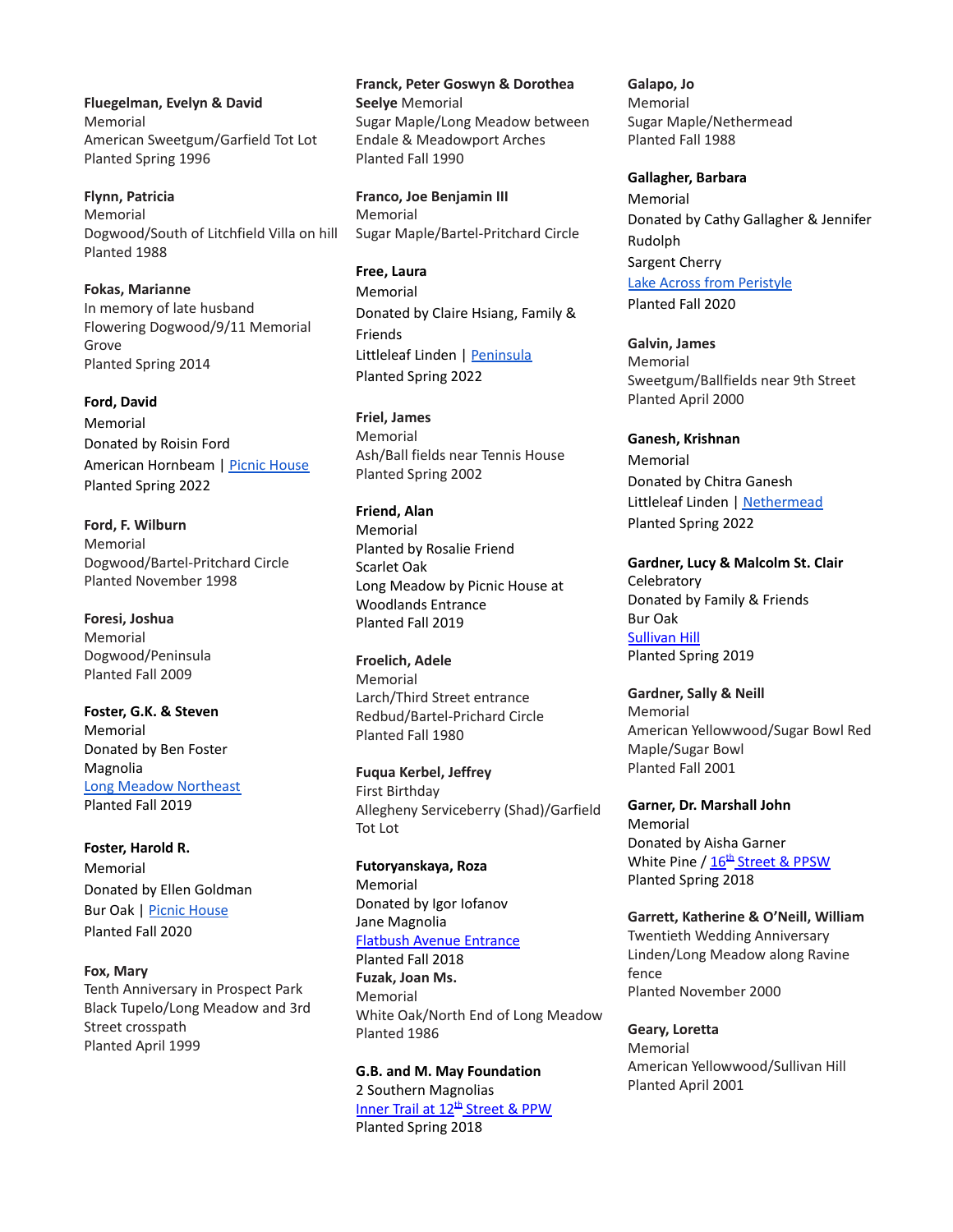**Fluegelman, Evelyn & David** Memorial American Sweetgum/Garfield Tot Lot Planted Spring 1996

**Flynn, Patricia** Memorial Dogwood/South of Litchfield Villa on hill Planted 1988

**Fokas, Marianne** In memory of late husband Flowering Dogwood/9/11 Memorial Grove Planted Spring 2014

**Ford, David** Memorial Donated by Roisin Ford American Hornbeam | Picnic [House](https://goo.gl/maps/w6jUufkrkvb8wsNd8) Planted Spring 2022

**Ford, F. Wilburn** Memorial Dogwood/Bartel-Pritchard Circle Planted November 1998

**Foresi, Joshua** Memorial Dogwood/Peninsula Planted Fall 2009

**Foster, G.K. & Steven** Memorial Donated by Ben Foster Magnolia Long Meadow [Northeast](https://goo.gl/maps/yiguYA6UFzq1GHsB6) Planted Fall 2019

**Foster, Harold R.** Memorial Donated by Ellen Goldman Bur Oak | Picnic [House](https://goo.gl/maps/vh3fU8K6FHYKLfBW8) Planted Fall 2020

**Fox, Mary** Tenth Anniversary in Prospect Park Black Tupelo/Long Meadow and 3rd Street crosspath Planted April 1999

**Franck, Peter Goswyn & Dorothea Seelye** Memorial Sugar Maple/Long Meadow between Endale & Meadowport Arches Planted Fall 1990

**Franco, Joe Benjamin III** Memorial Sugar Maple/Bartel-Pritchard Circle

**Free, Laura** Memorial Donated by Claire Hsiang, Family & Friends Littleleaf Linden | [Peninsula](https://goo.gl/maps/VQm5XqnqAguN2Zui6) Planted Spring 2022

**Friel, James** Memorial Ash/Ball fields near Tennis House Planted Spring 2002

**Friend, Alan** Memorial Planted by Rosalie Friend Scarlet Oak Long Meadow by Picnic House at Woodlands Entrance Planted Fall 2019

**Froelich, Adele** Memorial Larch/Third Street entrance Redbud/Bartel-Prichard Circle Planted Fall 1980

**Fuqua Kerbel, Jeffrey** First Birthday Allegheny Serviceberry (Shad)/Garfield Tot Lot

**Futoryanskaya, Roza** Memorial Donated by Igor Iofanov Jane Magnolia Flatbush Avenue [Entrance](https://goo.gl/maps/EttXVB184Dy) Planted Fall 2018 **Fuzak, Joan Ms.** Memorial White Oak/North End of Long Meadow Planted 1986

**G.B. and M. May Foundation** 2 Southern Magnolias Inner Trail at 12<sup>th</sup> [Street](https://goo.gl/maps/vkeiNWMzGGS2) & PPW Planted Spring 2018

**Galapo, Jo** Memorial Sugar Maple/Nethermead Planted Fall 1988

**Gallagher, Barbara** Memorial Donated by Cathy Gallagher & Jennifer Rudolph Sargent Cherry Lake Across from [Peristyle](https://goo.gl/maps/JTS2EspCbLPFz5s68) Planted Fall 2020

**Galvin, James** Memorial Sweetgum/Ballfields near 9th Street Planted April 2000

**Ganesh, Krishnan** Memorial Donated by Chitra Ganesh Littleleaf Linden | [Nethermead](https://goo.gl/maps/cv8oM4yogPAUpXyr5) Planted Spring 2022

**Gardner, Lucy & Malcolm St. Clair Celebratory** Donated by Family & Friends Bur Oak [Sullivan](https://goo.gl/maps/oWeBR1k78m185wom7) Hill Planted Spring 2019

**Gardner, Sally & Neill** Memorial American Yellowwood/Sugar Bowl Red Maple/Sugar Bowl Planted Fall 2001

**Garner, Dr. Marshall John** Memorial Donated by Aisha Garner White Pine / 16<sup>th</sup> [Street](https://goo.gl/maps/59CaibPMaEB2/%5d) & PPSW Planted Spring 2018

**Garrett, Katherine & O'Neill, William** Twentieth Wedding Anniversary Linden/Long Meadow along Ravine fence Planted November 2000

**Geary, Loretta** Memorial American Yellowwood/Sullivan Hill Planted April 2001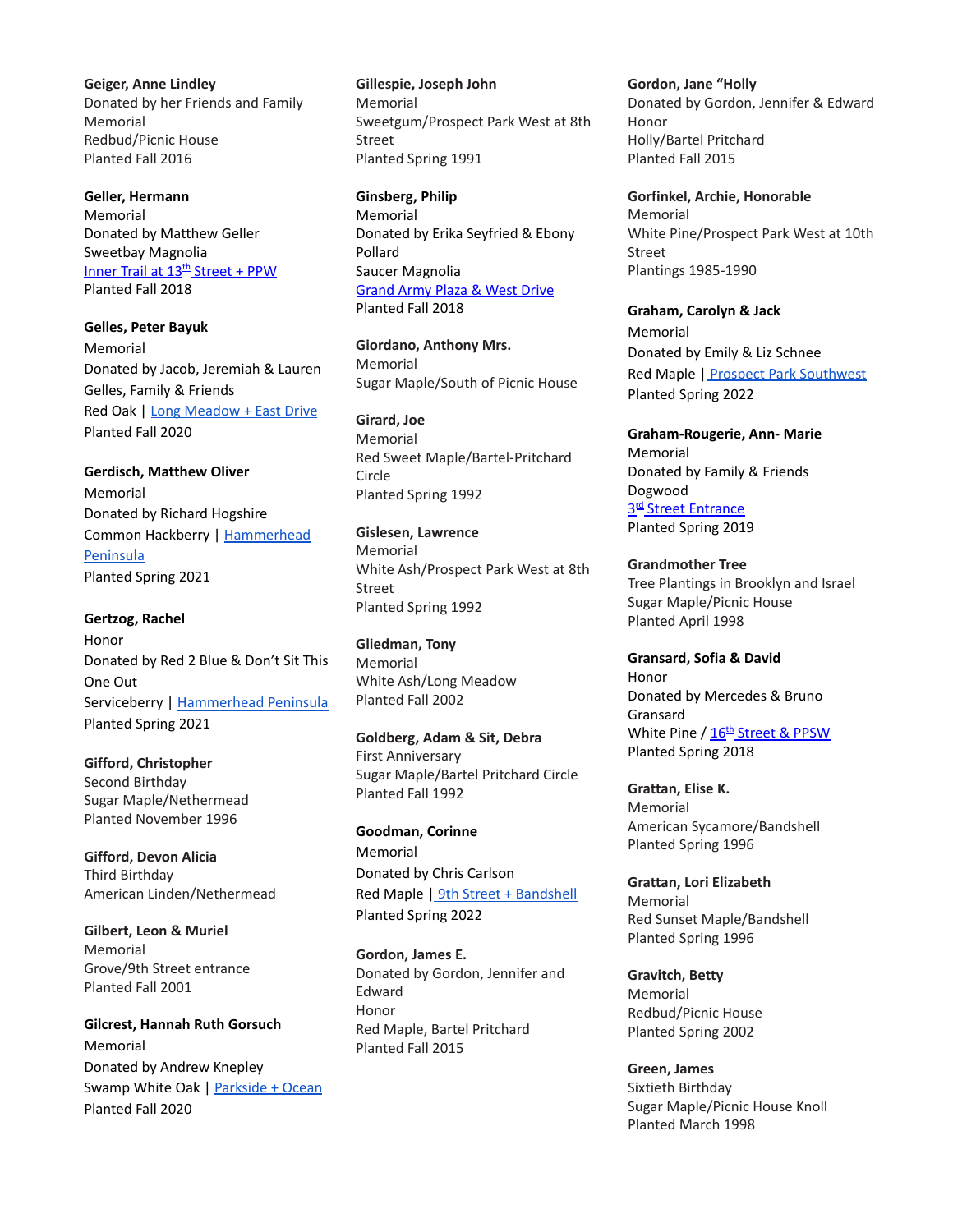**Geiger, Anne Lindley** Donated by her Friends and Family Memorial Redbud/Picnic House Planted Fall 2016

**Geller, Hermann** Memorial Donated by Matthew Geller Sweetbay Magnolia Inner Trail at 13<sup>th</sup> [Street](https://goo.gl/maps/y9VTQtuhhqn) + PPW Planted Fall 2018

**Gelles, Peter Bayuk** Memorial Donated by Jacob, Jeremiah & Lauren Gelles, Family & Friends Red Oak | Long [Meadow](https://goo.gl/maps/5LwJknjPVJKy9tsD7) + East Drive Planted Fall 2020

**Gerdisch, Matthew Oliver** Memorial Donated by Richard Hogshire Common Hackberry | [Hammerhead](https://goo.gl/maps/YiChiexbSUM8ynAJ7) **[Peninsula](https://goo.gl/maps/YiChiexbSUM8ynAJ7)** Planted Spring 2021

**Gertzog, Rachel** Honor Donated by Red 2 Blue & Don't Sit This One Out Serviceberry | [Hammerhead](https://goo.gl/maps/1mkTZu2vqhKk24Un6) Peninsula Planted Spring 2021

**Gifford, Christopher** Second Birthday Sugar Maple/Nethermead Planted November 1996

**Gifford, Devon Alicia** Third Birthday American Linden/Nethermead

**Gilbert, Leon & Muriel** Memorial Grove/9th Street entrance Planted Fall 2001

**Gilcrest, Hannah Ruth Gorsuch** Memorial Donated by Andrew Knepley Swamp White Oak | [Parkside](https://goo.gl/maps/wdANiutc1TZAZZBs9) + Ocean Planted Fall 2020

**Gillespie, Joseph John** Memorial Sweetgum/Prospect Park West at 8th Street Planted Spring 1991

**Ginsberg, Philip** Memorial Donated by Erika Seyfried & Ebony Pollard Saucer Magnolia [Grand](https://goo.gl/maps/WLuarvZFxJL2) Army Plaza & West Drive Planted Fall 2018

**Giordano, Anthony Mrs.** Memorial Sugar Maple/South of Picnic House

**Girard, Joe** Memorial Red Sweet Maple/Bartel-Pritchard Circle Planted Spring 1992

**Gislesen, Lawrence** Memorial White Ash/Prospect Park West at 8th Street Planted Spring 1992

**Gliedman, Tony** Memorial White Ash/Long Meadow Planted Fall 2002

**Goldberg, Adam & Sit, Debra** First Anniversary Sugar Maple/Bartel Pritchard Circle Planted Fall 1992

**Goodman, Corinne** Memorial Donated by Chris Carlson Red Maple | 9th Street + [Bandshell](https://goo.gl/maps/XhWvtnoMZst59vUv9) Planted Spring 2022

**Gordon, James E.** Donated by Gordon, Jennifer and Edward Honor Red Maple, Bartel Pritchard Planted Fall 2015

**Gordon, Jane "Holly** Donated by Gordon, Jennifer & Edward Honor Holly/Bartel Pritchard Planted Fall 2015

**Gorfinkel, Archie, Honorable** Memorial White Pine/Prospect Park West at 10th Street Plantings 1985-1990

**Graham, Carolyn & Jack** Memorial Donated by Emily & Liz Schnee Red Maple | Prospect Park [Southwest](https://goo.gl/maps/SuNPW2rUDdTpZYxTA) Planted Spring 2022

**Graham-Rougerie, Ann- Marie** Memorial Donated by Family & Friends Dogwood 3<sup>rd</sup> Street [Entrance](https://goo.gl/maps/nLLXMrwxZHJ2) Planted Spring 2019

**Grandmother Tree** Tree Plantings in Brooklyn and Israel Sugar Maple/Picnic House Planted April 1998

**Gransard, Sofia & David** Honor Donated by Mercedes & Bruno Gransard White Pine / <u>16<sup>th</sup> [Street](https://goo.gl/maps/Qx3yEp9HBEz) & PPSW</u> Planted Spring 2018

**Grattan, Elise K.** Memorial American Sycamore/Bandshell Planted Spring 1996

**Grattan, Lori Elizabeth** Memorial Red Sunset Maple/Bandshell Planted Spring 1996

**Gravitch, Betty** Memorial Redbud/Picnic House Planted Spring 2002

**Green, James** Sixtieth Birthday Sugar Maple/Picnic House Knoll Planted March 1998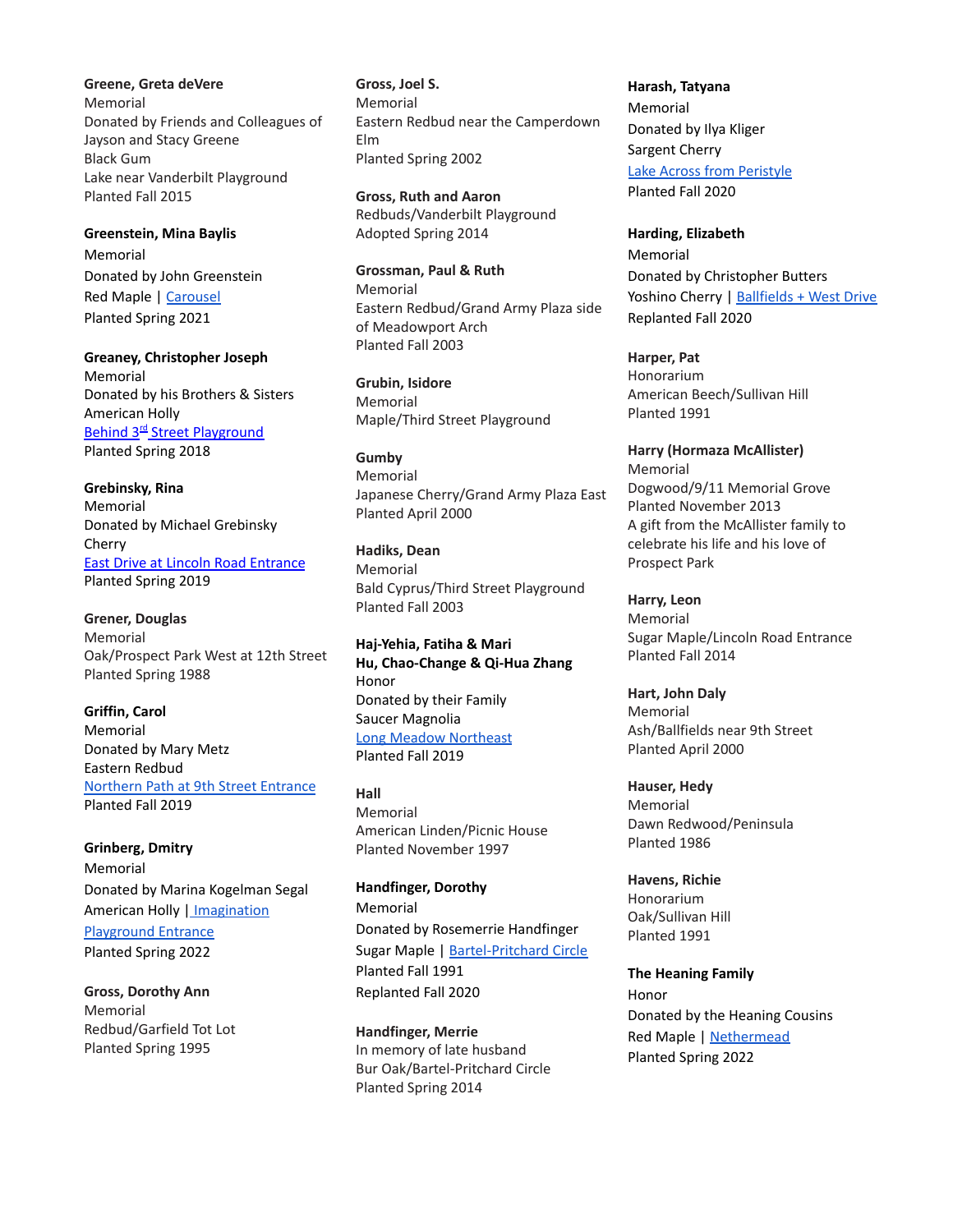**Greene, Greta deVere** Memorial Donated by Friends and Colleagues of Jayson and Stacy Greene Black Gum Lake near Vanderbilt Playground Planted Fall 2015

**Greenstein, Mina Baylis** Memorial Donated by John Greenstein Red Maple | [Carousel](https://goo.gl/maps/43yMcG1uBWthMsRo8) Planted Spring 2021

**Greaney, Christopher Joseph** Memorial Donated by his Brothers & Sisters American Holly Behind 3<sup>rd</sup> Street [Playground](https://goo.gl/maps/P5kPsQw8AVE2) Planted Spring 2018

**Grebinsky, Rina** Memorial Donated by Michael Grebinsky Cherry East Drive at Lincoln Road [Entrance](https://goo.gl/maps/MJNgFJ6aEZwvnW3G9) Planted Spring 2019

**Grener, Douglas** Memorial Oak/Prospect Park West at 12th Street Planted Spring 1988

**Griffin, Carol** Memorial Donated by Mary Metz Eastern Redbud [Northern](https://goo.gl/maps/nyvUjF7MfKyazkDA9) Path at 9th Street Entrance Planted Fall 2019

**Grinberg, Dmitry** Memorial Donated by Marina Kogelman Segal American Holly | [Imagination](https://goo.gl/maps/54YkytXdhDemMthHA) [Playground](https://goo.gl/maps/54YkytXdhDemMthHA) Entrance Planted Spring 2022

**Gross, Dorothy Ann** Memorial Redbud/Garfield Tot Lot Planted Spring 1995

**Gross, Joel S.** Memorial Eastern Redbud near the Camperdown Elm Planted Spring 2002

**Gross, Ruth and Aaron** Redbuds/Vanderbilt Playground Adopted Spring 2014

**Grossman, Paul & Ruth** Memorial Eastern Redbud/Grand Army Plaza side of Meadowport Arch Planted Fall 2003

**Grubin, Isidore** Memorial Maple/Third Street Playground

**Gumby**

Memorial Japanese Cherry/Grand Army Plaza East Planted April 2000

**Hadiks, Dean** Memorial Bald Cyprus/Third Street Playground Planted Fall 2003

**Haj-Yehia, Fatiha & Mari Hu, Chao-Change & Qi-Hua Zhang** Honor Donated by their Family Saucer Magnolia Long Meadow [Northeast](https://goo.gl/maps/5oMzeYFLPhK87tg6A) Planted Fall 2019

**Hall** Memorial American Linden/Picnic House Planted November 1997

**Handfinger, Dorothy** Memorial Donated by Rosemerrie Handfinger Sugar Maple | [Bartel-Pritchard](https://goo.gl/maps/58k1xqxALEVaEUpV7) Circle Planted Fall 1991 Replanted Fall 2020

**Handfinger, Merrie** In memory of late husband Bur Oak/Bartel-Pritchard Circle Planted Spring 2014

**Harash, Tatyana** Memorial Donated by Ilya Kliger Sargent Cherry Lake Across from [Peristyle](https://goo.gl/maps/9o7ZL6qHneKX66tK6) Planted Fall 2020

**Harding, Elizabeth** Memorial Donated by Christopher Butters Yoshino Cherry | [Ballfields](https://goo.gl/maps/QccZHJYR3UUG9Mxa6) + West Drive Replanted Fall 2020

**Harper, Pat** Honorarium American Beech/Sullivan Hill Planted 1991

**Harry (Hormaza McAllister)** Memorial Dogwood/9/11 Memorial Grove Planted November 2013 A gift from the McAllister family to celebrate his life and his love of Prospect Park

**Harry, Leon** Memorial Sugar Maple/Lincoln Road Entrance Planted Fall 2014

**Hart, John Daly** Memorial Ash/Ballfields near 9th Street Planted April 2000

**Hauser, Hedy** Memorial Dawn Redwood/Peninsula Planted 1986

**Havens, Richie** Honorarium Oak/Sullivan Hill Planted 1991

**The Heaning Family** Honor Donated by the Heaning Cousins Red Maple | [Nethermead](https://goo.gl/maps/PoUrrDaK8X8LCZBH9) Planted Spring 2022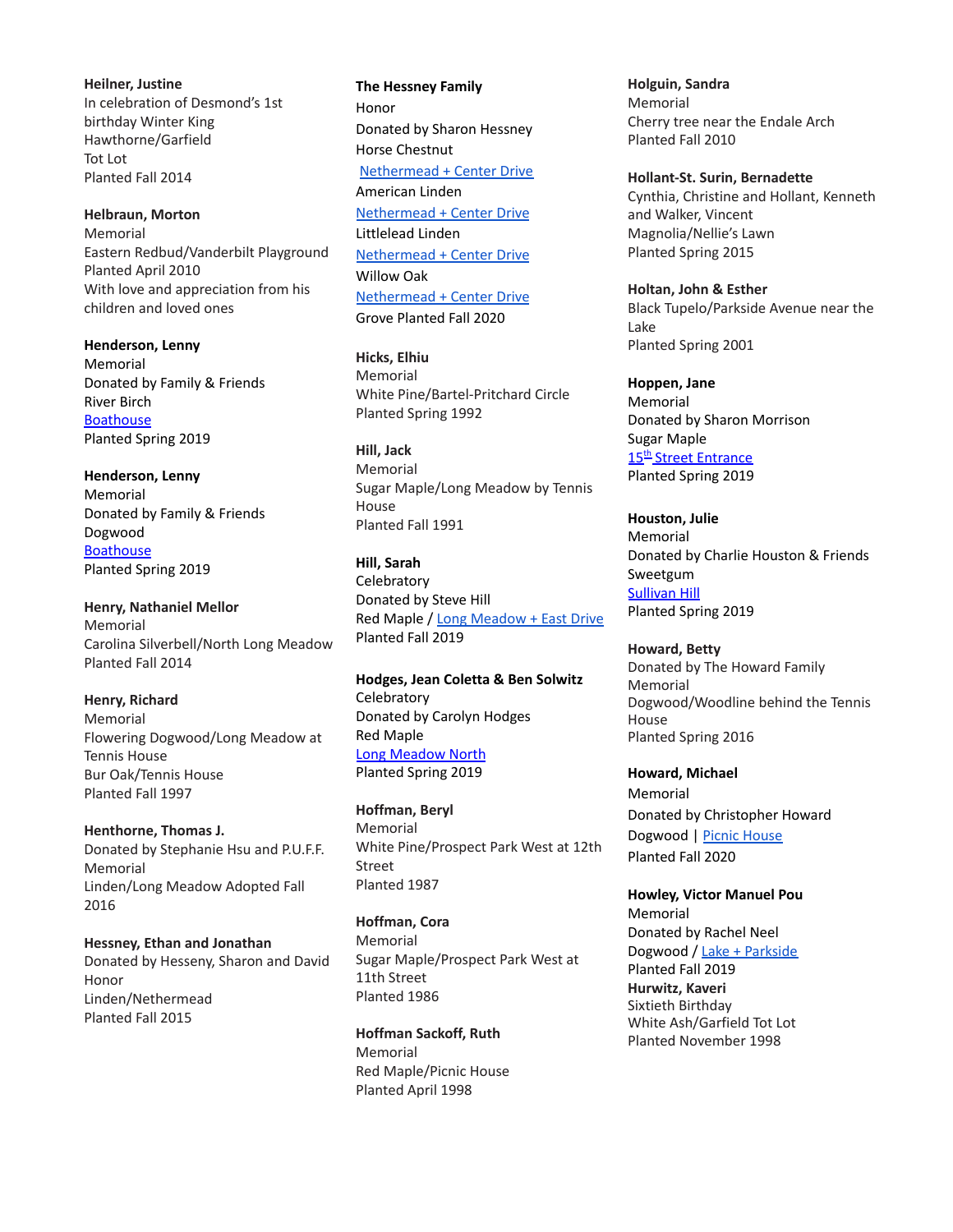**Heilner, Justine** In celebration of Desmond's 1st birthday Winter King Hawthorne/Garfield Tot Lot Planted Fall 2014

**Helbraun, Morton** Memorial Eastern Redbud/Vanderbilt Playground Planted April 2010 With love and appreciation from his children and loved ones

**Henderson, Lenny** Memorial Donated by Family & Friends River Birch **[Boathouse](https://goo.gl/maps/7sB7nEGuVpLBmL4W8)** Planted Spring 2019

**Henderson, Lenny** Memorial Donated by Family & Friends Dogwood **[Boathouse](https://maps.app.goo.gl/GAaXx)** Planted Spring 2019

**Henry, Nathaniel Mellor** Memorial Carolina Silverbell/North Long Meadow Planted Fall 2014

**Henry, Richard** Memorial Flowering Dogwood/Long Meadow at Tennis House Bur Oak/Tennis House Planted Fall 1997

**Henthorne, Thomas J.** Donated by Stephanie Hsu and P.U.F.F. Memorial Linden/Long Meadow Adopted Fall 2016

**Hessney, Ethan and Jonathan** Donated by Hesseny, Sharon and David Honor Linden/Nethermead Planted Fall 2015

**The Hessney Family** Honor Donated by Sharon Hessney Horse Chestnut [Nethermead](https://goo.gl/maps/dfjsmKkC47qu38pA6) + Center Drive American Linden [Nethermead](https://goo.gl/maps/hxxnFkccoWiK9AyM9) + Center Drive Littlelead Linden [Nethermead](https://goo.gl/maps/SKXPUG7232LF8LYt5) + Center Drive Willow Oak [Nethermead](https://goo.gl/maps/BXRCTTRSdSBP39oW6) + Center Drive Grove Planted Fall 2020

**Hicks, Elhiu** Memorial White Pine/Bartel-Pritchard Circle Planted Spring 1992

**Hill, Jack** Memorial Sugar Maple/Long Meadow by Tennis House Planted Fall 1991

**Hill, Sarah Celebratory** Donated by Steve Hill Red Maple / Long [Meadow](https://goo.gl/maps/r4i3MHxTMH6aFnzp9) + East Drive Planted Fall 2019

**Hodges, Jean Coletta & Ben Solwitz Celebratory** Donated by Carolyn Hodges Red Maple Long [Meadow](https://goo.gl/maps/K7aqvv6Ftgm) North Planted Spring 2019

**Hoffman, Beryl** Memorial White Pine/Prospect Park West at 12th Street Planted 1987

**Hoffman, Cora** Memorial Sugar Maple/Prospect Park West at 11th Street Planted 1986

**Hoffman Sackoff, Ruth** Memorial Red Maple/Picnic House Planted April 1998

**Holguin, Sandra** Memorial Cherry tree near the Endale Arch Planted Fall 2010

**Hollant-St. Surin, Bernadette** Cynthia, Christine and Hollant, Kenneth and Walker, Vincent Magnolia/Nellie's Lawn Planted Spring 2015

**Holtan, John & Esther** Black Tupelo/Parkside Avenue near the Lake Planted Spring 2001

**Hoppen, Jane** Memorial Donated by Sharon Morrison Sugar Maple 15<sup>th</sup> Street [Entrance](https://goo.gl/maps/fH5Rpz7XDsN2) Planted Spring 2019

**Houston, Julie** Memorial Donated by Charlie Houston & Friends Sweetgum **[Sullivan](https://goo.gl/maps/fzayfpcBFq52) Hill** Planted Spring 2019

**Howard, Betty** Donated by The Howard Family Memorial Dogwood/Woodline behind the Tennis House Planted Spring 2016

**Howard, Michael** Memorial Donated by Christopher Howard Dogwood | Picnic [House](https://goo.gl/maps/aRzRXRxkTctvFo3z5) Planted Fall 2020

**Howley, Victor Manuel Pou** Memorial Donated by Rachel Neel Dogwood / Lake + [Parkside](https://goo.gl/maps/yiguYA6UFzq1GHsB6) Planted Fall 2019 **Hurwitz, Kaveri** Sixtieth Birthday White Ash/Garfield Tot Lot Planted November 1998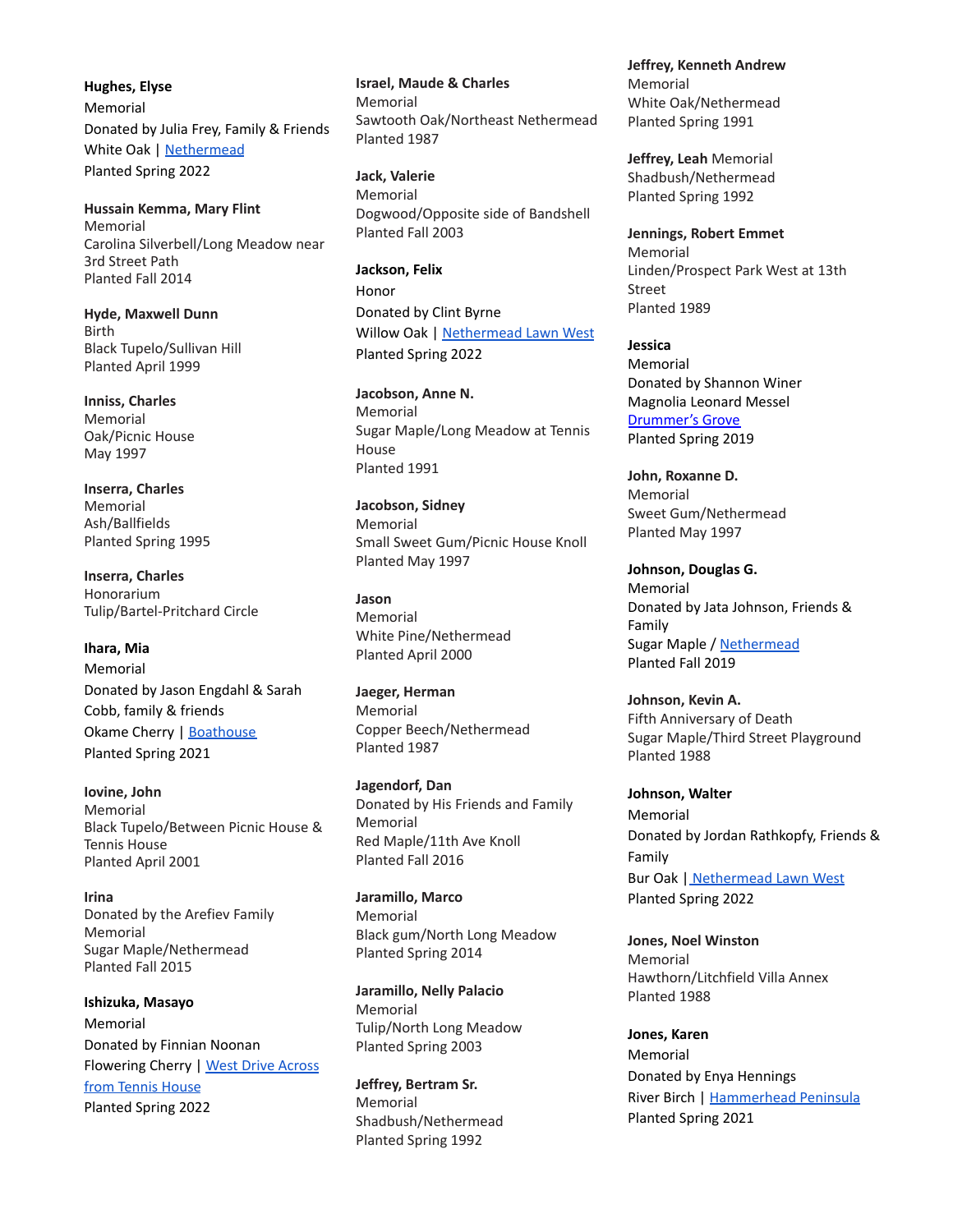**Hughes, Elyse** Memorial Donated by Julia Frey, Family & Friends White Oak | [Nethermead](https://goo.gl/maps/Y9FdhEYX7HzyHrMp7) Planted Spring 2022

**Hussain Kemma, Mary Flint** Memorial Carolina Silverbell/Long Meadow near 3rd Street Path Planted Fall 2014

**Hyde, Maxwell Dunn** Birth Black Tupelo/Sullivan Hill Planted April 1999

**Inniss, Charles** Memorial Oak/Picnic House May 1997

**Inserra, Charles** Memorial Ash/Ballfields Planted Spring 1995

**Inserra, Charles** Honorarium Tulip/Bartel-Pritchard Circle

**Ihara, Mia** Memorial Donated by Jason Engdahl & Sarah Cobb, family & friends Okame Cherry | [Boathouse](https://goo.gl/maps/g7RcpkRdwedXEwhj6) Planted Spring 2021

**Iovine, John** Memorial Black Tupelo/Between Picnic House & Tennis House Planted April 2001

**Irina** Donated by the Arefiev Family Memorial Sugar Maple/Nethermead Planted Fall 2015

**Ishizuka, Masayo** Memorial Donated by Finnian Noonan Flowering Cherry | West Drive [Across](https://goo.gl/maps/yhnsA5WWkJVTDMY16) from [Tennis](https://goo.gl/maps/yhnsA5WWkJVTDMY16) House Planted Spring 2022

**Israel, Maude & Charles** Memorial Sawtooth Oak/Northeast Nethermead Planted 1987

**Jack, Valerie** Memorial Dogwood/Opposite side of Bandshell Planted Fall 2003

**Jackson, Felix** Honor Donated by Clint Byrne Willow Oak | [Nethermead](https://goo.gl/maps/saviT7Cr9ff7Rvwh9) Lawn West Planted Spring 2022

**Jacobson, Anne N.** Memorial Sugar Maple/Long Meadow at Tennis House Planted 1991

**Jacobson, Sidney** Memorial Small Sweet Gum/Picnic House Knoll Planted May 1997

**Jason** Memorial White Pine/Nethermead Planted April 2000

**Jaeger, Herman** Memorial Copper Beech/Nethermead Planted 1987

**Jagendorf, Dan** Donated by His Friends and Family Memorial Red Maple/11th Ave Knoll Planted Fall 2016

**Jaramillo, Marco** Memorial Black gum/North Long Meadow Planted Spring 2014

**Jaramillo, Nelly Palacio** Memorial Tulip/North Long Meadow Planted Spring 2003

**Jeffrey, Bertram Sr.** Memorial Shadbush/Nethermead Planted Spring 1992

**Jeffrey, Kenneth Andrew** Memorial White Oak/Nethermead Planted Spring 1991

**Jeffrey, Leah** Memorial Shadbush/Nethermead Planted Spring 1992

**Jennings, Robert Emmet** Memorial Linden/Prospect Park West at 13th Street Planted 1989

**Jessica** Memorial Donated by Shannon Winer Magnolia Leonard Messel [Drummer's](https://goo.gl/maps/3FWAyQYgFgz) Grove Planted Spring 2019

**John, Roxanne D.** Memorial Sweet Gum/Nethermead Planted May 1997

**Johnson, Douglas G.** Memorial Donated by Jata Johnson, Friends & Family Sugar Maple / [Nethermead](https://goo.gl/maps/9Duoc6a6zXtEVxN79) Planted Fall 2019

**Johnson, Kevin A.** Fifth Anniversary of Death Sugar Maple/Third Street Playground Planted 1988

**Johnson, Walter** Memorial Donated by Jordan Rathkopfy, Friends & Family Bur Oak | [Nethermead](https://goo.gl/maps/5zjsoLLxYU9yQQU77) Lawn West Planted Spring 2022

**Jones, Noel Winston** Memorial Hawthorn/Litchfield Villa Annex Planted 1988

**Jones, Karen** Memorial Donated by Enya Hennings River Birch | [Hammerhead](https://goo.gl/maps/LoxSK3DrR3BcfXQ58) Peninsula Planted Spring 2021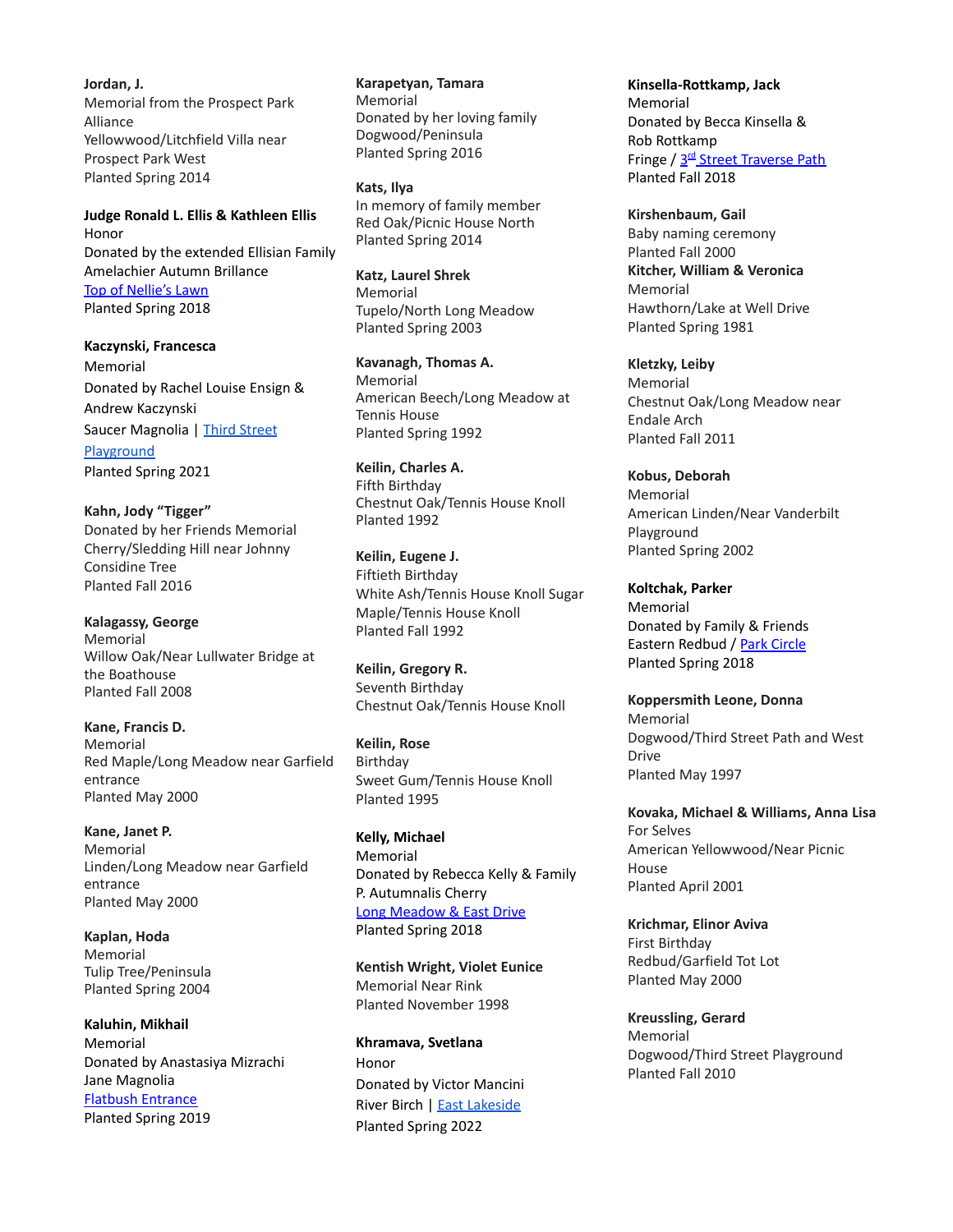**Jordan, J.** Memorial from the Prospect Park Alliance Yellowwood/Litchfield Villa near Prospect Park West Planted Spring 2014

**Judge Ronald L. Ellis & Kathleen Ellis** Honor Donated by the extended Ellisian Family Amelachier Autumn Brillance Top of [Nellie's](https://goo.gl/maps/4Qc5gHTUHJD2) Lawn Planted Spring 2018

**Kaczynski, Francesca** Memorial Donated by Rachel Louise Ensign & Andrew Kaczynski Saucer Magnolia | Third [Street](https://goo.gl/maps/1tpRLmWgNTRhzj4fA) [Playground](https://goo.gl/maps/1tpRLmWgNTRhzj4fA) Planted Spring 2021

**Kahn, Jody "Tigger"** Donated by her Friends Memorial Cherry/Sledding Hill near Johnny Considine Tree Planted Fall 2016

**Kalagassy, George** Memorial Willow Oak/Near Lullwater Bridge at the Boathouse Planted Fall 2008

**Kane, Francis D.** Memorial Red Maple/Long Meadow near Garfield entrance Planted May 2000

**Kane, Janet P.** Memorial Linden/Long Meadow near Garfield entrance Planted May 2000

**Kaplan, Hoda** Memorial Tulip Tree/Peninsula Planted Spring 2004

**Kaluhin, Mikhail** Memorial Donated by Anastasiya Mizrachi Jane Magnolia Flatbush [Entrance](https://goo.gl/maps/JCgzySJSUj62) Planted Spring 2019

**Karapetyan, Tamara** Memorial Donated by her loving family Dogwood/Peninsula Planted Spring 2016

**Kats, Ilya** In memory of family member Red Oak/Picnic House North Planted Spring 2014

**Katz, Laurel Shrek** Memorial Tupelo/North Long Meadow Planted Spring 2003

**Kavanagh, Thomas A.** Memorial American Beech/Long Meadow at Tennis House Planted Spring 1992

**Keilin, Charles A.** Fifth Birthday Chestnut Oak/Tennis House Knoll Planted 1992

**Keilin, Eugene J.** Fiftieth Birthday White Ash/Tennis House Knoll Sugar Maple/Tennis House Knoll Planted Fall 1992

**Keilin, Gregory R.** Seventh Birthday Chestnut Oak/Tennis House Knoll

**Keilin, Rose** Birthday Sweet Gum/Tennis House Knoll Planted 1995

**Kelly, Michael** Memorial Donated by Rebecca Kelly & Family P. Autumnalis Cherry Long [Meadow](https://maps.google.com/?q=40.667604,-73.968886) & East Drive Planted Spring 2018

**Kentish Wright, Violet Eunice** Memorial Near Rink Planted November 1998

**Khramava, Svetlana** Honor Donated by Victor Mancini River Birch | East [Lakeside](https://goo.gl/maps/Ythp8vGRAhg3upqp8) Planted Spring 2022

**Kinsella-Rottkamp, Jack** Memorial Donated by Becca Kinsella & Rob Rottkamp Fringe / 3<sup>rd</sup> Street [Traverse](https://goo.gl/maps/ypscA3sHxar) Path Planted Fall 2018

**Kirshenbaum, Gail** Baby naming ceremony Planted Fall 2000 **Kitcher, William & Veronica** Memorial Hawthorn/Lake at Well Drive Planted Spring 1981

**Kletzky, Leiby** Memorial Chestnut Oak/Long Meadow near Endale Arch Planted Fall 2011

**Kobus, Deborah** Memorial American Linden/Near Vanderbilt Playground Planted Spring 2002

**Koltchak, Parker** Memorial Donated by Family & Friends Eastern Redbud / Park [Circle](https://goo.gl/maps/F2UgrDr3bYE2) Planted Spring 2018

**Koppersmith Leone, Donna** Memorial Dogwood/Third Street Path and West Drive Planted May 1997

**Kovaka, Michael & Williams, Anna Lisa** For Selves American Yellowwood/Near Picnic House Planted April 2001

**Krichmar, Elinor Aviva** First Birthday Redbud/Garfield Tot Lot Planted May 2000

**Kreussling, Gerard** Memorial Dogwood/Third Street Playground Planted Fall 2010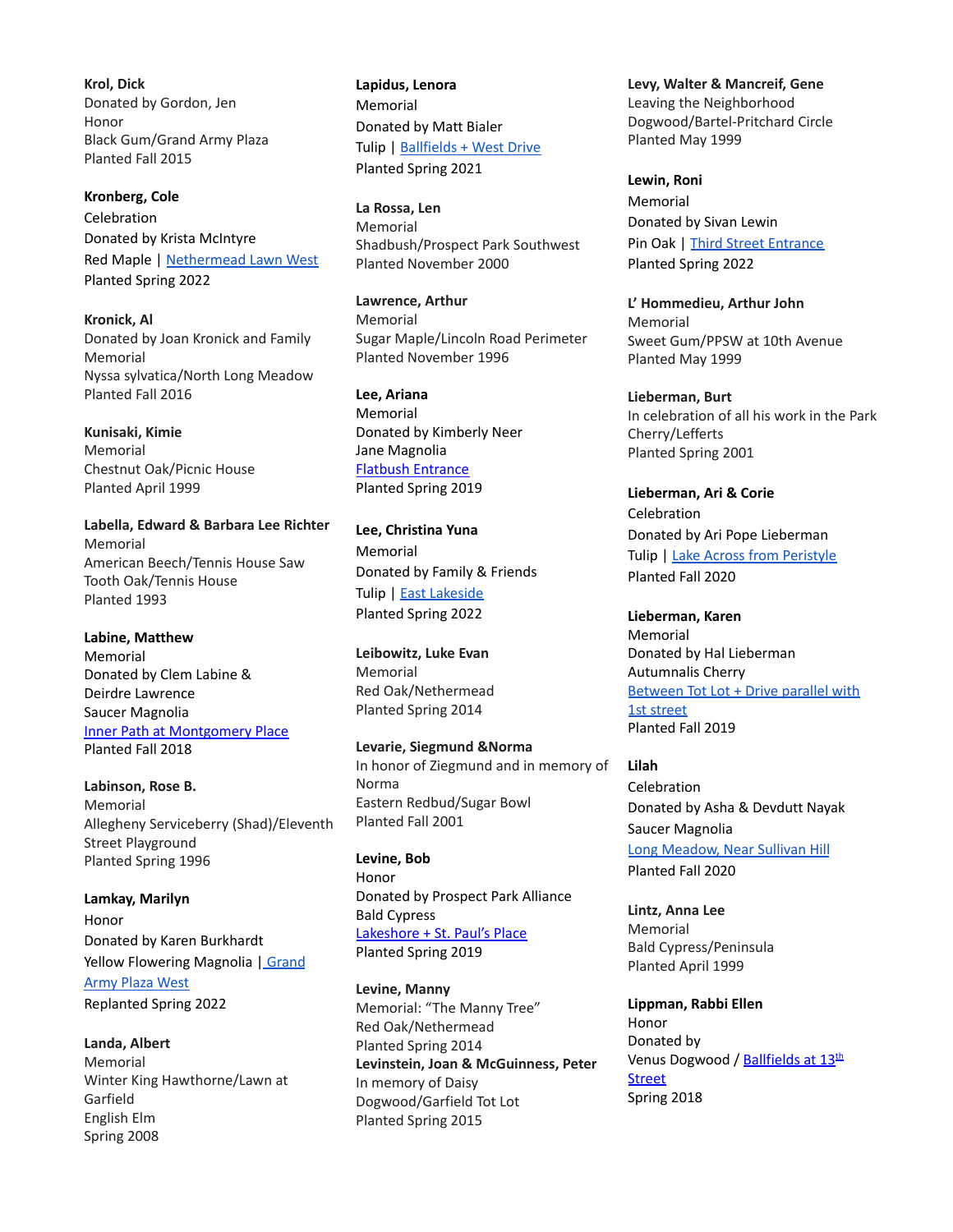**Krol, Dick** Donated by Gordon, Jen Honor Black Gum/Grand Army Plaza Planted Fall 2015

**Kronberg, Cole** Celebration Donated by Krista McIntyre Red Maple | [Nethermead](https://goo.gl/maps/Cx72GcqqmT7WhFPUA) Lawn West Planted Spring 2022

**Kronick, Al** Donated by Joan Kronick and Family Memorial Nyssa sylvatica/North Long Meadow Planted Fall 2016

**Kunisaki, Kimie** Memorial Chestnut Oak/Picnic House Planted April 1999

**Labella, Edward & Barbara Lee Richter** Memorial American Beech/Tennis House Saw Tooth Oak/Tennis House Planted 1993

**Labine, Matthew** Memorial Donated by Clem Labine & Deirdre Lawrence Saucer Magnolia Inner Path at [Montgomery](https://goo.gl/maps/Ur2RaKhP5dt) Place Planted Fall 2018

**Labinson, Rose B.** Memorial Allegheny Serviceberry (Shad)/Eleventh Street Playground Planted Spring 1996

**Lamkay, Marilyn** Honor Donated by Karen Burkhardt Yellow Flowering Magnolia | [Grand](https://goo.gl/maps/15mMAgKkidF5vkNW9) [Army](https://goo.gl/maps/15mMAgKkidF5vkNW9) Plaza West Replanted Spring 2022

**Landa, Albert** Memorial Winter King Hawthorne/Lawn at Garfield English Elm Spring 2008

**Lapidus, Lenora** Memorial Donated by Matt Bialer Tulip | [Ballfields](https://goo.gl/maps/BXhYsxG5M1DeNmKW8) + West Drive Planted Spring 2021

**La Rossa, Len** Memorial Shadbush/Prospect Park Southwest Planted November 2000

**Lawrence, Arthur** Memorial Sugar Maple/Lincoln Road Perimeter Planted November 1996

**Lee, Ariana** Memorial Donated by Kimberly Neer Jane Magnolia Flatbush [Entrance](https://goo.gl/maps/JCgzySJSUj62) Planted Spring 2019

**Lee, Christina Yuna** Memorial Donated by Family & Friends Tulip | East [Lakeside](https://goo.gl/maps/ez9TMsyLwm6eGc4w6) Planted Spring 2022

**Leibowitz, Luke Evan** Memorial Red Oak/Nethermead Planted Spring 2014

**Levarie, Siegmund &Norma** In honor of Ziegmund and in memory of Norma Eastern Redbud/Sugar Bowl Planted Fall 2001

**Levine, Bob** Honor Donated by Prospect Park Alliance Bald Cypress [Lakeshore](https://goo.gl/maps/mhNNtpv7oU72) + St. Paul's Place Planted Spring 2019

**Levine, Manny** Memorial: "The Manny Tree" Red Oak/Nethermead Planted Spring 2014 **Levinstein, Joan & McGuinness, Peter** In memory of Daisy Dogwood/Garfield Tot Lot Planted Spring 2015

**Levy, Walter & Mancreif, Gene** Leaving the Neighborhood Dogwood/Bartel-Pritchard Circle Planted May 1999

**Lewin, Roni** Memorial Donated by Sivan Lewin Pin Oak | Third Street [Entrance](https://goo.gl/maps/YK8GjYbtQpR5ypPC8) Planted Spring 2022

**L' Hommedieu, Arthur John** Memorial Sweet Gum/PPSW at 10th Avenue Planted May 1999

**Lieberman, Burt** In celebration of all his work in the Park Cherry/Lefferts Planted Spring 2001

**Lieberman, Ari & Corie** Celebration Donated by Ari Pope Lieberman Tulip | Lake Across from [Peristyle](https://goo.gl/maps/GiL7kfJigivsXN2u8) Planted Fall 2020

**Lieberman, Karen** Memorial Donated by Hal Lieberman Autumnalis Cherry [Between](https://goo.gl/maps/HiyZZnxnnkuu9Vs3A) Tot Lot + Drive parallel with 1st [street](https://goo.gl/maps/HiyZZnxnnkuu9Vs3A) Planted Fall 2019

**Lilah** Celebration Donated by Asha & Devdutt Nayak Saucer Magnolia Long [Meadow,](https://goo.gl/maps/AetvHGDX9wvLrrAm8) Near Sullivan Hill Planted Fall 2020

**Lintz, Anna Lee** Memorial Bald Cypress/Peninsula Planted April 1999

**Lippman, Rabbi Ellen** Honor Donated by Venus Dogwood / <u>[Ballfields](https://goo.gl/maps/4iJo7gPbsZ22) at 13<sup>th</sup></u> **[Street](https://goo.gl/maps/4iJo7gPbsZ22)** Spring 2018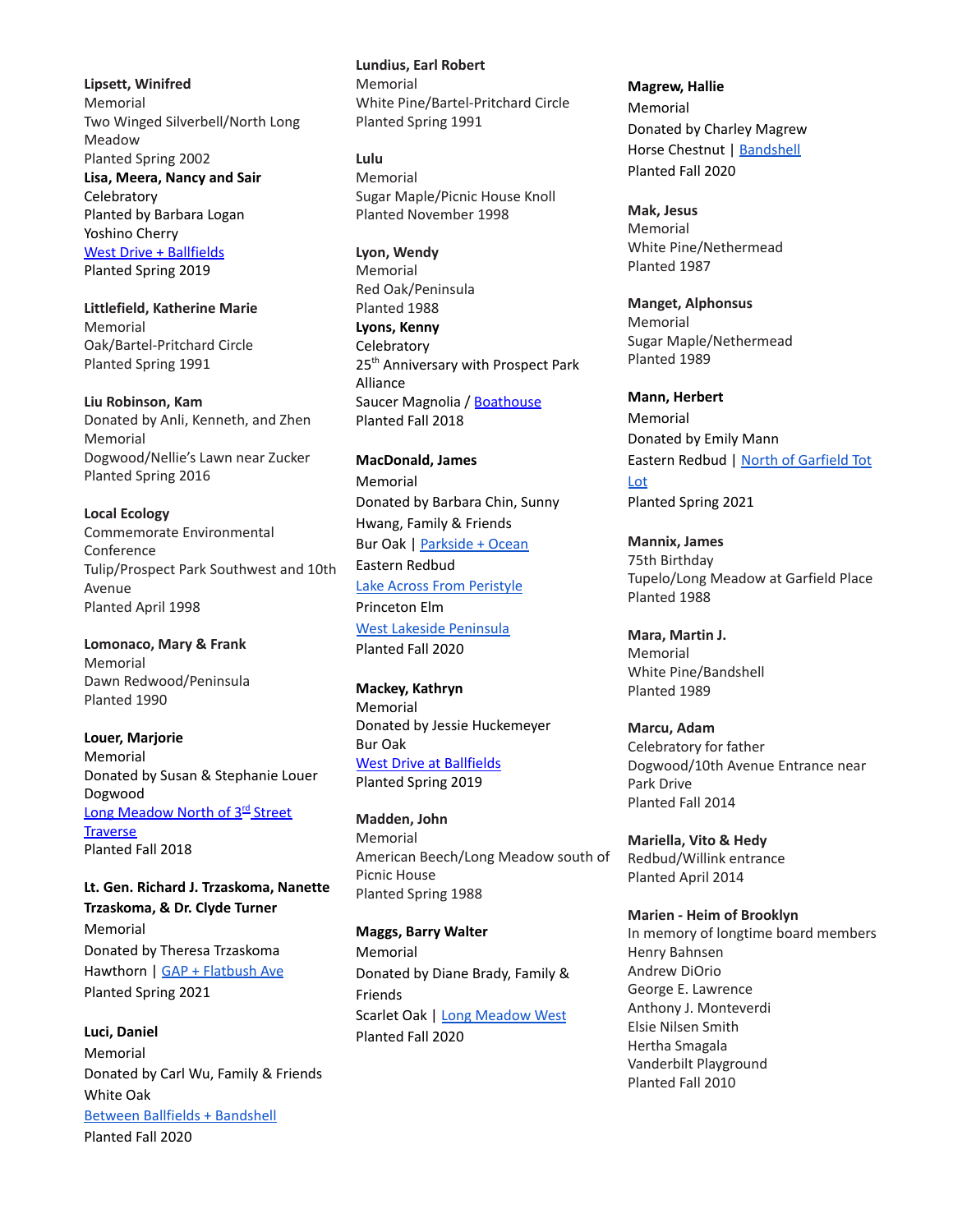**Lipsett, Winifred** Memorial Two Winged Silverbell/North Long Meadow Planted Spring 2002 **Lisa, Meera, Nancy and Sair Celebratory** Planted by Barbara Logan Yoshino Cherry West Drive + [Ballfields](https://goo.gl/maps/vkSuik24v82z8Y7s5) Planted Spring 2019

**Littlefield, Katherine Marie** Memorial Oak/Bartel-Pritchard Circle Planted Spring 1991

**Liu Robinson, Kam** Donated by Anli, Kenneth, and Zhen Memorial Dogwood/Nellie's Lawn near Zucker Planted Spring 2016

**Local Ecology** Commemorate Environmental Conference Tulip/Prospect Park Southwest and 10th Avenue Planted April 1998

**Lomonaco, Mary & Frank** Memorial Dawn Redwood/Peninsula Planted 1990

**Louer, Marjorie** Memorial Donated by Susan & Stephanie Louer Dogwood Long [Meadow](https://goo.gl/maps/fAFkVatYcb32) North of 3<sup>rd</sup> Street **[Traverse](https://goo.gl/maps/fAFkVatYcb32)** Planted Fall 2018

**Lt. Gen. Richard J. Trzaskoma, Nanette Trzaskoma, & Dr. Clyde Turner** Memorial Donated by Theresa Trzaskoma Hawthorn | GAP + [Flatbush](https://goo.gl/maps/pAV8mVVHT3uSGH7G6) Ave Planted Spring 2021

**Luci, Daniel** Memorial Donated by Carl Wu, Family & Friends White Oak Between Ballfields + [Bandshell](https://goo.gl/maps/A9fCsXT3oM5V6WD66) Planted Fall 2020

**Lundius, Earl Robert** Memorial White Pine/Bartel-Pritchard Circle Planted Spring 1991

**Lulu** Memorial Sugar Maple/Picnic House Knoll Planted November 1998

**Lyon, Wendy** Memorial Red Oak/Peninsula Planted 1988

**Lyons, Kenny Celebratory** 25<sup>th</sup> Anniversary with Prospect Park Alliance Saucer Magnolia / [Boathouse](https://goo.gl/maps/YK6xqku5NtP2) Planted Fall 2018

**MacDonald, James** Memorial Donated by Barbara Chin, Sunny Hwang, Family & Friends Bur Oak | [Parkside](https://goo.gl/maps/wjzjKVXkXBNYeXoH8) + Ocean Eastern Redbud Lake Across From [Peristyle](https://goo.gl/maps/UjMtUeTskUZBzded9) Princeton Elm West Lakeside [Peninsula](https://goo.gl/maps/vVUCjCqTZyeKNvrT9) Planted Fall 2020

**Mackey, Kathryn** Memorial Donated by Jessie Huckemeyer Bur Oak West Drive at [Ballfields](https://goo.gl/maps/CWj7smHDWEE2) Planted Spring 2019

**Madden, John** Memorial American Beech/Long Meadow south of Picnic House Planted Spring 1988

**Maggs, Barry Walter** Memorial Donated by Diane Brady, Family & Friends Scarlet Oak | Long [Meadow](https://goo.gl/maps/2QdCMSeXmdJQvWNLA) West Planted Fall 2020

**Magrew, Hallie** Memorial Donated by Charley Magrew Horse Chestnut | [Bandshell](https://goo.gl/maps/ZrCjYt238tXrgZvL9) Planted Fall 2020

**Mak, Jesus** Memorial White Pine/Nethermead Planted 1987

**Manget, Alphonsus** Memorial Sugar Maple/Nethermead Planted 1989

**Mann, Herbert** Memorial Donated by Emily Mann Eastern Redbud | North of [Garfield](https://goo.gl/maps/Cjd8bfT5EuL39neK8) Tot [Lot](https://goo.gl/maps/Cjd8bfT5EuL39neK8) Planted Spring 2021

**Mannix, James** 75th Birthday Tupelo/Long Meadow at Garfield Place Planted 1988

**Mara, Martin J.** Memorial White Pine/Bandshell Planted 1989

**Marcu, Adam** Celebratory for father Dogwood/10th Avenue Entrance near Park Drive Planted Fall 2014

**Mariella, Vito & Hedy** Redbud/Willink entrance Planted April 2014

**Marien - Heim of Brooklyn** In memory of longtime board members Henry Bahnsen Andrew DiOrio George E. Lawrence Anthony J. Monteverdi Elsie Nilsen Smith Hertha Smagala Vanderbilt Playground Planted Fall 2010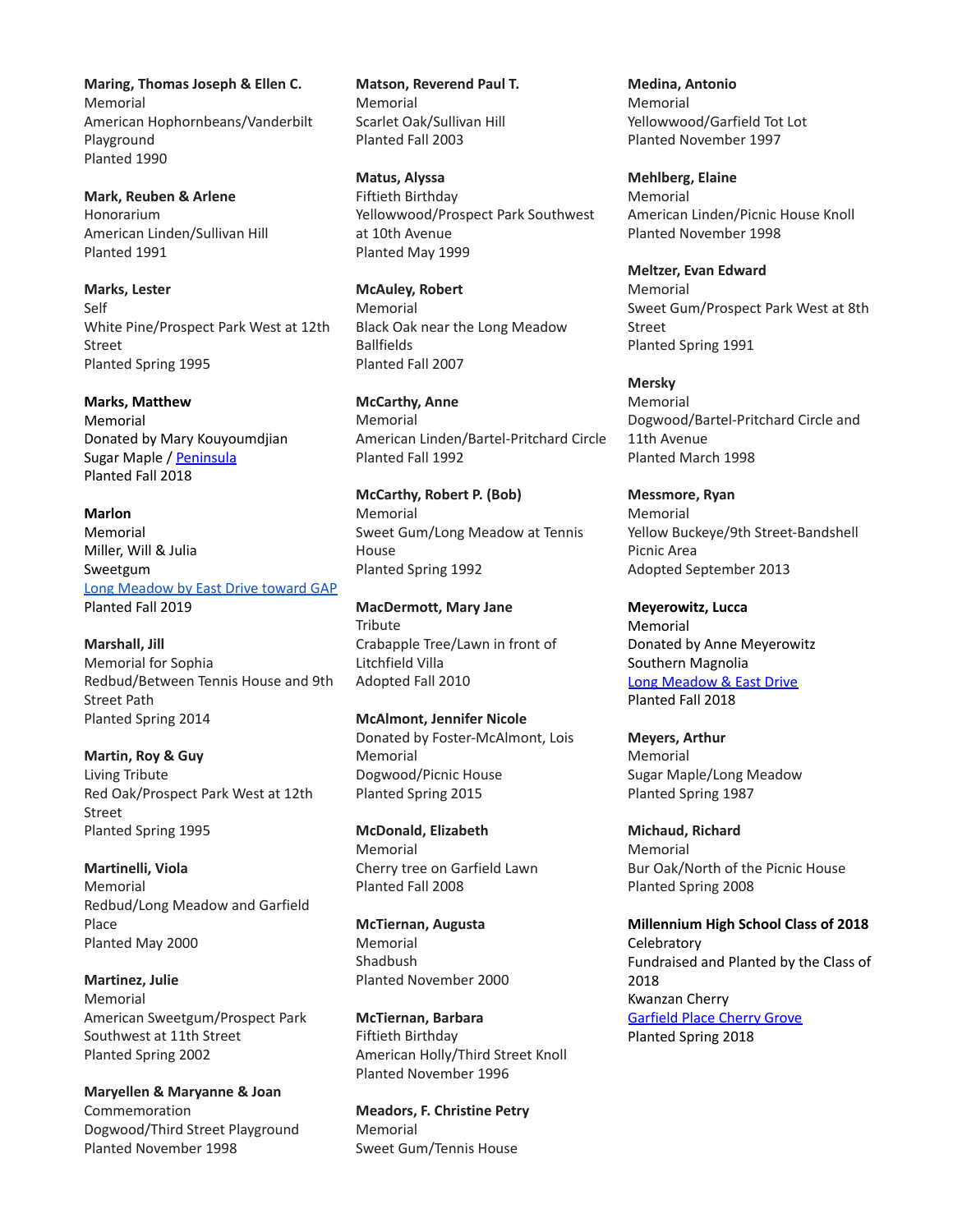**Maring, Thomas Joseph & Ellen C.** Memorial American Hophornbeans/Vanderbilt Playground Planted 1990

**Mark, Reuben & Arlene** Honorarium American Linden/Sullivan Hill Planted 1991

**Marks, Lester** Self White Pine/Prospect Park West at 12th Street Planted Spring 1995

**Marks, Matthew** Memorial Donated by Mary Kouyoumdjian Sugar Maple / [Peninsula](https://goo.gl/maps/n6YkNXAUP6R2) Planted Fall 2018

**Marlon** Memorial Miller, Will & Julia Sweetgum Long [Meadow](https://goo.gl/maps/rcG7vLUGNWvEnmuu7) by East Drive toward GAP Planted Fall 2019

**Marshall, Jill** Memorial for Sophia Redbud/Between Tennis House and 9th Street Path Planted Spring 2014

**Martin, Roy & Guy** Living Tribute Red Oak/Prospect Park West at 12th Street Planted Spring 1995

**Martinelli, Viola** Memorial Redbud/Long Meadow and Garfield Place Planted May 2000

**Martinez, Julie** Memorial American Sweetgum/Prospect Park Southwest at 11th Street Planted Spring 2002

**Maryellen & Maryanne & Joan** Commemoration Dogwood/Third Street Playground Planted November 1998

**Matson, Reverend Paul T.** Memorial Scarlet Oak/Sullivan Hill Planted Fall 2003

**Matus, Alyssa** Fiftieth Birthday Yellowwood/Prospect Park Southwest at 10th Avenue Planted May 1999

**McAuley, Robert** Memorial Black Oak near the Long Meadow Ballfields Planted Fall 2007

**McCarthy, Anne** Memorial American Linden/Bartel-Pritchard Circle Planted Fall 1992

**McCarthy, Robert P. (Bob)** Memorial Sweet Gum/Long Meadow at Tennis House Planted Spring 1992

**MacDermott, Mary Jane Tribute** Crabapple Tree/Lawn in front of Litchfield Villa Adopted Fall 2010

**McAlmont, Jennifer Nicole** Donated by Foster-McAlmont, Lois Memorial Dogwood/Picnic House Planted Spring 2015

**McDonald, Elizabeth** Memorial Cherry tree on Garfield Lawn Planted Fall 2008

**McTiernan, Augusta** Memorial Shadbush Planted November 2000

**McTiernan, Barbara** Fiftieth Birthday American Holly/Third Street Knoll Planted November 1996

**Meadors, F. Christine Petry** Memorial Sweet Gum/Tennis House

**Medina, Antonio** Memorial Yellowwood/Garfield Tot Lot Planted November 1997

**Mehlberg, Elaine** Memorial American Linden/Picnic House Knoll Planted November 1998

**Meltzer, Evan Edward** Memorial Sweet Gum/Prospect Park West at 8th Street Planted Spring 1991

**Mersky** Memorial Dogwood/Bartel-Pritchard Circle and 11th Avenue Planted March 1998

**Messmore, Ryan** Memorial Yellow Buckeye/9th Street-Bandshell Picnic Area Adopted September 2013

**Meyerowitz, Lucca** Memorial Donated by Anne Meyerowitz Southern Magnolia Long [Meadow](https://goo.gl/maps/cjgjthmJLp12) & East Drive Planted Fall 2018

**Meyers, Arthur** Memorial Sugar Maple/Long Meadow Planted Spring 1987

**Michaud, Richard** Memorial Bur Oak/North of the Picnic House Planted Spring 2008

**Millennium High School Class of 2018 Celebratory** Fundraised and Planted by the Class of 2018 Kwanzan Cherry [Garfield](https://goo.gl/maps/7LUAQjoyQFT2) Place Cherry Grove Planted Spring 2018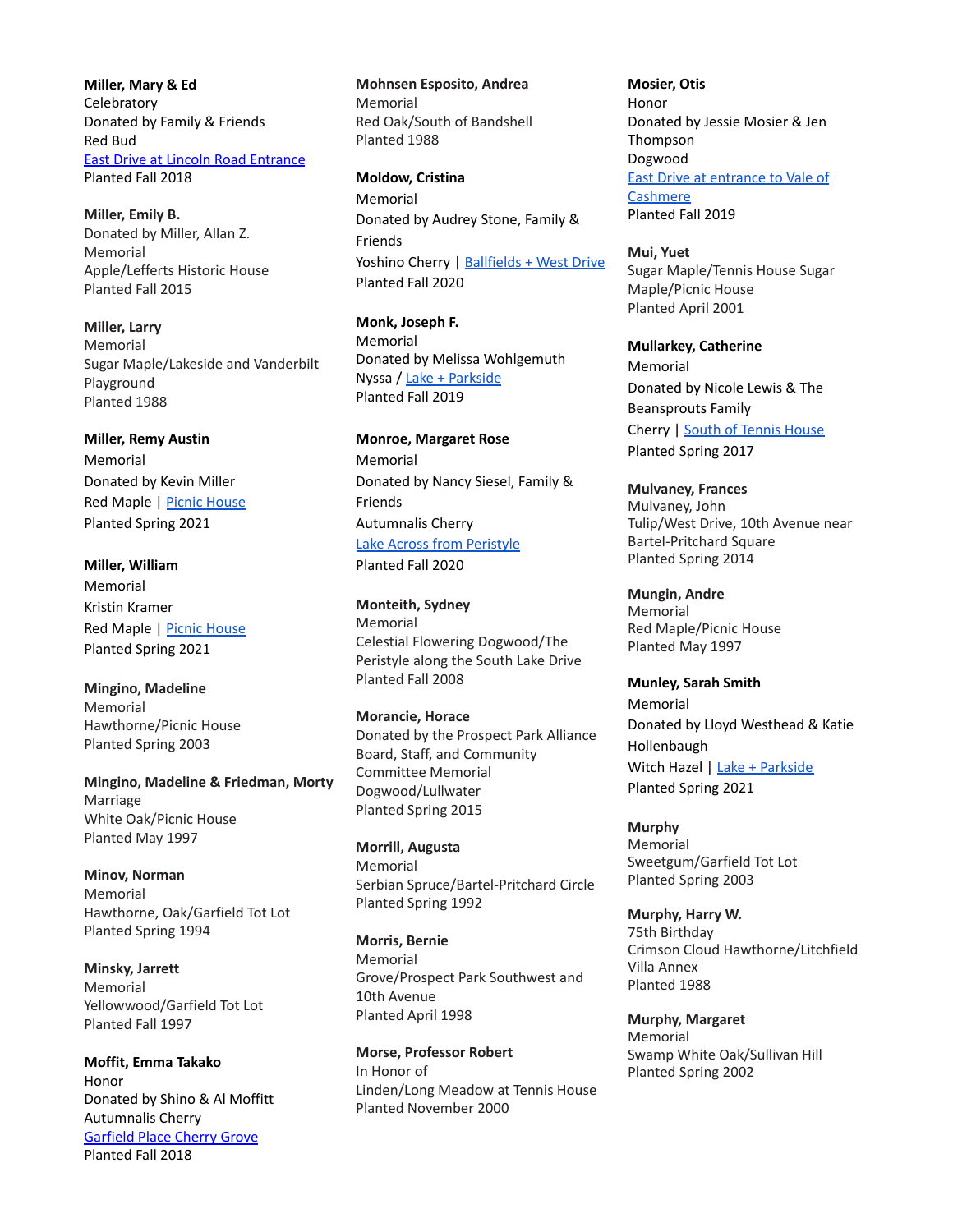**Miller, Mary & Ed Celebratory** Donated by Family & Friends Red Bud East Drive at Lincoln Road [Entrance](https://goo.gl/maps/f5PZDottwE82) Planted Fall 2018

**Miller, Emily B.** Donated by Miller, Allan Z. Memorial Apple/Lefferts Historic House Planted Fall 2015

**Miller, Larry** Memorial Sugar Maple/Lakeside and Vanderbilt Playground Planted 1988

**Miller, Remy Austin** Memorial Donated by Kevin Miller Red Maple | Picnic [House](https://goo.gl/maps/PMpVHyj84k3ZPSkBA) Planted Spring 2021

**Miller, William** Memorial Kristin Kramer Red Maple | Picnic [House](https://goo.gl/maps/A6emxy17FJFFeH8p9) Planted Spring 2021

**Mingino, Madeline** Memorial Hawthorne/Picnic House Planted Spring 2003

**Mingino, Madeline & Friedman, Morty** Marriage White Oak/Picnic House Planted May 1997

**Minov, Norman** Memorial Hawthorne, Oak/Garfield Tot Lot Planted Spring 1994

**Minsky, Jarrett** Memorial Yellowwood/Garfield Tot Lot Planted Fall 1997

**Moffit, Emma Takako** Honor Donated by Shino & Al Moffitt Autumnalis Cherry [Garfield](https://goo.gl/maps/7LUAQjoyQFT2) Place Cherry Grove Planted Fall 2018

**Mohnsen Esposito, Andrea** Memorial Red Oak/South of Bandshell Planted 1988

**Moldow, Cristina** Memorial Donated by Audrey Stone, Family & Friends Yoshino Cherry | [Ballfields](https://goo.gl/maps/QJbt2hVVAsdrmMes9) + West Drive Planted Fall 2020

**Monk, Joseph F.** Memorial Donated by Melissa Wohlgemuth Nyssa / Lake + [Parkside](https://goo.gl/maps/yiguYA6UFzq1GHsB6) Planted Fall 2019

**Monroe, Margaret Rose** Memorial Donated by Nancy Siesel, Family & Friends Autumnalis Cherry Lake Across from [Peristyle](https://goo.gl/maps/onVkTdMePGya8jrf9) Planted Fall 2020

**Monteith, Sydney** Memorial Celestial Flowering Dogwood/The Peristyle along the South Lake Drive Planted Fall 2008

**Morancie, Horace** Donated by the Prospect Park Alliance Board, Staff, and Community Committee Memorial Dogwood/Lullwater Planted Spring 2015

**Morrill, Augusta** Memorial Serbian Spruce/Bartel-Pritchard Circle Planted Spring 1992

**Morris, Bernie** Memorial Grove/Prospect Park Southwest and 10th Avenue Planted April 1998

**Morse, Professor Robert** In Honor of Linden/Long Meadow at Tennis House Planted November 2000

**Mosier, Otis** Honor Donated by Jessie Mosier & Jen Thompson Dogwood East Drive at [entrance](https://goo.gl/maps/FUoanWm7exztCKLW9) to Vale of **[Cashmere](https://goo.gl/maps/FUoanWm7exztCKLW9)** Planted Fall 2019

**Mui, Yuet** Sugar Maple/Tennis House Sugar Maple/Picnic House Planted April 2001

**Mullarkey, Catherine** Memorial Donated by Nicole Lewis & The Beansprouts Family Cherry | South of [Tennis](https://goo.gl/maps/Xz2SZv63eyYs3f386) House Planted Spring 2017

**Mulvaney, Frances** Mulvaney, John Tulip/West Drive, 10th Avenue near Bartel-Pritchard Square Planted Spring 2014

**Mungin, Andre** Memorial Red Maple/Picnic House Planted May 1997

**Munley, Sarah Smith** Memorial Donated by Lloyd Westhead & Katie Hollenbaugh Witch Hazel | Lake + [Parkside](https://goo.gl/maps/nQDcz5TVMyv73qTm6) Planted Spring 2021

**Murphy** Memorial Sweetgum/Garfield Tot Lot Planted Spring 2003

**Murphy, Harry W.** 75th Birthday Crimson Cloud Hawthorne/Litchfield Villa Annex Planted 1988

**Murphy, Margaret** Memorial Swamp White Oak/Sullivan Hill Planted Spring 2002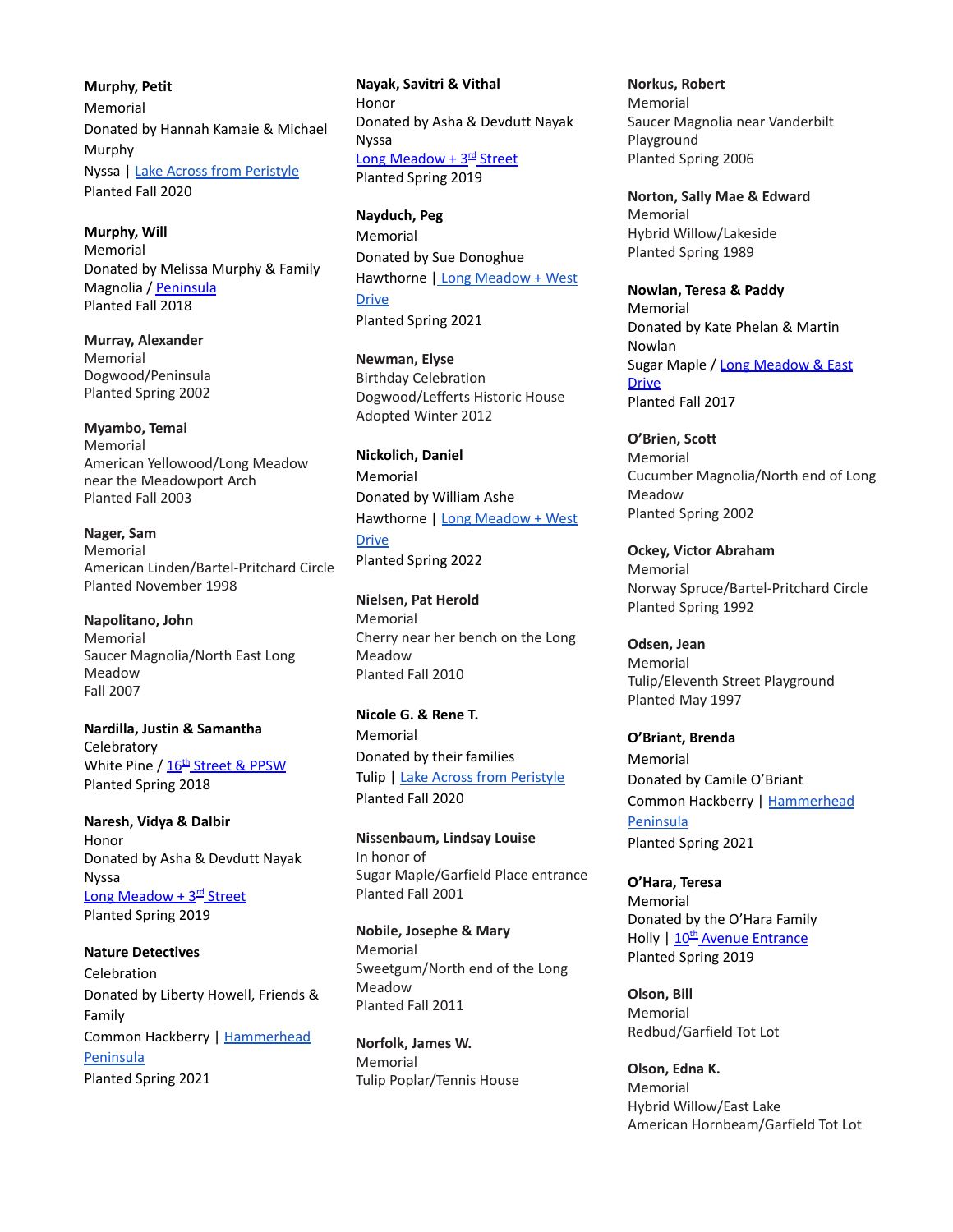**Murphy, Petit** Memorial Donated by Hannah Kamaie & Michael Murphy Nyssa | Lake Across from [Peristyle](https://goo.gl/maps/MH5qqWHm9g7pnr4x9) Planted Fall 2020

**Murphy, Will** Memorial Donated by Melissa Murphy & Family Magnolia / [Peninsula](https://goo.gl/maps/uBKGeMdaAeG2) Planted Fall 2018

**Murray, Alexander** Memorial Dogwood/Peninsula Planted Spring 2002

**Myambo, Temai** Memorial American Yellowood/Long Meadow near the Meadowport Arch Planted Fall 2003

**Nager, Sam** Memorial American Linden/Bartel-Pritchard Circle Planted November 1998

**Napolitano, John** Memorial Saucer Magnolia/North East Long Meadow Fall 2007

**Nardilla, Justin & Samantha Celebratory** White Pine / <u>16<sup>th</sup> [Street](https://goo.gl/maps/59CaibPMaEB2/%5d) & PPSW</u> Planted Spring 2018

**Naresh, Vidya & Dalbir** Honor Donated by Asha & Devdutt Nayak Nyssa Long [Meadow](https://goo.gl/maps/kkkcrB7WYcw) + 3<sup>rd</sup> Street Planted Spring 2019

**Nature Detectives** Celebration Donated by Liberty Howell, Friends & Family Common Hackberry | [Hammerhead](https://goo.gl/maps/grQYSDN7nQnEvm9H9) [Peninsula](https://goo.gl/maps/grQYSDN7nQnEvm9H9) Planted Spring 2021

**Nayak, Savitri & Vithal** Honor Donated by Asha & Devdutt Nayak Nyssa Long [Meadow](https://goo.gl/maps/kkkcrB7WYcw) + 3<sup>rd</sup> Street Planted Spring 2019

**Nayduch, Peg** Memorial Donated by Sue Donoghue Hawthorne | Long [Meadow](https://goo.gl/maps/CUh5HXr38VNigmfC8) + West **[Drive](https://goo.gl/maps/CUh5HXr38VNigmfC8)** Planted Spring 2021

**Newman, Elyse** Birthday Celebration Dogwood/Lefferts Historic House Adopted Winter 2012

**Nickolich, Daniel** Memorial Donated by William Ashe Hawthorne | Long [Meadow](https://goo.gl/maps/GsuzBiPU3N8n23kJA) + West [Drive](https://goo.gl/maps/GsuzBiPU3N8n23kJA) Planted Spring 2022

**Nielsen, Pat Herold** Memorial Cherry near her bench on the Long Meadow Planted Fall 2010

**Nicole G. & Rene T.** Memorial Donated by their families Tulip | Lake Across from [Peristyle](https://goo.gl/maps/9o7ZL6qHneKX66tK6) Planted Fall 2020

**Nissenbaum, Lindsay Louise** In honor of Sugar Maple/Garfield Place entrance Planted Fall 2001

**Nobile, Josephe & Mary** Memorial Sweetgum/North end of the Long Meadow Planted Fall 2011

**Norfolk, James W.** Memorial Tulip Poplar/Tennis House **Norkus, Robert** Memorial Saucer Magnolia near Vanderbilt Playground Planted Spring 2006

**Norton, Sally Mae & Edward** Memorial Hybrid Willow/Lakeside Planted Spring 1989

**Nowlan, Teresa & Paddy** Memorial Donated by Kate Phelan & Martin Nowlan Sugar Maple / Long [Meadow](https://goo.gl/maps/PvC7nQqDPYq) & East [Drive](https://goo.gl/maps/PvC7nQqDPYq) Planted Fall 2017

**O'Brien, Scott** Memorial Cucumber Magnolia/North end of Long Meadow Planted Spring 2002

**Ockey, Victor Abraham** Memorial Norway Spruce/Bartel-Pritchard Circle Planted Spring 1992

**Odsen, Jean** Memorial Tulip/Eleventh Street Playground Planted May 1997

**O'Briant, Brenda** Memorial Donated by Camile O'Briant Common Hackberry | [Hammerhead](https://goo.gl/maps/YiChiexbSUM8ynAJ7) [Peninsula](https://goo.gl/maps/YiChiexbSUM8ynAJ7) Planted Spring 2021

**O'Hara, Teresa** Memorial Donated by the O'Hara Family Holly | 10<sup>th</sup> Avenue [Entrance](https://goo.gl/maps/sKKSkCeKGMB2) Planted Spring 2019

**Olson, Bill** Memorial Redbud/Garfield Tot Lot

**Olson, Edna K.** Memorial Hybrid Willow/East Lake American Hornbeam/Garfield Tot Lot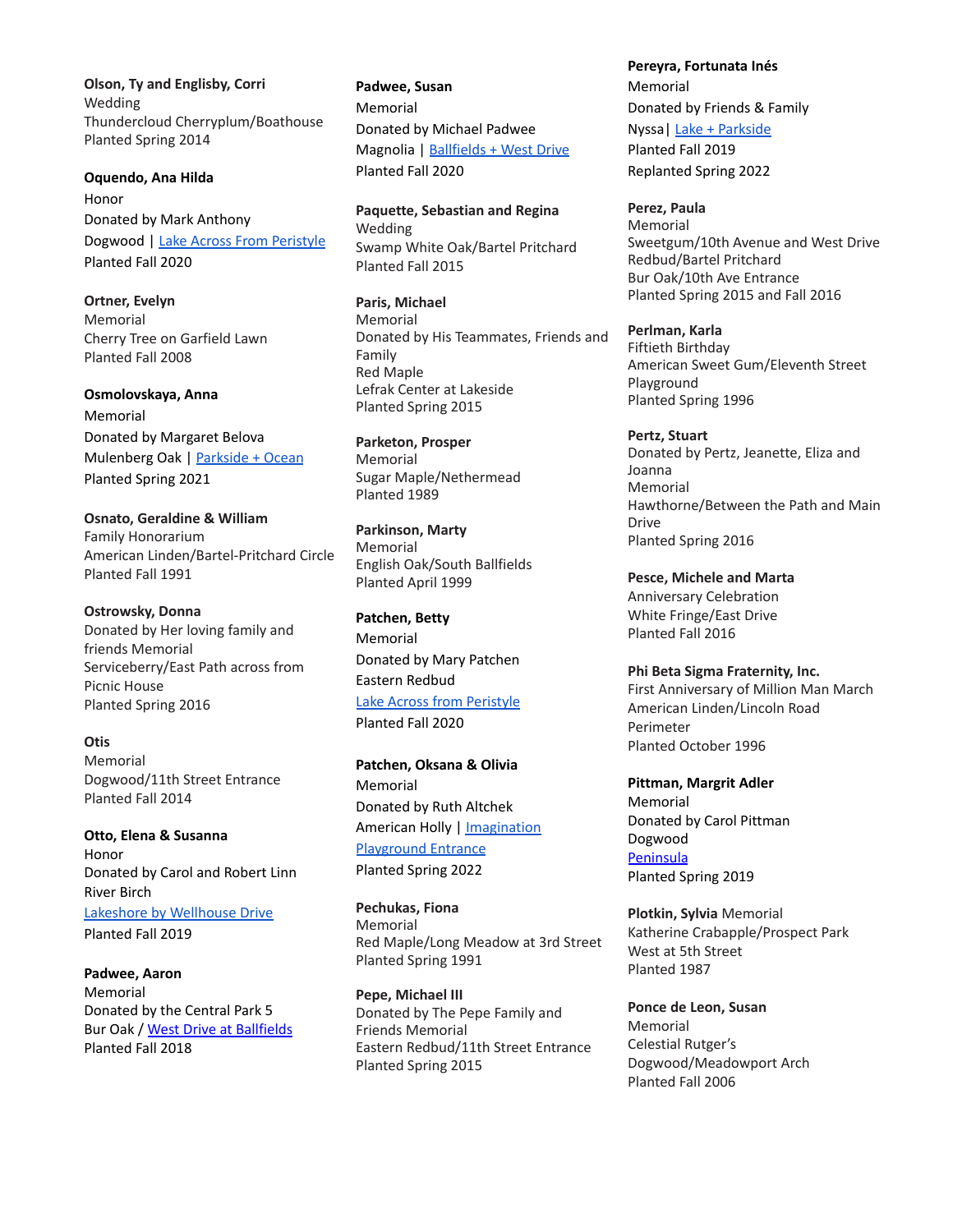**Olson, Ty and Englisby, Corri** Wedding Thundercloud Cherryplum/Boathouse Planted Spring 2014

**Oquendo, Ana Hilda** Honor Donated by Mark Anthony Dogwood | Lake Across From [Peristyle](https://goo.gl/maps/3TjQ2eWJsmLrNCod9) Planted Fall 2020

**Ortner, Evelyn** Memorial Cherry Tree on Garfield Lawn Planted Fall 2008

**Osmolovskaya, Anna** Memorial Donated by Margaret Belova Mulenberg Oak | [Parkside](https://goo.gl/maps/4eEAg3kN9BQurXqu5) + Ocean Planted Spring 2021

**Osnato, Geraldine & William** Family Honorarium American Linden/Bartel-Pritchard Circle Planted Fall 1991

**Ostrowsky, Donna** Donated by Her loving family and friends Memorial Serviceberry/East Path across from Picnic House Planted Spring 2016

**Otis** Memorial Dogwood/11th Street Entrance Planted Fall 2014

**Otto, Elena & Susanna** Honor Donated by Carol and Robert Linn River Birch Lakeshore by [Wellhouse](https://goo.gl/maps/4WYFUYwNHuxtioBY9) Drive Planted Fall 2019

**Padwee, Aaron** Memorial Donated by the Central Park 5 Bur Oak / West Drive at [Ballfields](https://goo.gl/maps/1LXWDuLwhLm) Planted Fall 2018

**Padwee, Susan** Memorial Donated by Michael Padwee Magnolia | [Ballfields](https://goo.gl/maps/cgSXMRVBG5qvDmkc7) + West Drive Planted Fall 2020

**Paquette, Sebastian and Regina** Wedding Swamp White Oak/Bartel Pritchard Planted Fall 2015

**Paris, Michael** Memorial Donated by His Teammates, Friends and Family Red Maple Lefrak Center at Lakeside Planted Spring 2015

**Parketon, Prosper** Memorial Sugar Maple/Nethermead Planted 1989

**Parkinson, Marty** Memorial English Oak/South Ballfields Planted April 1999

**Patchen, Betty** Memorial Donated by Mary Patchen Eastern Redbud Lake Across from [Peristyle](https://goo.gl/maps/9vS7PfwikLVm47nh6) Planted Fall 2020

**Patchen, Oksana & Olivia** Memorial Donated by Ruth Altchek American Holly | [Imagination](https://goo.gl/maps/54YkytXdhDemMthHA) [Playground](https://goo.gl/maps/54YkytXdhDemMthHA) Entrance Planted Spring 2022

**Pechukas, Fiona** Memorial Red Maple/Long Meadow at 3rd Street Planted Spring 1991

**Pepe, Michael III** Donated by The Pepe Family and Friends Memorial Eastern Redbud/11th Street Entrance Planted Spring 2015

**Pereyra, Fortunata Inés** Memorial Donated by Friends & Family Nyssa| Lake + [Parkside](https://goo.gl/maps/yiguYA6UFzq1GHsB6) Planted Fall 2019 Replanted Spring 2022

**Perez, Paula** Memorial Sweetgum/10th Avenue and West Drive Redbud/Bartel Pritchard Bur Oak/10th Ave Entrance Planted Spring 2015 and Fall 2016

**Perlman, Karla** Fiftieth Birthday American Sweet Gum/Eleventh Street Playground Planted Spring 1996

**Pertz, Stuart** Donated by Pertz, Jeanette, Eliza and Joanna Memorial Hawthorne/Between the Path and Main Drive Planted Spring 2016

**Pesce, Michele and Marta** Anniversary Celebration White Fringe/East Drive Planted Fall 2016

**Phi Beta Sigma Fraternity, Inc.** First Anniversary of Million Man March American Linden/Lincoln Road Perimeter Planted October 1996

**Pittman, Margrit Adler** Memorial Donated by Carol Pittman Dogwood [Peninsula](https://goo.gl/maps/2jm8KKR675q) Planted Spring 2019

**Plotkin, Sylvia** Memorial Katherine Crabapple/Prospect Park West at 5th Street Planted 1987

**Ponce de Leon, Susan** Memorial Celestial Rutger's Dogwood/Meadowport Arch Planted Fall 2006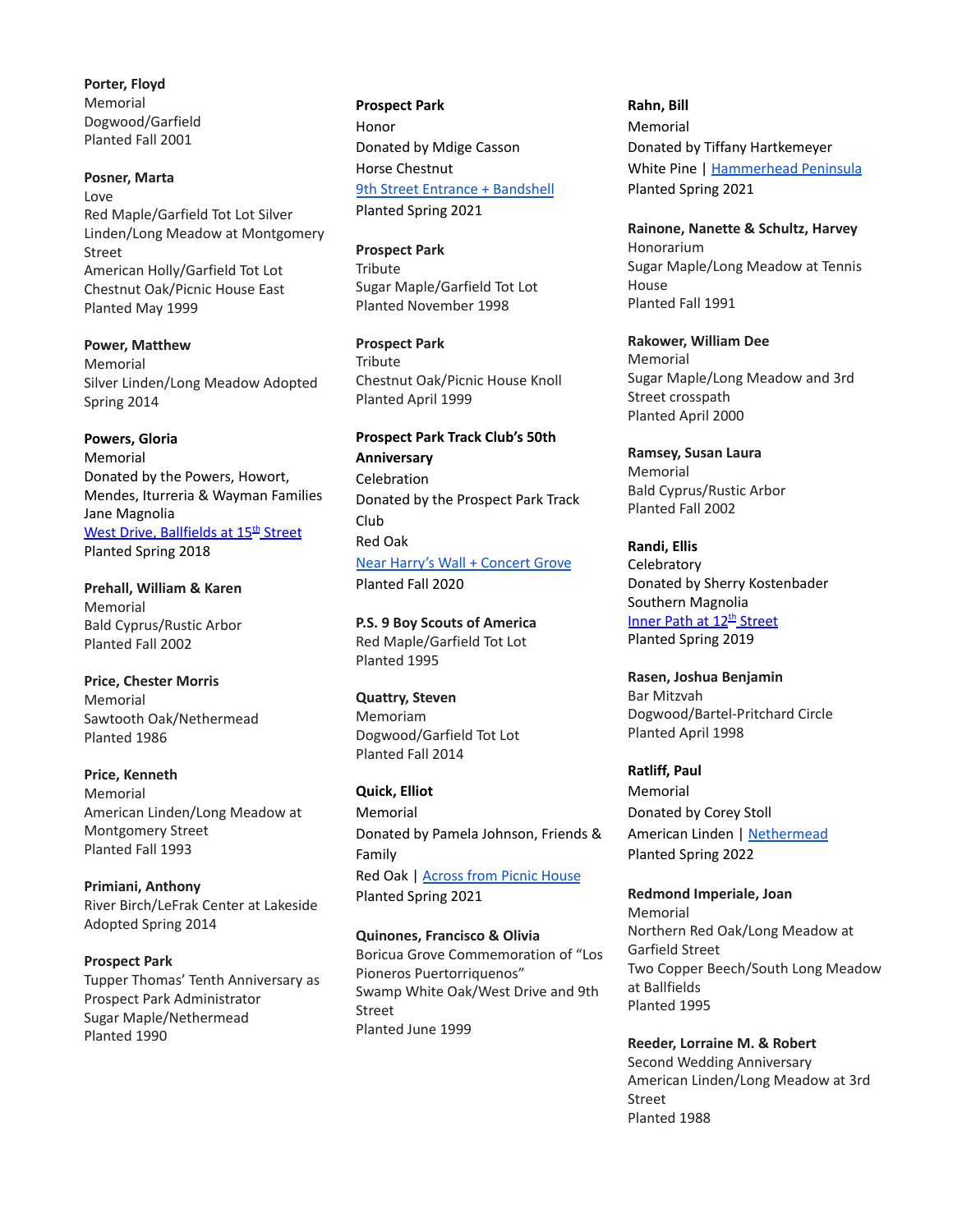**Porter, Floyd** Memorial Dogwood/Garfield Planted Fall 2001

### **Posner, Marta** Love Red Maple/Garfield Tot Lot Silver Linden/Long Meadow at Montgomery Street American Holly/Garfield Tot Lot Chestnut Oak/Picnic House East Planted May 1999

**Power, Matthew** Memorial Silver Linden/Long Meadow Adopted Spring 2014

**Powers, Gloria** Memorial Donated by the Powers, Howort, Mendes, Iturreria & Wayman Families Jane Magnolia <u>West Drive, [Ballfields](https://goo.gl/maps/cTJukkKRkbK2) at 15<sup>th</sup> Street</u> Planted Spring 2018

**Prehall, William & Karen** Memorial Bald Cyprus/Rustic Arbor Planted Fall 2002

**Price, Chester Morris** Memorial Sawtooth Oak/Nethermead Planted 1986

**Price, Kenneth** Memorial American Linden/Long Meadow at Montgomery Street Planted Fall 1993

**Primiani, Anthony** River Birch/LeFrak Center at Lakeside Adopted Spring 2014

**Prospect Park** Tupper Thomas' Tenth Anniversary as Prospect Park Administrator Sugar Maple/Nethermead Planted 1990

**Prospect Park** Honor Donated by Mdige Casson Horse Chestnut 9th Street Entrance + [Bandshell](https://goo.gl/maps/785HKEiqca5fqrnh8) Planted Spring 2021

**Prospect Park Tribute** 

Sugar Maple/Garfield Tot Lot Planted November 1998

**Prospect Park Tribute** Chestnut Oak/Picnic House Knoll Planted April 1999

**Prospect Park Track Club's 50th Anniversary** Celebration Donated by the Prospect Park Track Club Red Oak Near Harry's Wall + [Concert](https://goo.gl/maps/ztAwnPc693CxBFpA6) Grove Planted Fall 2020

**P.S. 9 Boy Scouts of America** Red Maple/Garfield Tot Lot Planted 1995

**Quattry, Steven** Memoriam Dogwood/Garfield Tot Lot Planted Fall 2014

**Quick, Elliot** Memorial Donated by Pamela Johnson, Friends & Family Red Oak | [Across](https://goo.gl/maps/uqDb7iadTBvbtR2J7) from Picnic House Planted Spring 2021

**Quinones, Francisco & Olivia** Boricua Grove Commemoration of "Los Pioneros Puertorriquenos" Swamp White Oak/West Drive and 9th Street Planted June 1999

**Rahn, Bill** Memorial Donated by Tiffany Hartkemeyer White Pine | [Hammerhead](https://goo.gl/maps/YiChiexbSUM8ynAJ7) Peninsula Planted Spring 2021

**Rainone, Nanette & Schultz, Harvey** Honorarium Sugar Maple/Long Meadow at Tennis House Planted Fall 1991

**Rakower, William Dee** Memorial Sugar Maple/Long Meadow and 3rd Street crosspath Planted April 2000

**Ramsey, Susan Laura** Memorial Bald Cyprus/Rustic Arbor Planted Fall 2002

**Randi, Ellis Celebratory** Donated by Sherry Kostenbader Southern Magnolia Inner Path at 12<sup>th</sup> [Street](https://goo.gl/maps/mBu8pEuxKx72) Planted Spring 2019

**Rasen, Joshua Benjamin** Bar Mitzvah Dogwood/Bartel-Pritchard Circle Planted April 1998

**Ratliff, Paul** Memorial Donated by Corey Stoll American Linden | [Nethermead](https://goo.gl/maps/3kXQypEbUKdz3M2y6) Planted Spring 2022

**Redmond Imperiale, Joan** Memorial Northern Red Oak/Long Meadow at Garfield Street Two Copper Beech/South Long Meadow at Ballfields Planted 1995

**Reeder, Lorraine M. & Robert** Second Wedding Anniversary American Linden/Long Meadow at 3rd Street Planted 1988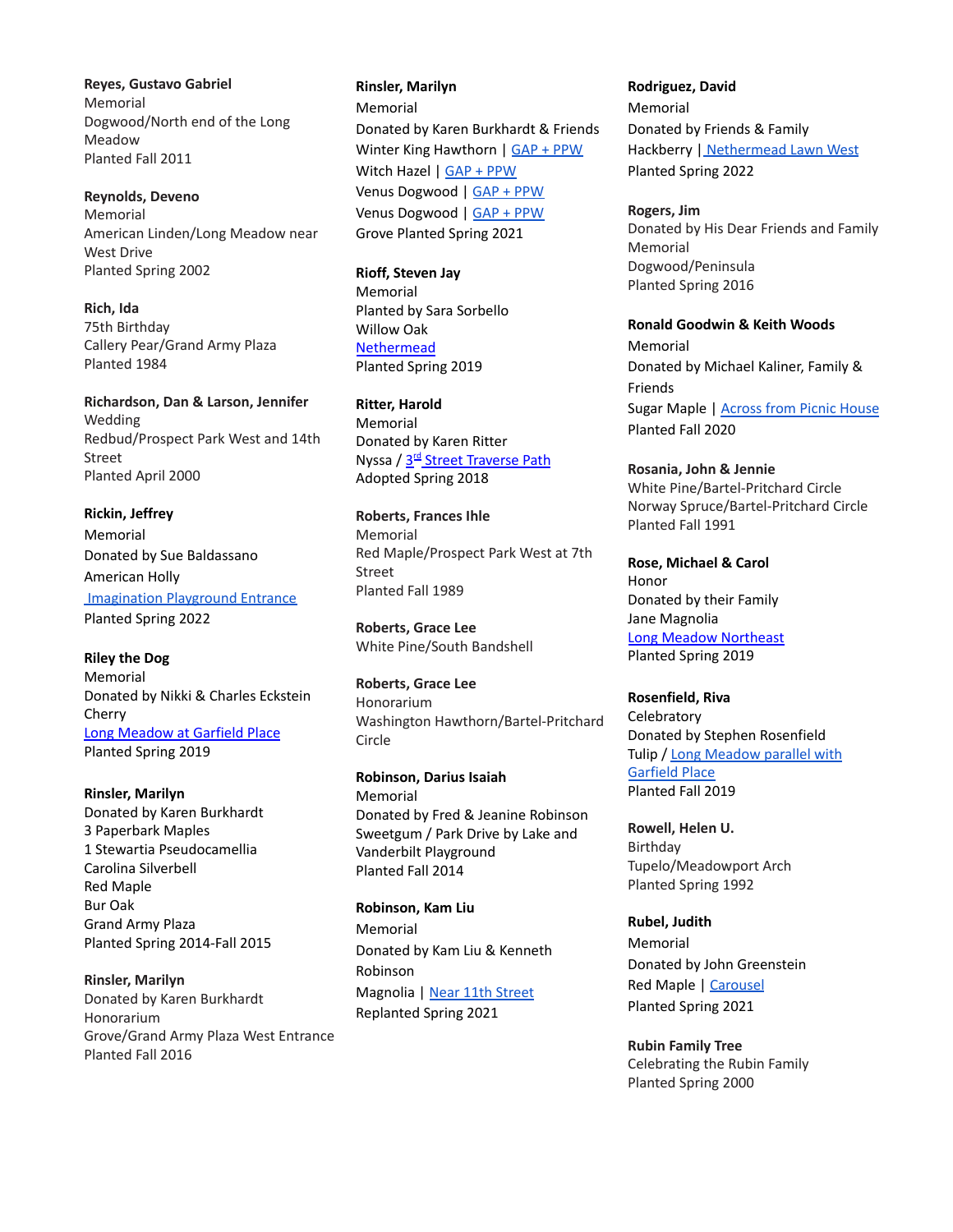**Reyes, Gustavo Gabriel** Memorial Dogwood/North end of the Long Meadow Planted Fall 2011

**Reynolds, Deveno** Memorial American Linden/Long Meadow near West Drive Planted Spring 2002

**Rich, Ida** 75th Birthday Callery Pear/Grand Army Plaza Planted 1984

**Richardson, Dan & Larson, Jennifer** Wedding Redbud/Prospect Park West and 14th Street Planted April 2000

**Rickin, Jeffrey** Memorial Donated by Sue Baldassano American Holly [Imagination](https://goo.gl/maps/54YkytXdhDemMthHA) Playground Entrance Planted Spring 2022

**Riley the Dog** Memorial Donated by Nikki & Charles Eckstein Cherry Long [Meadow](https://goo.gl/maps/ffxfLeYgtnv) at Garfield Place Planted Spring 2019

**Rinsler, Marilyn** Donated by Karen Burkhardt 3 Paperbark Maples 1 Stewartia Pseudocamellia Carolina Silverbell Red Maple Bur Oak Grand Army Plaza Planted Spring 2014-Fall 2015

**Rinsler, Marilyn** Donated by Karen Burkhardt Honorarium Grove/Grand Army Plaza West Entrance Planted Fall 2016

**Rinsler, Marilyn** Memorial Donated by Karen Burkhardt & Friends Winter King Hawthorn | GAP + [PPW](https://goo.gl/maps/mvRuudwJHxd7mTrn9) Witch Hazel | GAP + [PPW](https://goo.gl/maps/czurTtqv8JUHTwov8) Venus Dogwood | GAP + [PPW](https://goo.gl/maps/krQEpyCmkaYf2pYb6) Venus Dogwood | GAP + [PPW](https://goo.gl/maps/MVoEVxTTTEu1hFsn6) Grove Planted Spring 2021

**Rioff, Steven Jay** Memorial Planted by Sara Sorbello Willow Oak [Nethermead](https://goo.gl/maps/SQptZTfv2uJ2) Planted Spring 2019

**Ritter, Harold** Memorial Donated by Karen Ritter Nyssa / 3<sup>rd</sup> Street [Traverse](https://goo.gl/maps/ypscA3sHxar) Path Adopted Spring 2018

**Roberts, Frances Ihle** Memorial Red Maple/Prospect Park West at 7th Street Planted Fall 1989

**Roberts, Grace Lee** White Pine/South Bandshell

**Roberts, Grace Lee** Honorarium Washington Hawthorn/Bartel-Pritchard Circle

**Robinson, Darius Isaiah** Memorial Donated by Fred & Jeanine Robinson Sweetgum / Park Drive by Lake and Vanderbilt Playground Planted Fall 2014

**Robinson, Kam Liu** Memorial Donated by Kam Liu & Kenneth Robinson Magnolia | Near 11th [Street](https://goo.gl/maps/RH8o14V39K2A4qrZA) Replanted Spring 2021

**Rodriguez, David** Memorial Donated by Friends & Family Hackberry | [Nethermead](https://goo.gl/maps/rw6DAS1sDwHd2AJ17) Lawn West Planted Spring 2022

**Rogers, Jim** Donated by His Dear Friends and Family Memorial Dogwood/Peninsula Planted Spring 2016

**Ronald Goodwin & Keith Woods** Memorial Donated by Michael Kaliner, Family & Friends Sugar Maple | [Across](https://goo.gl/maps/vojFw8Xz5qBpm79L7) from Picnic House Planted Fall 2020

**Rosania, John & Jennie** White Pine/Bartel-Pritchard Circle Norway Spruce/Bartel-Pritchard Circle Planted Fall 1991

**Rose, Michael & Carol** Honor Donated by their Family Jane Magnolia Long Meadow [Northeast](https://goo.gl/maps/myN7daEpax32) Planted Spring 2019

**Rosenfield, Riva Celebratory** Donated by Stephen Rosenfield Tulip / Long [Meadow](https://goo.gl/maps/sBkpwSyiTAZBR4gF9) parallel with [Garfield](https://goo.gl/maps/sBkpwSyiTAZBR4gF9) Place Planted Fall 2019

**Rowell, Helen U.** Birthday Tupelo/Meadowport Arch Planted Spring 1992

**Rubel, Judith** Memorial Donated by John Greenstein Red Maple | [Carousel](https://goo.gl/maps/43yMcG1uBWthMsRo8) Planted Spring 2021

**Rubin Family Tree** Celebrating the Rubin Family Planted Spring 2000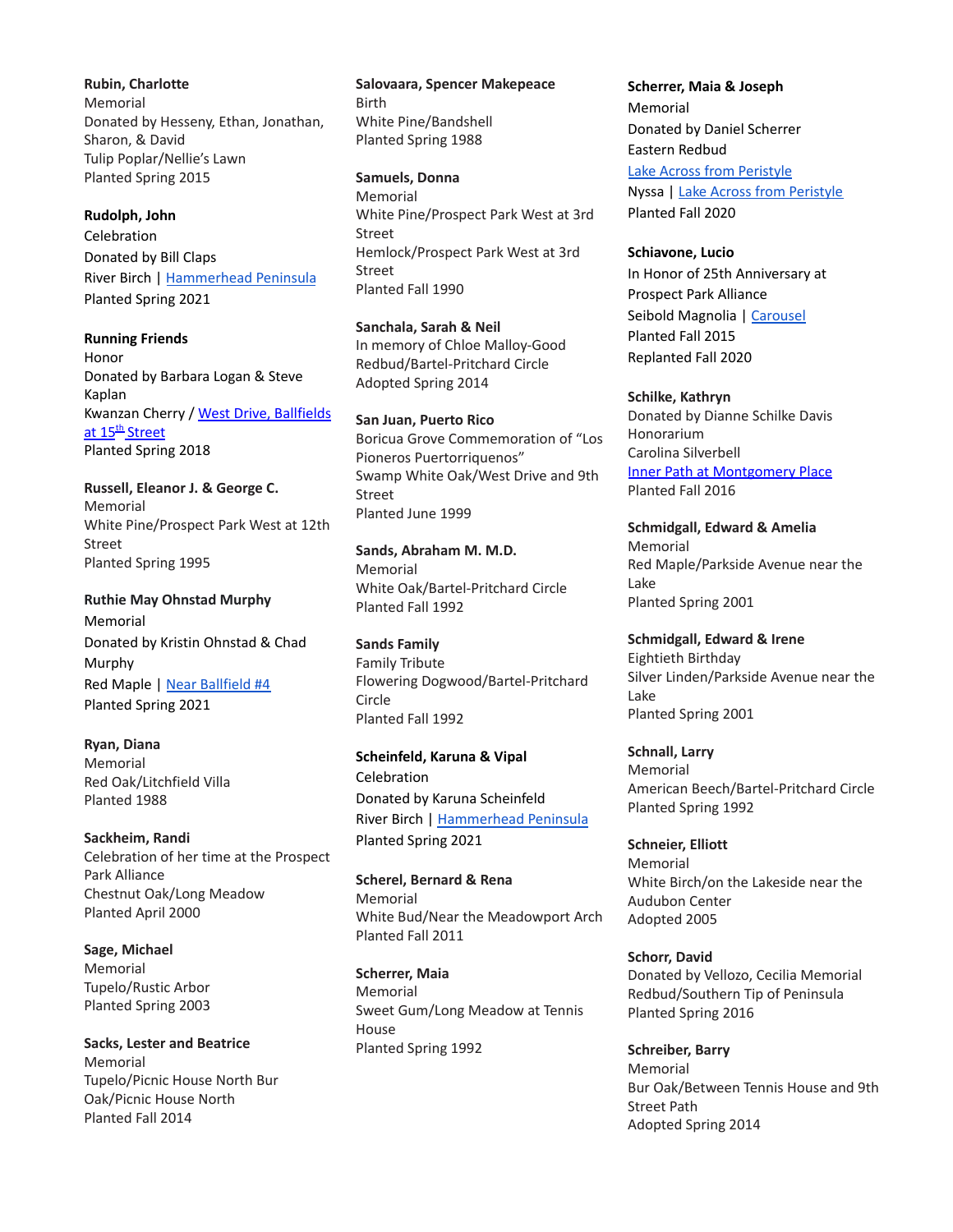**Rubin, Charlotte** Memorial Donated by Hesseny, Ethan, Jonathan, Sharon, & David Tulip Poplar/Nellie's Lawn Planted Spring 2015

#### **Rudolph, John**

Celebration Donated by Bill Claps River Birch | [Hammerhead](https://goo.gl/maps/pRPmpofr2e7y2xQs5) Peninsula Planted Spring 2021

**Running Friends** Honor Donated by Barbara Logan & Steve Kaplan Kwanzan Cherry / West Drive, [Ballfields](https://goo.gl/maps/b139wsVsbxj) at 15<sup>th</sup> [Street](https://goo.gl/maps/b139wsVsbxj) Planted Spring 2018

**Russell, Eleanor J. & George C.** Memorial White Pine/Prospect Park West at 12th Street Planted Spring 1995

**Ruthie May Ohnstad Murphy** Memorial Donated by Kristin Ohnstad & Chad Murphy Red Maple | Near [Ballfield](https://goo.gl/maps/V1k7zuqRC7hmh73JA) #4 Planted Spring 2021

**Ryan, Diana** Memorial Red Oak/Litchfield Villa Planted 1988

**Sackheim, Randi** Celebration of her time at the Prospect Park Alliance Chestnut Oak/Long Meadow Planted April 2000

**Sage, Michael** Memorial Tupelo/Rustic Arbor Planted Spring 2003

**Sacks, Lester and Beatrice** Memorial Tupelo/Picnic House North Bur Oak/Picnic House North Planted Fall 2014

**Salovaara, Spencer Makepeace** Birth White Pine/Bandshell Planted Spring 1988

**Samuels, Donna** Memorial White Pine/Prospect Park West at 3rd Street Hemlock/Prospect Park West at 3rd Street Planted Fall 1990

**Sanchala, Sarah & Neil** In memory of Chloe Malloy-Good Redbud/Bartel-Pritchard Circle Adopted Spring 2014

**San Juan, Puerto Rico** Boricua Grove Commemoration of "Los Pioneros Puertorriquenos" Swamp White Oak/West Drive and 9th Street Planted June 1999

**Sands, Abraham M. M.D.** Memorial White Oak/Bartel-Pritchard Circle Planted Fall 1992

**Sands Family** Family Tribute Flowering Dogwood/Bartel-Pritchard Circle Planted Fall 1992

**Scheinfeld, Karuna & Vipal** Celebration Donated by Karuna Scheinfeld River Birch | [Hammerhead](https://goo.gl/maps/YiChiexbSUM8ynAJ7) Peninsula Planted Spring 2021

**Scherel, Bernard & Rena** Memorial White Bud/Near the Meadowport Arch Planted Fall 2011

**Scherrer, Maia** Memorial Sweet Gum/Long Meadow at Tennis House Planted Spring 1992

**Scherrer, Maia & Joseph** Memorial Donated by Daniel Scherrer Eastern Redbud Lake Across from [Peristyle](https://goo.gl/maps/BT3irs4C1WnzXUXP8) Nyssa | Lake Across from [Peristyle](https://goo.gl/maps/dXPwB9SCpEmfvCHYA) Planted Fall 2020

**Schiavone, Lucio** In Honor of 25th Anniversary at Prospect Park Alliance Seibold Magnolia | [Carousel](https://goo.gl/maps/ZxHteBTD3ez8mKZs7) Planted Fall 2015

Replanted Fall 2020

**Schilke, Kathryn** Donated by Dianne Schilke Davis Honorarium Carolina Silverbell Inner Path at [Montgomery](https://goo.gl/maps/5XMZLzQffWC2) Place Planted Fall 2016

**Schmidgall, Edward & Amelia** Memorial Red Maple/Parkside Avenue near the Lake Planted Spring 2001

**Schmidgall, Edward & Irene** Eightieth Birthday Silver Linden/Parkside Avenue near the Lake Planted Spring 2001

**Schnall, Larry** Memorial American Beech/Bartel-Pritchard Circle Planted Spring 1992

**Schneier, Elliott** Memorial White Birch/on the Lakeside near the Audubon Center Adopted 2005

**Schorr, David** Donated by Vellozo, Cecilia Memorial Redbud/Southern Tip of Peninsula Planted Spring 2016

**Schreiber, Barry** Memorial Bur Oak/Between Tennis House and 9th Street Path Adopted Spring 2014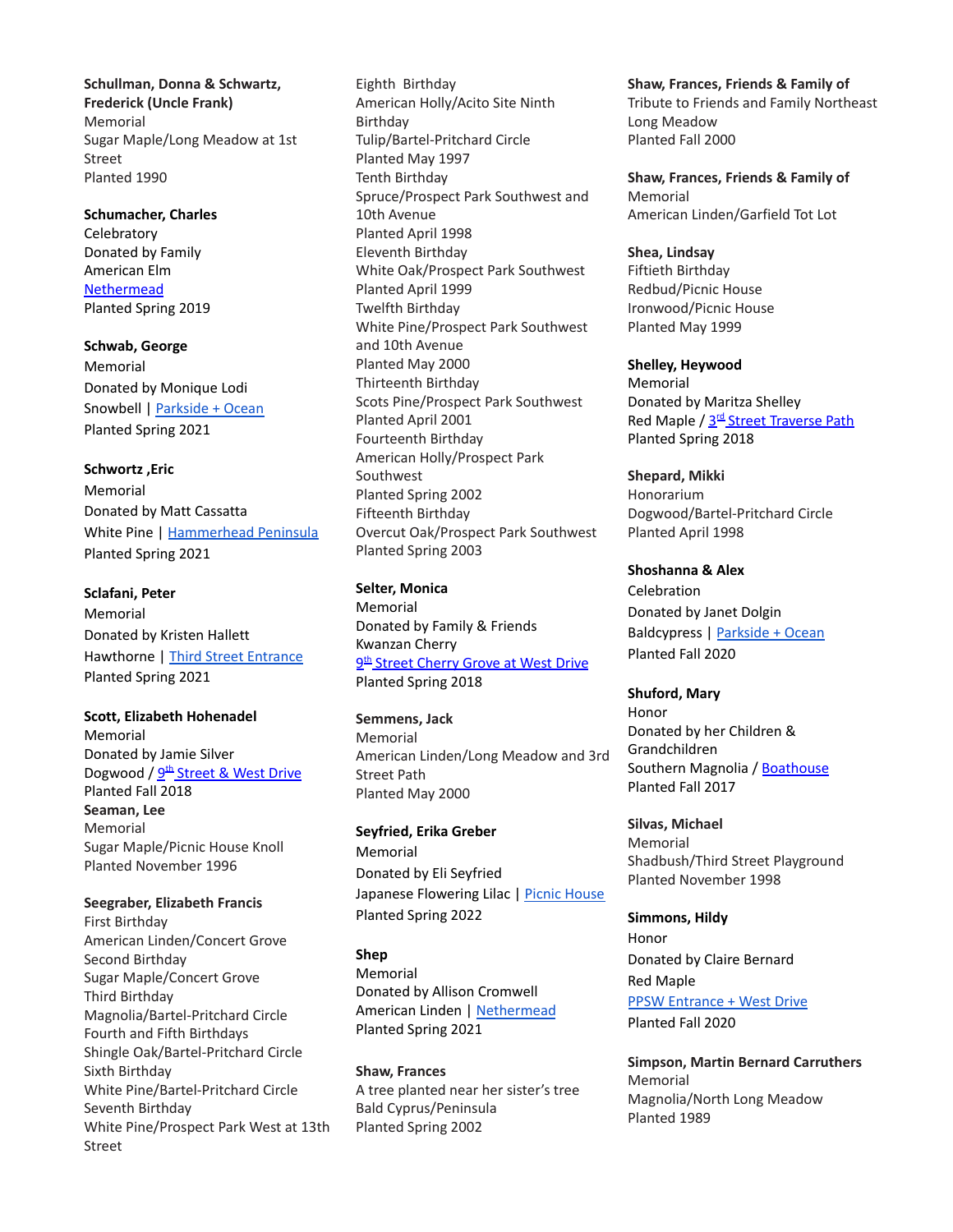**Schullman, Donna & Schwartz, Frederick (Uncle Frank)** Memorial Sugar Maple/Long Meadow at 1st Street Planted 1990

**Schumacher, Charles Celebratory** Donated by Family American Elm **[Nethermead](https://goo.gl/maps/gBjRrax2LB82)** Planted Spring 2019

**Schwab, George** Memorial Donated by Monique Lodi Snowbell | [Parkside](https://goo.gl/maps/Z5N2NeHkgRBEnc4g8) + Ocean Planted Spring 2021

## **Schwortz ,Eric** Memorial Donated by Matt Cassatta White Pine | [Hammerhead](https://goo.gl/maps/YiChiexbSUM8ynAJ7) Peninsula

Planted Spring 2021

**Sclafani, Peter** Memorial Donated by Kristen Hallett Hawthorne | Third Street [Entrance](https://goo.gl/maps/hMjEqkUKNVVAn63eA) Planted Spring 2021

**Scott, Elizabeth Hohenadel** Memorial Donated by Jamie Silver Dogwood / <u>9<sup>th</sup> [Street](https://goo.gl/maps/Bj8MJQfnqGq) & West Drive</u> Planted Fall 2018 **Seaman, Lee** Memorial Sugar Maple/Picnic House Knoll Planted November 1996

**Seegraber, Elizabeth Francis** First Birthday American Linden/Concert Grove Second Birthday Sugar Maple/Concert Grove Third Birthday Magnolia/Bartel-Pritchard Circle Fourth and Fifth Birthdays Shingle Oak/Bartel-Pritchard Circle Sixth Birthday White Pine/Bartel-Pritchard Circle Seventh Birthday White Pine/Prospect Park West at 13th Street

Eighth Birthday American Holly/Acito Site Ninth Birthday Tulip/Bartel-Pritchard Circle Planted May 1997 Tenth Birthday Spruce/Prospect Park Southwest and 10th Avenue Planted April 1998 Eleventh Birthday White Oak/Prospect Park Southwest Planted April 1999 Twelfth Birthday White Pine/Prospect Park Southwest and 10th Avenue Planted May 2000 Thirteenth Birthday Scots Pine/Prospect Park Southwest Planted April 2001 Fourteenth Birthday American Holly/Prospect Park Southwest Planted Spring 2002 Fifteenth Birthday Overcut Oak/Prospect Park Southwest Planted Spring 2003

**Selter, Monica** Memorial Donated by Family & Friends Kwanzan Cherry <u>9<sup>th</sup> Street [Cherry](https://goo.gl/maps/bw1JQB7DtPz) Grove at West Drive</u> Planted Spring 2018

**Semmens, Jack** Memorial American Linden/Long Meadow and 3rd Street Path Planted May 2000

**Seyfried, Erika Greber** Memorial Donated by Eli Seyfried Japanese Flowering Lilac | Picnic [House](https://goo.gl/maps/VN1Ag99DPbXJprb98) Planted Spring 2022

**Shep** Memorial Donated by Allison Cromwell American Linden | [Nethermead](https://goo.gl/maps/JUafUxYXAFUatrH76) Planted Spring 2021

**Shaw, Frances** A tree planted near her sister's tree Bald Cyprus/Peninsula Planted Spring 2002

**Shaw, Frances, Friends & Family of** Tribute to Friends and Family Northeast Long Meadow Planted Fall 2000

**Shaw, Frances, Friends & Family of** Memorial American Linden/Garfield Tot Lot

**Shea, Lindsay** Fiftieth Birthday Redbud/Picnic House Ironwood/Picnic House Planted May 1999

**Shelley, Heywood** Memorial Donated by Maritza Shelley Red Maple / 3<sup>rd</sup> Street [Traverse](https://goo.gl/maps/ypscA3sHxar) Path Planted Spring 2018

**Shepard, Mikki** Honorarium Dogwood/Bartel-Pritchard Circle Planted April 1998

**Shoshanna & Alex** Celebration Donated by Janet Dolgin Baldcypress | [Parkside](https://goo.gl/maps/PALAu6Wg49uSkYCM6) + Ocean Planted Fall 2020

**Shuford, Mary** Honor Donated by her Children & Grandchildren Southern Magnolia / [Boathouse](https://goo.gl/maps/LPrSDLTJDhF2) Planted Fall 2017

**Silvas, Michael** Memorial Shadbush/Third Street Playground Planted November 1998

**Simmons, Hildy** Honor Donated by Claire Bernard Red Maple **PPSW [Entrance](https://goo.gl/maps/em9HT8KcXc1UDpVbA) + West Drive** Planted Fall 2020

**Simpson, Martin Bernard Carruthers** Memorial Magnolia/North Long Meadow Planted 1989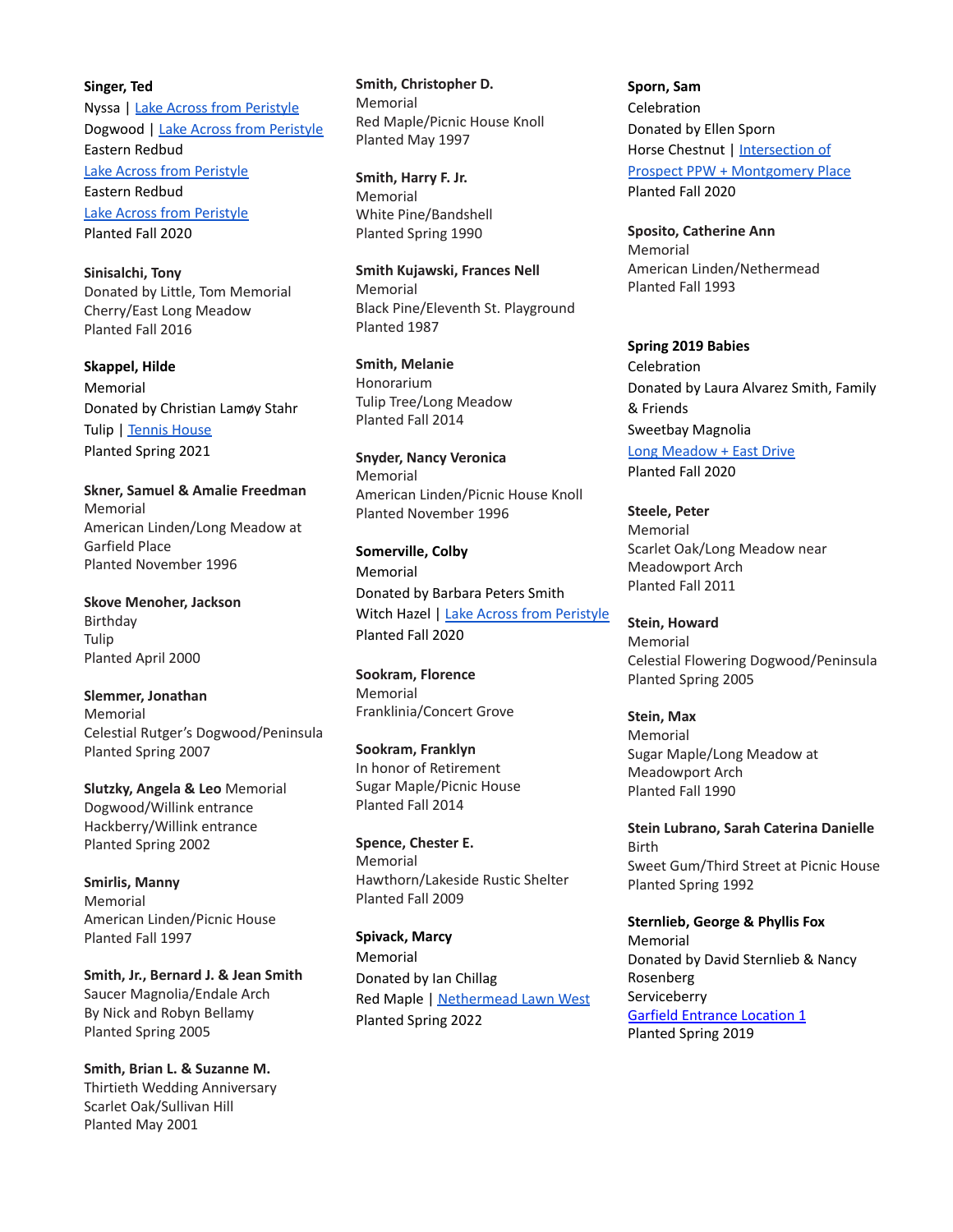**Singer, Ted** Nyssa | Lake Across from [Peristyle](https://goo.gl/maps/pXv9JmPtQou11kGR8) Dogwood | Lake Across from [Peristyle](https://goo.gl/maps/9TDWDHyzLjnYqznp9) Eastern Redbud Lake Across from [Peristyle](https://goo.gl/maps/oe3TXVJTpKe7Npq67) Eastern Redbud Lake Across from [Peristyle](https://goo.gl/maps/Uj3S9DK73rY7WJvn9) Planted Fall 2020

**Sinisalchi, Tony** Donated by Little, Tom Memorial Cherry/East Long Meadow Planted Fall 2016

**Skappel, Hilde** Memorial Donated by Christian Lamøy Stahr Tulip | [Tennis](https://goo.gl/maps/SG5zTskD5WmjEtVd9) House Planted Spring 2021

**Skner, Samuel & Amalie Freedman** Memorial American Linden/Long Meadow at Garfield Place Planted November 1996

**Skove Menoher, Jackson** Birthday Tulip Planted April 2000

**Slemmer, Jonathan** Memorial Celestial Rutger's Dogwood/Peninsula Planted Spring 2007

**Slutzky, Angela & Leo** Memorial Dogwood/Willink entrance Hackberry/Willink entrance Planted Spring 2002

**Smirlis, Manny** Memorial American Linden/Picnic House Planted Fall 1997

**Smith, Jr., Bernard J. & Jean Smith** Saucer Magnolia/Endale Arch By Nick and Robyn Bellamy Planted Spring 2005

**Smith, Brian L. & Suzanne M.** Thirtieth Wedding Anniversary Scarlet Oak/Sullivan Hill Planted May 2001

**Smith, Christopher D.** Memorial Red Maple/Picnic House Knoll Planted May 1997

**Smith, Harry F. Jr.** Memorial White Pine/Bandshell Planted Spring 1990

**Smith Kujawski, Frances Nell** Memorial Black Pine/Eleventh St. Playground Planted 1987

**Smith, Melanie** Honorarium Tulip Tree/Long Meadow Planted Fall 2014

**Snyder, Nancy Veronica** Memorial American Linden/Picnic House Knoll Planted November 1996

**Somerville, Colby** Memorial Donated by Barbara Peters Smith Witch Hazel | Lake Across from [Peristyle](https://goo.gl/maps/CYbdrZdFZ3yXaKuv9) Planted Fall 2020

**Sookram, Florence** Memorial Franklinia/Concert Grove

**Sookram, Franklyn** In honor of Retirement Sugar Maple/Picnic House Planted Fall 2014

**Spence, Chester E.** Memorial Hawthorn/Lakeside Rustic Shelter Planted Fall 2009

**Spivack, Marcy** Memorial Donated by Ian Chillag Red Maple | [Nethermead](https://goo.gl/maps/MSgyQRX7xdkXMMh9A) Lawn West Planted Spring 2022

**Sporn, Sam** Celebration Donated by Ellen Sporn Horse Chestnut | [Intersection](https://goo.gl/maps/TJvCoAbeMLc12bc88) of Prospect PPW + [Montgomery](https://goo.gl/maps/TJvCoAbeMLc12bc88) Place Planted Fall 2020

**Sposito, Catherine Ann** Memorial American Linden/Nethermead Planted Fall 1993

**Spring 2019 Babies** Celebration Donated by Laura Alvarez Smith, Family & Friends Sweetbay Magnolia Long [Meadow](https://goo.gl/maps/sxfe6xByyna5AmaK6) + East Drive Planted Fall 2020

**Steele, Peter** Memorial Scarlet Oak/Long Meadow near Meadowport Arch Planted Fall 2011

**Stein, Howard** Memorial Celestial Flowering Dogwood/Peninsula Planted Spring 2005

**Stein, Max** Memorial Sugar Maple/Long Meadow at Meadowport Arch Planted Fall 1990

**Stein Lubrano, Sarah Caterina Danielle** Birth Sweet Gum/Third Street at Picnic House Planted Spring 1992

**Sternlieb, George & Phyllis Fox** Memorial Donated by David Sternlieb & Nancy Rosenberg Serviceberry Garfield [Entrance](https://goo.gl/maps/unE2KJZMQa82) Location 1 Planted Spring 2019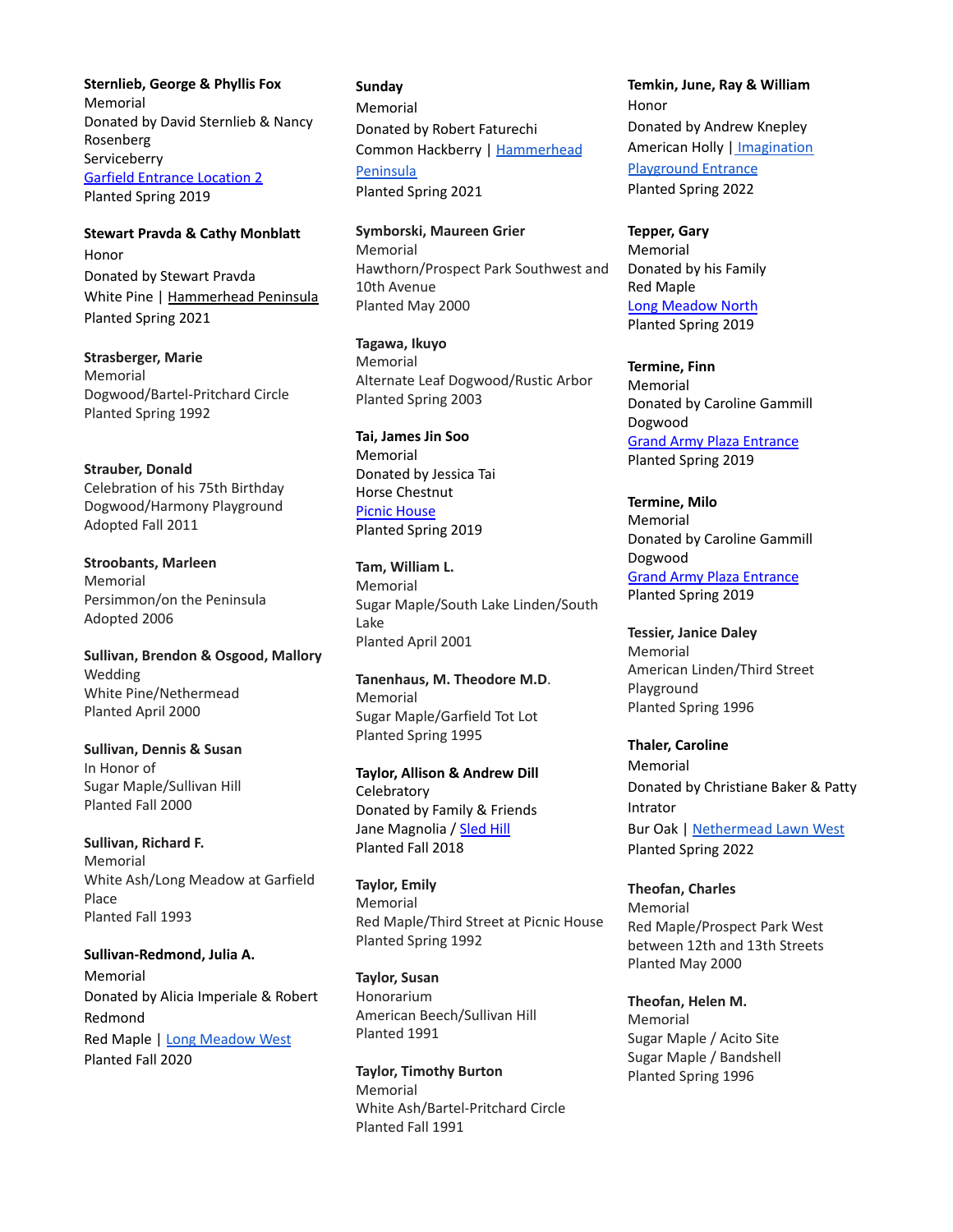**Sternlieb, George & Phyllis Fox** Memorial Donated by David Sternlieb & Nancy Rosenberg Serviceberry Garfield [Entrance](https://goo.gl/maps/unE2KJZMQa82) Location 2 Planted Spring 2019

**Stewart Pravda & Cathy Monblatt** Honor Donated by Stewart Pravda White Pine | [Hammerhead](https://goo.gl/maps/YiChiexbSUM8ynAJ7) Peninsula Planted Spring 2021

**Strasberger, Marie** Memorial Dogwood/Bartel-Pritchard Circle Planted Spring 1992

**Strauber, Donald** Celebration of his 75th Birthday Dogwood/Harmony Playground Adopted Fall 2011

**Stroobants, Marleen** Memorial Persimmon/on the Peninsula Adopted 2006

**Sullivan, Brendon & Osgood, Mallory** Wedding White Pine/Nethermead Planted April 2000

**Sullivan, Dennis & Susan** In Honor of Sugar Maple/Sullivan Hill Planted Fall 2000

**Sullivan, Richard F.** Memorial White Ash/Long Meadow at Garfield Place Planted Fall 1993

**Sullivan-Redmond, Julia A.** Memorial Donated by Alicia Imperiale & Robert Redmond Red Maple | Long [Meadow](https://goo.gl/maps/8yWb6XyCWDH3BxJq5) West Planted Fall 2020

**Sunday** Memorial Donated by Robert Faturechi Common Hackberry | [Hammerhead](https://goo.gl/maps/vWMWyKoBuxe3EFPe7) [Peninsula](https://goo.gl/maps/vWMWyKoBuxe3EFPe7) Planted Spring 2021

**Symborski, Maureen Grier** Memorial Hawthorn/Prospect Park Southwest and 10th Avenue Planted May 2000

**Tagawa, Ikuyo** Memorial Alternate Leaf Dogwood/Rustic Arbor Planted Spring 2003

**Tai, James Jin Soo** Memorial Donated by Jessica Tai Horse Chestnut Picnic [House](https://goo.gl/maps/jgHj2MGborM2) Planted Spring 2019

**Tam, William L.** Memorial Sugar Maple/South Lake Linden/South Lake Planted April 2001

**Tanenhaus, M. Theodore M.D**. Memorial Sugar Maple/Garfield Tot Lot Planted Spring 1995

**Taylor, Allison & Andrew Dill Celebratory** Donated by Family & Friends Jane Magnolia / [Sled](https://goo.gl/maps/Yb1Y1PsmuGn) Hill Planted Fall 2018

**Taylor, Emily** Memorial Red Maple/Third Street at Picnic House Planted Spring 1992

**Taylor, Susan** Honorarium American Beech/Sullivan Hill Planted 1991

**Taylor, Timothy Burton** Memorial White Ash/Bartel-Pritchard Circle Planted Fall 1991

**Temkin, June, Ray & William** Honor Donated by Andrew Knepley American Holly | [Imagination](https://goo.gl/maps/4tR7oLfVdtdwCryS6) [Playground](https://goo.gl/maps/4tR7oLfVdtdwCryS6) Entrance Planted Spring 2022

**Tepper, Gary** Memorial Donated by his Family Red Maple Long [Meadow](https://goo.gl/maps/PjQHkYPxevE2) North Planted Spring 2019

**Termine, Finn** Memorial Donated by Caroline Gammill Dogwood Grand Army Plaza [Entrance](https://goo.gl/maps/n7EziE7pjJD2) Planted Spring 2019

**Termine, Milo** Memorial Donated by Caroline Gammill Dogwood Grand Army Plaza [Entrance](https://goo.gl/maps/n7EziE7pjJD2) Planted Spring 2019

**Tessier, Janice Daley** Memorial American Linden/Third Street Playground Planted Spring 1996

**Thaler, Caroline** Memorial Donated by Christiane Baker & Patty Intrator Bur Oak | [Nethermead](https://goo.gl/maps/rNuDYasAJ8mX9aTT6) Lawn West Planted Spring 2022

**Theofan, Charles** Memorial Red Maple/Prospect Park West between 12th and 13th Streets Planted May 2000

**Theofan, Helen M.** Memorial Sugar Maple / Acito Site Sugar Maple / Bandshell Planted Spring 1996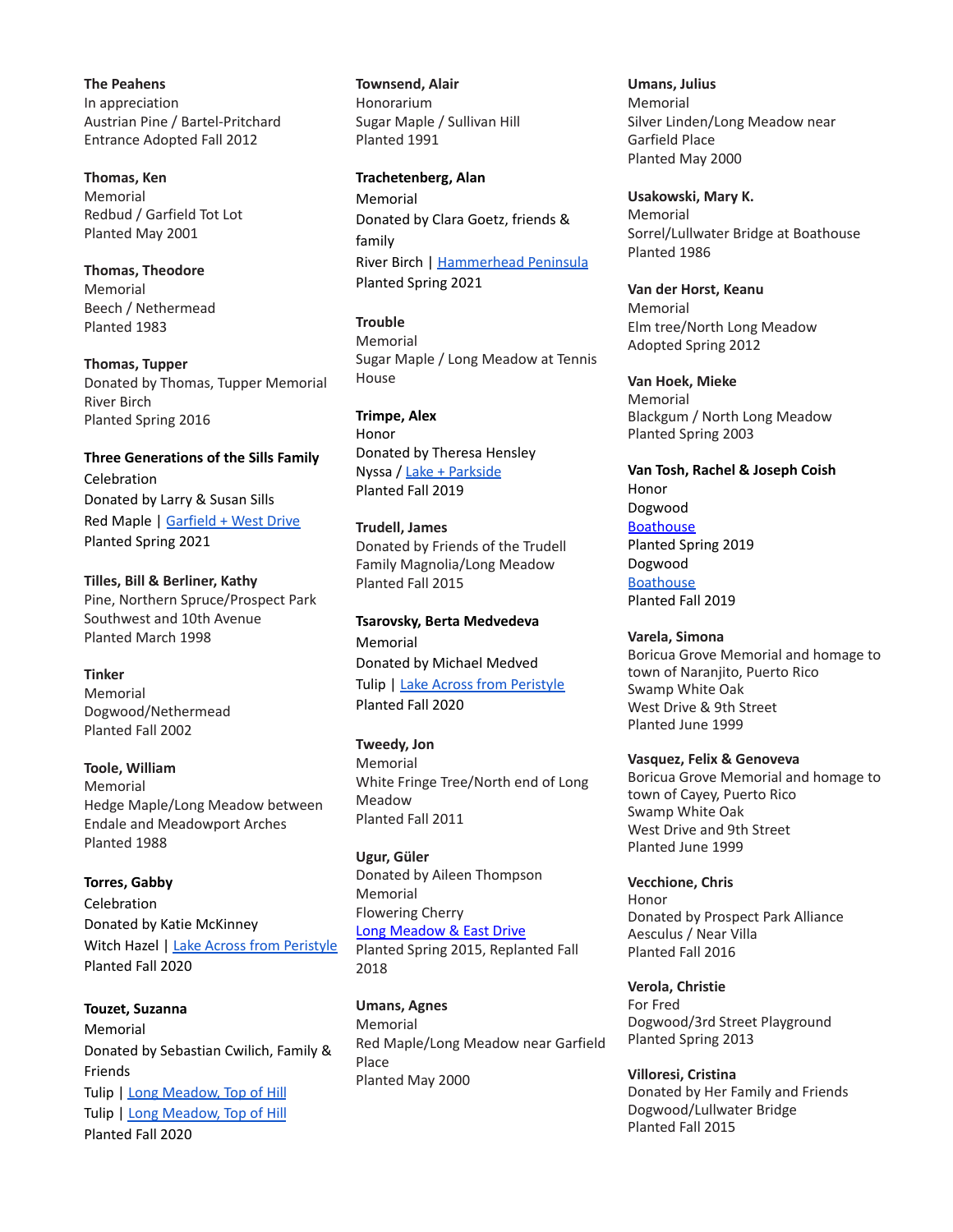**The Peahens** In appreciation Austrian Pine / Bartel-Pritchard Entrance Adopted Fall 2012

**Thomas, Ken** Memorial Redbud / Garfield Tot Lot Planted May 2001

**Thomas, Theodore** Memorial Beech / Nethermead Planted 1983

**Thomas, Tupper** Donated by Thomas, Tupper Memorial River Birch Planted Spring 2016

**Three Generations of the Sills Family** Celebration Donated by Larry & Susan Sills Red Maple | [Garfield](https://goo.gl/maps/NBovXc3JvgtMu9788) + West Drive Planted Spring 2021

**Tilles, Bill & Berliner, Kathy** Pine, Northern Spruce/Prospect Park Southwest and 10th Avenue Planted March 1998

**Tinker** Memorial Dogwood/Nethermead Planted Fall 2002

**Toole, William** Memorial Hedge Maple/Long Meadow between Endale and Meadowport Arches Planted 1988

**Torres, Gabby** Celebration Donated by Katie McKinney Witch Hazel | Lake Across from [Peristyle](https://goo.gl/maps/i57HQ4xWeKauFSb98) Planted Fall 2020

**Touzet, Suzanna** Memorial Donated by Sebastian Cwilich, Family & Friends Tulip | Long [Meadow,](https://goo.gl/maps/oAM172zfcbMLVM5a7) Top of Hill Tulip | Long [Meadow,](https://goo.gl/maps/gB2uywqqBD7XYyXdA) Top of Hill Planted Fall 2020

**Townsend, Alair** Honorarium Sugar Maple / Sullivan Hill Planted 1991

**Trachetenberg, Alan** Memorial Donated by Clara Goetz, friends & family River Birch | [Hammerhead](https://goo.gl/maps/YiChiexbSUM8ynAJ7) Peninsula Planted Spring 2021

**Trouble** Memorial Sugar Maple / Long Meadow at Tennis House

**Trimpe, Alex** Honor Donated by Theresa Hensley Nyssa / Lake + [Parkside](https://goo.gl/maps/yiguYA6UFzq1GHsB6) Planted Fall 2019

**Trudell, James** Donated by Friends of the Trudell Family Magnolia/Long Meadow Planted Fall 2015

**Tsarovsky, Berta Medvedeva** Memorial Donated by Michael Medved Tulip | Lake Across from [Peristyle](https://goo.gl/maps/onVkTdMePGya8jrf9) Planted Fall 2020

**Tweedy, Jon** Memorial White Fringe Tree/North end of Long Meadow Planted Fall 2011

**Ugur, Güler** Donated by Aileen Thompson Memorial Flowering Cherry Long [Meadow](https://maps.google.com/?q=40.667604,-73.968886) & East Drive Planted Spring 2015, Replanted Fall 2018

**Umans, Agnes** Memorial Red Maple/Long Meadow near Garfield Place Planted May 2000

**Umans, Julius** Memorial Silver Linden/Long Meadow near Garfield Place Planted May 2000

**Usakowski, Mary K.** Memorial Sorrel/Lullwater Bridge at Boathouse Planted 1986

**Van der Horst, Keanu** Memorial Elm tree/North Long Meadow Adopted Spring 2012

**Van Hoek, Mieke** Memorial Blackgum / North Long Meadow Planted Spring 2003

**Van Tosh, Rachel & Joseph Coish** Honor Dogwood **[Boathouse](https://goo.gl/maps/vJj4DSNRo2t)** Planted Spring 2019 Dogwood **[Boathouse](https://goo.gl/maps/LWeJXNhmF2T5dA3u7)** Planted Fall 2019

**Varela, Simona** Boricua Grove Memorial and homage to town of Naranjito, Puerto Rico Swamp White Oak West Drive & 9th Street Planted June 1999

**Vasquez, Felix & Genoveva**

Boricua Grove Memorial and homage to town of Cayey, Puerto Rico Swamp White Oak West Drive and 9th Street Planted June 1999

**Vecchione, Chris** Honor Donated by Prospect Park Alliance Aesculus / Near Villa Planted Fall 2016

**Verola, Christie** For Fred Dogwood/3rd Street Playground Planted Spring 2013

**Villoresi, Cristina** Donated by Her Family and Friends Dogwood/Lullwater Bridge Planted Fall 2015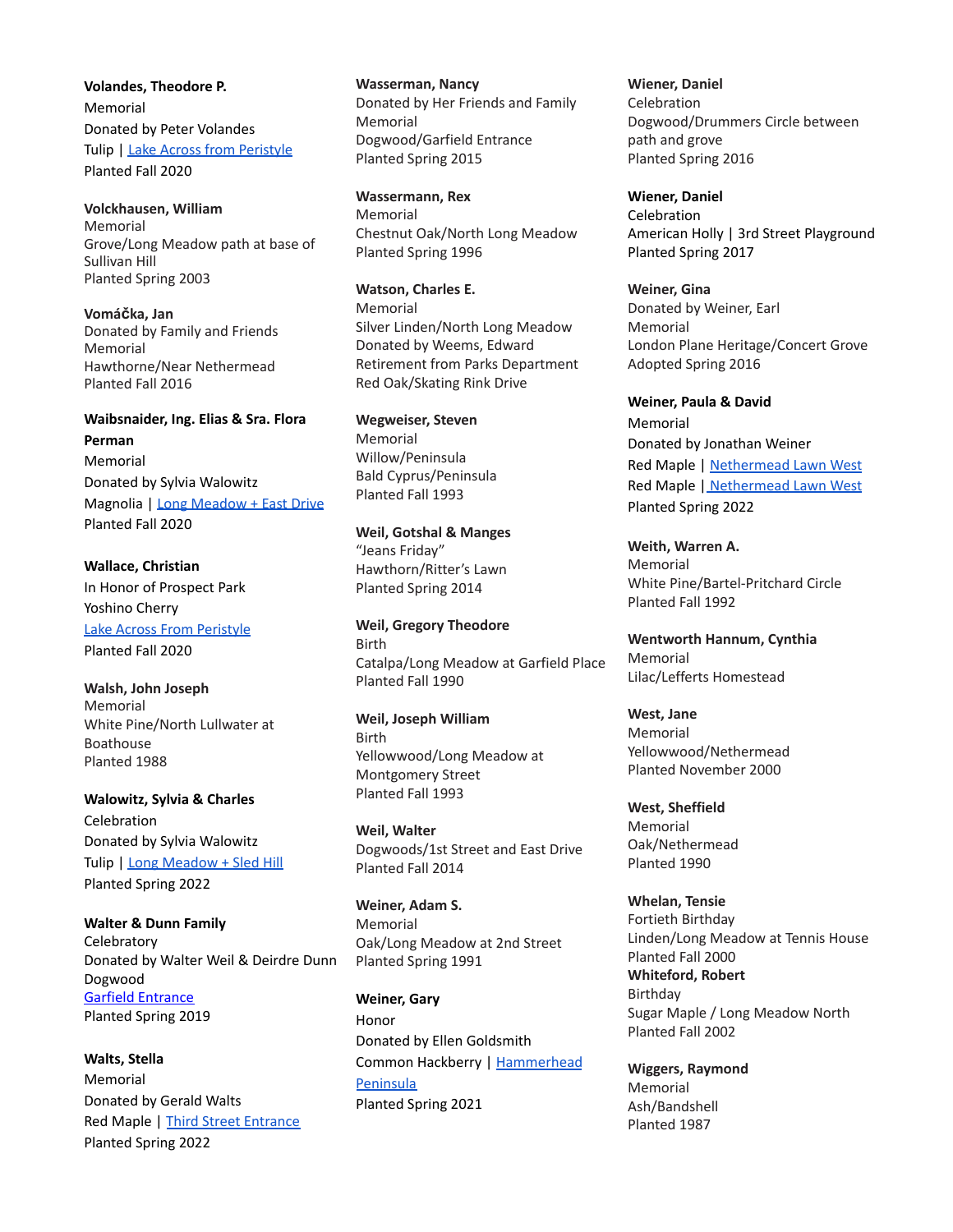**Volandes, Theodore P.** Memorial Donated by Peter Volandes Tulip | Lake Across from [Peristyle](https://goo.gl/maps/x9uS3b4qatBbs6Rn8) Planted Fall 2020

**Volckhausen, William** Memorial Grove/Long Meadow path at base of Sullivan Hill Planted Spring 2003

**Vomáčka, Jan** Donated by Family and Friends Memorial Hawthorne/Near Nethermead Planted Fall 2016

# **Waibsnaider, Ing. Elias & Sra. Flora Perman**

Memorial Donated by Sylvia Walowitz Magnolia | Long [Meadow](https://goo.gl/maps/gSePx28fCudWmShW6) + East Drive Planted Fall 2020

**Wallace, Christian** In Honor of Prospect Park Yoshino Cherry Lake Across From [Peristyle](https://goo.gl/maps/uWh8jNjQQrZapNux7) Planted Fall 2020

**Walsh, John Joseph** Memorial White Pine/North Lullwater at Boathouse Planted 1988

**Walowitz, Sylvia & Charles** Celebration Donated by Sylvia Walowitz Tulip | Long [Meadow](https://goo.gl/maps/nSRARvP3ow9673Hh7) + Sled Hill Planted Spring 2022

**Walter & Dunn Family Celebratory** Donated by Walter Weil & Deirdre Dunn Dogwood Garfield [Entrance](https://goo.gl/maps/mMWoT6GsyiG7rNHM6) Planted Spring 2019

**Walts, Stella** Memorial Donated by Gerald Walts Red Maple | Third Street [Entrance](https://goo.gl/maps/LEAj6EfR7SUzhyuT9) Planted Spring 2022

**Wasserman, Nancy** Donated by Her Friends and Family Memorial Dogwood/Garfield Entrance Planted Spring 2015

**Wassermann, Rex** Memorial Chestnut Oak/North Long Meadow Planted Spring 1996

**Watson, Charles E.** Memorial Silver Linden/North Long Meadow Donated by Weems, Edward Retirement from Parks Department Red Oak/Skating Rink Drive

**Wegweiser, Steven** Memorial Willow/Peninsula Bald Cyprus/Peninsula Planted Fall 1993

**Weil, Gotshal & Manges** "Jeans Friday" Hawthorn/Ritter's Lawn Planted Spring 2014

**Weil, Gregory Theodore** Birth Catalpa/Long Meadow at Garfield Place Planted Fall 1990

**Weil, Joseph William** Birth Yellowwood/Long Meadow at Montgomery Street Planted Fall 1993

**Weil, Walter** Dogwoods/1st Street and East Drive Planted Fall 2014

**Weiner, Adam S.** Memorial Oak/Long Meadow at 2nd Street Planted Spring 1991

**Weiner, Gary** Honor Donated by Ellen Goldsmith Common Hackberry | [Hammerhead](https://goo.gl/maps/YiChiexbSUM8ynAJ7) **[Peninsula](https://goo.gl/maps/YiChiexbSUM8ynAJ7)** Planted Spring 2021

**Wiener, Daniel** Celebration Dogwood/Drummers Circle between path and grove Planted Spring 2016

**Wiener, Daniel** Celebration American Holly | 3rd Street Playground Planted Spring 2017

**Weiner, Gina** Donated by Weiner, Earl Memorial London Plane Heritage/Concert Grove Adopted Spring 2016

**Weiner, Paula & David** Memorial Donated by Jonathan Weiner Red Maple | [Nethermead](https://goo.gl/maps/e9oMuNooo2Vi1qm8A) Lawn West Red Maple | [Nethermead](https://goo.gl/maps/e9oMuNooo2Vi1qm8A) Lawn West Planted Spring 2022

**Weith, Warren A.** Memorial White Pine/Bartel-Pritchard Circle Planted Fall 1992

**Wentworth Hannum, Cynthia** Memorial Lilac/Lefferts Homestead

**West, Jane** Memorial Yellowwood/Nethermead Planted November 2000

**West, Sheffield** Memorial Oak/Nethermead Planted 1990

**Whelan, Tensie** Fortieth Birthday Linden/Long Meadow at Tennis House Planted Fall 2000 **Whiteford, Robert** Birthday Sugar Maple / Long Meadow North Planted Fall 2002

**Wiggers, Raymond** Memorial Ash/Bandshell Planted 1987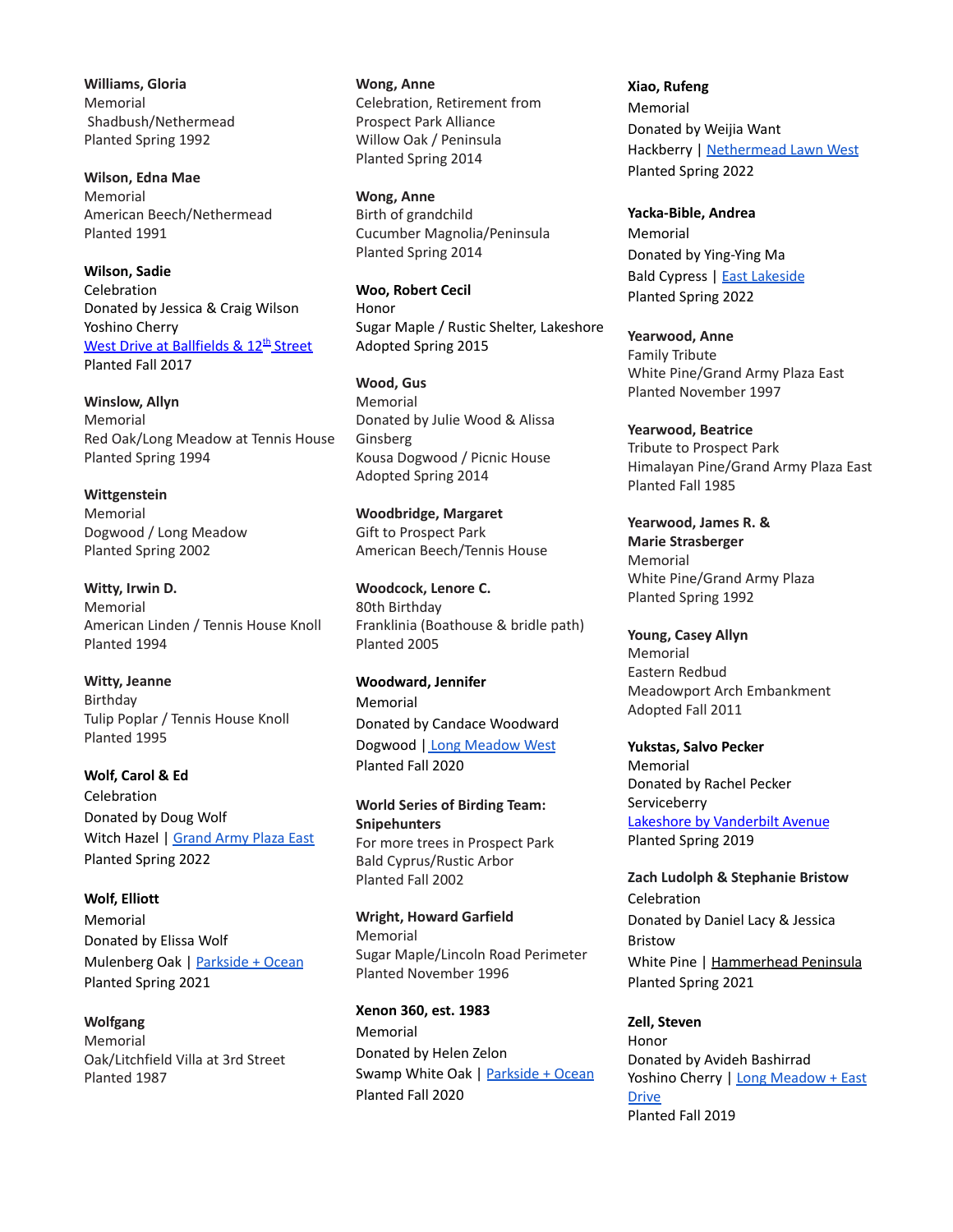**Williams, Gloria** Memorial Shadbush/Nethermead Planted Spring 1992

**Wilson, Edna Mae** Memorial American Beech/Nethermead Planted 1991

**Wilson, Sadie** Celebration Donated by Jessica & Craig Wilson Yoshino Cherry <u>West Drive at [Ballfields](https://goo.gl/maps/k2bkCzYCaDz) & 12<sup>th</sup> Street</u> Planted Fall 2017

**Winslow, Allyn** Memorial Red Oak/Long Meadow at Tennis House Planted Spring 1994

**Wittgenstein** Memorial Dogwood / Long Meadow Planted Spring 2002

**Witty, Irwin D.** Memorial American Linden / Tennis House Knoll Planted 1994

**Witty, Jeanne** Birthday Tulip Poplar / Tennis House Knoll Planted 1995

**Wolf, Carol & Ed** Celebration Donated by Doug Wolf Witch Hazel | [Grand](https://goo.gl/maps/xf8V6YUAGUKyuN3GA) Army Plaza East Planted Spring 2022

**Wolf, Elliott** Memorial Donated by Elissa Wolf Mulenberg Oak | [Parkside](https://goo.gl/maps/kJWJ5EbSiev2pUNo6) + Ocean Planted Spring 2021

**Wolfgang** Memorial Oak/Litchfield Villa at 3rd Street Planted 1987

**Wong, Anne** Celebration, Retirement from Prospect Park Alliance Willow Oak / Peninsula Planted Spring 2014

**Wong, Anne** Birth of grandchild Cucumber Magnolia/Peninsula Planted Spring 2014

**Woo, Robert Cecil** Honor Sugar Maple / Rustic Shelter, Lakeshore Adopted Spring 2015

**Wood, Gus** Memorial Donated by Julie Wood & Alissa Ginsberg Kousa Dogwood / Picnic House Adopted Spring 2014

**Woodbridge, Margaret** Gift to Prospect Park American Beech/Tennis House

**Woodcock, Lenore C.** 80th Birthday Franklinia (Boathouse & bridle path) Planted 2005

**Woodward, Jennifer** Memorial Donated by Candace Woodward Dogwood | Long [Meadow](https://goo.gl/maps/afxfydNoHHt5kGWX9) West Planted Fall 2020

**World Series of Birding Team: Snipehunters** For more trees in Prospect Park Bald Cyprus/Rustic Arbor Planted Fall 2002

**Wright, Howard Garfield** Memorial Sugar Maple/Lincoln Road Perimeter Planted November 1996

**Xenon 360, est. 1983** Memorial Donated by Helen Zelon Swamp White Oak | [Parkside](https://goo.gl/maps/uVaDvxg22a6JX9Hs5) + Ocean Planted Fall 2020

**Xiao, Rufeng** Memorial Donated by Weijia Want Hackberry | [Nethermead](https://goo.gl/maps/FnXzq971Yqqn4xox9) Lawn West Planted Spring 2022

**Yacka-Bible, Andrea** Memorial Donated by Ying-Ying Ma Bald Cypress | East [Lakeside](https://goo.gl/maps/8BC53EZR9TUcqvyQ6) Planted Spring 2022

**Yearwood, Anne** Family Tribute White Pine/Grand Army Plaza East Planted November 1997

**Yearwood, Beatrice** Tribute to Prospect Park Himalayan Pine/Grand Army Plaza East Planted Fall 1985

**Yearwood, James R. & Marie Strasberger** Memorial White Pine/Grand Army Plaza Planted Spring 1992

**Young, Casey Allyn** Memorial Eastern Redbud Meadowport Arch Embankment Adopted Fall 2011

**Yukstas, Salvo Pecker** Memorial Donated by Rachel Pecker Serviceberry Lakeshore by [Vanderbilt](https://goo.gl/maps/SWTE6hBdFGP2) Avenue Planted Spring 2019

**Zach Ludolph & Stephanie Bristow** Celebration Donated by Daniel Lacy & Jessica Bristow White Pine | [Hammerhead](https://goo.gl/maps/dU6w8mgc1yQQmTpu9) Peninsula Planted Spring 2021

**Zell, Steven** Honor Donated by Avideh Bashirrad Yoshino Cherry | Long [Meadow](https://goo.gl/maps/aKj4ZzpVV33FpsJTA) + East [Drive](https://goo.gl/maps/aKj4ZzpVV33FpsJTA) Planted Fall 2019